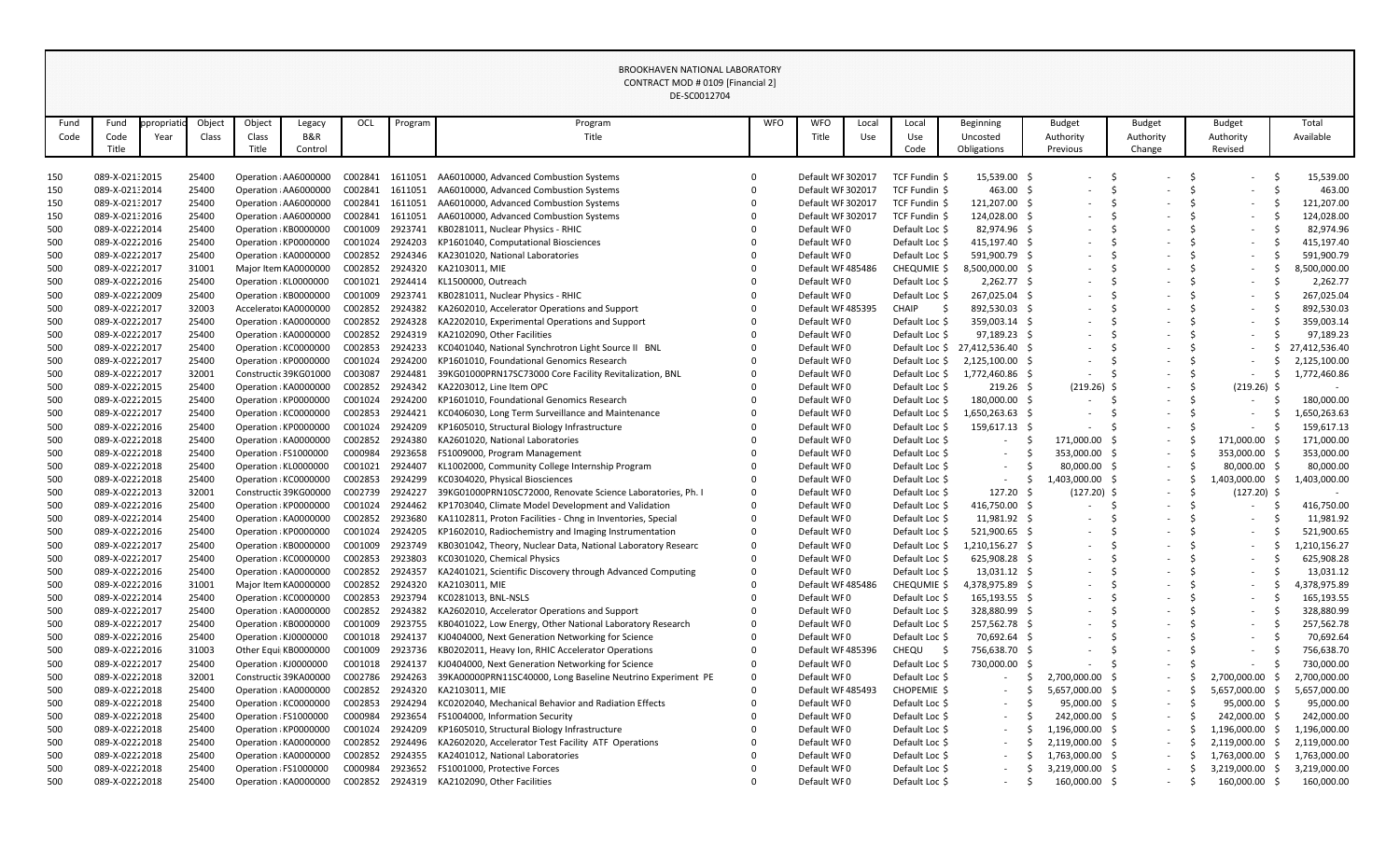|      |                 |             |        |                       |                       |         |                 | DE-SCOUTZ/04                                                        |            |                   |       |                |                   |                          |                          |                          |               |
|------|-----------------|-------------|--------|-----------------------|-----------------------|---------|-----------------|---------------------------------------------------------------------|------------|-------------------|-------|----------------|-------------------|--------------------------|--------------------------|--------------------------|---------------|
| Fund | Fund            | ppropriatio | Object | Object                | Legacy                | OCL     | Program         | Program                                                             | <b>WFO</b> | <b>WFO</b>        | Local | Local          | <b>Beginning</b>  | <b>Budget</b>            | <b>Budget</b>            | <b>Budget</b>            | Total         |
| Code | Code            | Year        | Class  | Class                 | <b>B&amp;R</b>        |         |                 | Title                                                               |            | Title             | Use   | Use            | Uncosted          | Authority                | Authority                | Authority                | Available     |
|      | Title           |             |        | Title                 | Control               |         |                 |                                                                     |            |                   |       | Code           | Obligations       | Previous                 | Change                   | Revised                  |               |
|      |                 |             |        |                       |                       |         |                 |                                                                     |            |                   |       |                |                   |                          |                          |                          |               |
| 150  | 089-X-021:2015  |             | 25400  |                       | Operation : AA6000000 | C002841 | 1611051         | AA6010000, Advanced Combustion Systems                              |            | Default WF 302017 |       | TCF Fundin \$  | 15,539.00 \$      |                          |                          |                          | 15,539.00     |
| 150  | 089-X-021:2014  |             | 25400  |                       | Operation : AA6000000 | C002841 | 1611051         | AA6010000, Advanced Combustion Systems                              |            | Default WF 302017 |       | TCF Fundin \$  | 463.00 \$         |                          |                          |                          | 463.00        |
| 150  | 089-X-021:2017  |             | 25400  |                       | Operation : AA6000000 | C002841 | 1611051         | AA6010000, Advanced Combustion Systems                              |            | Default WF 302017 |       | TCF Fundin \$  | 121,207.00 \$     |                          |                          | $\overline{\phantom{0}}$ | 121,207.00    |
| 150  | 089-X-02132016  |             | 25400  |                       | Operation : AA6000000 | C002841 | 1611051         | AA6010000, Advanced Combustion Systems                              |            | Default WF 302017 |       | TCF Fundin \$  | 124,028.00 \$     |                          |                          |                          | 124,028.00    |
| 500  | 089-X-02222014  |             | 25400  |                       | Operation : KB0000000 | C001009 | 2923741         | KB0281011, Nuclear Physics - RHIC                                   |            | Default WF0       |       | Default Loc \$ | 82,974.96 \$      | $\overline{\phantom{a}}$ |                          |                          | 82,974.96     |
| 500  | 089-X-02222016  |             | 25400  |                       | Operation : KP0000000 | C001024 | 2924203         | KP1601040, Computational Biosciences                                |            | Default WF0       |       | Default Loc \$ | 415,197.40 \$     |                          |                          |                          | 415,197.40    |
| 500  | 089-X-02222017  |             | 25400  |                       | Operation : KA0000000 | C002852 | 2924346         | KA2301020, National Laboratories                                    |            | Default WF0       |       | Default Loc \$ | 591,900.79 \$     |                          |                          |                          | 591,900.79    |
| 500  | 089-X-02222017  |             | 31001  |                       | Major Item KA0000000  | C002852 | 2924320         | KA2103011, MIE                                                      |            | Default WF485486  |       | CHEQUMIE \$    | 8,500,000.00 \$   |                          |                          |                          | 3,500,000.00  |
| 500  | 089-X-02222016  |             | 25400  |                       | Operation : KL0000000 | C001021 | 2924414         | KL1500000, Outreach                                                 |            | Default WF0       |       | Default Loc \$ | 2,262.77 \$       |                          |                          |                          | 2,262.77      |
| 500  | 089-X-02222009  |             | 25400  |                       | Operation : KB0000000 | C001009 | 2923741         | KB0281011, Nuclear Physics - RHIC                                   |            | Default WF0       |       | Default Loc \$ | 267,025.04 \$     |                          |                          |                          | 267,025.04    |
| 500  | 089-X-02222017  |             | 32003  |                       | Accelerator KA0000000 | C002852 | 2924382         | KA2602010, Accelerator Operations and Support                       |            | Default WF485395  |       | <b>CHAIP</b>   | 892,530.03 \$     |                          |                          |                          | 892,530.03    |
| 500  | 089-X-02222017  |             | 25400  |                       | Operation : KA0000000 | C002852 | 2924328         | KA2202010, Experimental Operations and Support                      |            | Default WF0       |       | Default Loc \$ | 359,003.14 \$     |                          |                          |                          | 359,003.14    |
| 500  | 089-X-02222017  |             | 25400  |                       | Operation : KA0000000 | C002852 | 2924319         | KA2102090, Other Facilities                                         |            | Default WF0       |       | Default Loc \$ | 97,189.23 \$      |                          |                          |                          | 97,189.23     |
| 500  | 089-X-02222017  |             | 25400  |                       | Operation : KC0000000 | C002853 | 2924233         | KC0401040, National Synchrotron Light Source II BNL                 |            | Default WF0       |       | Default Loc \$ | 27,412,536.40 \$  |                          |                          |                          | 27,412,536.40 |
| 500  | 089-X-02222017  |             | 25400  |                       | Operation : KP0000000 | C001024 | 2924200         | KP1601010, Foundational Genomics Research                           |            | Default WF0       |       | Default Loc \$ | 2,125,100.00 \$   |                          |                          |                          | 2,125,100.00  |
| 500  | 089-X-02222017  |             | 32001  |                       | Constructic 39KG01000 | C003087 | 2924481         | 39KG01000PRN17SC73000 Core Facility Revitalization, BNL             |            | Default WF0       |       | Default Loc \$ | 1,772,460.86 \$   |                          | $\overline{\phantom{a}}$ |                          | 1,772,460.86  |
| 500  | 089-X-02222015  |             | 25400  |                       | Operation : KA0000000 | C002852 | 2924342         | KA2203012, Line Item OPC                                            |            | Default WF0       |       | Default Loc \$ | $219.26$ \$       | $(219.26)$ \$            | $\overline{\phantom{a}}$ | (219.26)                 |               |
| 500  | 089-X-02222015  |             | 25400  |                       | Operation : KP0000000 | C001024 | 2924200         | KP1601010, Foundational Genomics Research                           |            | Default WF0       |       | Default Loc \$ | 180,000.00 \$     |                          | $\overline{\phantom{a}}$ |                          | 180,000.00    |
| 500  | 089-X-02222017  |             | 25400  |                       | Operation : KC0000000 | C002853 | 2924421         | KC0406030, Long Term Surveillance and Maintenance                   |            | Default WF0       |       | Default Loc \$ | 1,650,263.63 \$   |                          | $\overline{\phantom{a}}$ |                          | ,650,263.63   |
| 500  | 089-X-02222016  |             | 25400  |                       | Operation : KP0000000 | C001024 | 2924209         | KP1605010, Structural Biology Infrastructure                        |            | Default WF0       |       | Default Loc \$ | 159,617.13 \$     |                          | $\overline{\phantom{a}}$ |                          | 159,617.13    |
| 500  | 089-X-02222018  |             | 25400  |                       | Operation : KA0000000 | C002852 | 2924380         | KA2601020, National Laboratories                                    |            | Default WF0       |       | Default Loc \$ |                   | 171,000.00 \$            | $ \,$                    | 171,000.00               | 171,000.00    |
| 500  | 089-X-02222018  |             | 25400  |                       | Operation : FS1000000 | C000984 | 2923658         | FS1009000, Program Management                                       |            | Default WF0       |       | Default Loc \$ | $\sim$ 100 $\mu$  | 353,000.00 \$            | $\sim$                   | 353,000.00 \$            | 353,000.00    |
| 500  | 089-X-02222018  |             | 25400  | Operation : KL0000000 |                       | C001021 | 2924407         | KL1002000, Community College Internship Program                     |            | Default WF0       |       | Default Loc \$ |                   | 80,000.00 \$             | $\sim$                   | 80,000.00                | 80,000.00     |
| 500  | 089-X-02222018  |             | 25400  |                       | Operation : KC0000000 | C002853 | 2924299         | KC0304020, Physical Biosciences                                     |            | Default WF0       |       | Default Loc \$ |                   | 1,403,000.00 \$          | $\sim$                   | 1,403,000.00             | 1,403,000.00  |
| 500  | 089-X-02222013  |             | 32001  |                       | Constructic 39KG00000 | C002739 | 2924227         | 39KG01000PRN10SC72000, Renovate Science Laboratories, Ph. I         |            | Default WF0       |       | Default Loc \$ | 127.20%           | $(127.20)$ \$            | $\overline{\phantom{a}}$ | (127.20)                 |               |
| 500  | 089-X-0222 2016 |             | 25400  |                       | Operation : KP0000000 |         |                 | C001024 2924462 KP1703040, Climate Model Development and Validation |            | Default WF0       |       | Default Loc \$ | 416,750.00 \$     |                          |                          |                          | 416,750.00    |
| 500  | 089-X-02222014  |             | 25400  |                       | Operation : KA0000000 | C002852 | 2923680         | KA1102811, Proton Facilities - Chng in Inventories, Special         |            | Default WF0       |       | Default Loc \$ | 11,981.92 \$      |                          |                          |                          | 11,981.92     |
| 500  | 089-X-02222016  |             | 25400  |                       | Operation : KP0000000 | C001024 | 2924205         | KP1602010, Radiochemistry and Imaging Instrumentation               |            | Default WF0       |       | Default Loc \$ | 521,900.65 \$     |                          |                          | $\overline{\phantom{0}}$ | 521,900.65    |
| 500  | 089-X-02222017  |             | 25400  |                       | Operation : KB0000000 | C001009 | 2923749         | KB0301042, Theory, Nuclear Data, National Laboratory Researc        |            | Default WF0       |       | Default Loc \$ | $1,210,156.27$ \$ |                          |                          | $\overline{\phantom{0}}$ | 1,210,156.27  |
| 500  | 089-X-02222017  |             | 25400  |                       | Operation : KC0000000 | C002853 | 2923803         | KC0301020, Chemical Physics                                         |            | Default WF0       |       | Default Loc \$ | 625,908.28 \$     |                          |                          |                          | 625,908.28    |
| 500  | 089-X-02222016  |             | 25400  |                       | Operation : KA0000000 |         | C002852 2924357 | KA2401021, Scientific Discovery through Advanced Computing          |            | Default WF0       |       | Default Loc \$ | $13,031.12$ \$    | $\overline{\phantom{a}}$ | $\overline{\phantom{a}}$ | $\overline{\phantom{0}}$ | 13,031.12     |
| 500  | 089-X-02222016  |             | 31001  |                       | Major Item KA0000000  | C002852 | 2924320         | KA2103011, MIE                                                      |            | Default WF485486  |       | CHEQUMIE \$    | 4,378,975.89 \$   | $\overline{\phantom{a}}$ |                          | $\overline{\phantom{0}}$ | 1,378,975.89  |
| 500  | 089-X-02222014  |             | 25400  |                       | Operation : KC0000000 | C002853 | 2923794         | KC0281013, BNL-NSLS                                                 |            | Default WF0       |       | Default Loc \$ | 165,193.55 \$     |                          |                          |                          | 165,193.55    |
| 500  | 089-X-02222017  |             | 25400  |                       | Operation : KA0000000 | C002852 | 2924382         | KA2602010, Accelerator Operations and Support                       |            | Default WF0       |       | Default Loc \$ | 328,880.99 \$     |                          |                          |                          | 328,880.99    |
| 500  | 089-X-02222017  |             | 25400  |                       | Operation : KB0000000 | C001009 | 2923755         | KB0401022, Low Energy, Other National Laboratory Research           |            | Default WF0       |       | Default Loc \$ | 257,562.78 \$     |                          |                          |                          | 257,562.78    |
| 500  | 089-X-02222016  |             | 25400  |                       | Operation : KJ0000000 | C001018 | 2924137         | KJ0404000, Next Generation Networking for Science                   |            | Default WF0       |       | Default Loc \$ | 70,692.64 \$      |                          |                          | $\overline{\phantom{0}}$ | 70,692.64     |
| 500  | 089-X-02222016  |             | 31003  |                       | Other Equi  KB0000000 | C001009 | 2923736         | KB0202011, Heavy Ion, RHIC Accelerator Operations                   |            | Default WF485396  |       | CHEQU          | 756,638.70 \$     |                          |                          | $\sim$                   | 756,638.70    |
| 500  | 089-X-02222017  |             | 25400  |                       | Operation : KJ0000000 | C001018 | 2924137         | KJ0404000, Next Generation Networking for Science                   |            | Default WF0       |       | Default Loc \$ | 730,000.00        |                          | $\overline{\phantom{a}}$ | $\sim$                   | 730,000.00    |
| 500  | 089-X-02222018  |             | 32001  |                       | Constructic 39KA00000 | C002786 | 2924263         | 39KA00000PRN11SC40000, Long Baseline Neutrino Experiment PE         |            | Default WF0       |       | Default Loc \$ |                   | 2,700,000.00 \$          | $\sim$                   | 2,700,000.00             | 2,700,000.00  |
| 500  | 089-X-02222018  |             | 25400  |                       | Operation : KA0000000 | C002852 | 2924320         | KA2103011, MIE                                                      |            | Default WF485493  |       | CHOPEMIE \$    |                   | 5,657,000.00 \$          | $\sim$                   | 5,657,000.00             | 5,657,000.00  |
| 500  | 089-X-02222018  |             | 25400  |                       | Operation : KC0000000 | C002853 | 2924294         | KC0202040, Mechanical Behavior and Radiation Effects                |            | Default WF0       |       | Default Loc \$ |                   | $95,000.00$ \$           | $\sim$                   | 95,000.00                | 95,000.00     |
| 500  | 089-X-02222018  |             | 25400  |                       | Operation : FS1000000 | C000984 | 2923654         | FS1004000, Information Security                                     |            | Default WF0       |       | Default Loc \$ | $-$               | 242,000.00 \$            | $\sim$                   | 242,000.00               | 242,000.00    |
| 500  | 089-X-02222018  |             | 25400  |                       | Operation : KP0000000 | C001024 | 2924209         | KP1605010, Structural Biology Infrastructure                        |            | Default WF0       |       | Default Loc \$ |                   | $1,196,000.00$ \$        | $\sim$                   | 1,196,000.00             | L,196,000.00  |
| 500  | 089-X-02222018  |             | 25400  |                       | Operation : KA0000000 | C002852 | 2924496         | KA2602020, Accelerator Test Facility ATF Operations                 |            | Default WF0       |       | Default Loc \$ |                   | 2,119,000.00 \$          | $\sim$                   | 2,119,000.00             | 2,119,000.00  |
| 500  | 089-X-02222018  |             | 25400  |                       | Operation : KA0000000 | C002852 | 2924355         | KA2401012, National Laboratories                                    |            | Default WF0       |       | Default Loc \$ |                   | 1,763,000.00 \$          | $\sim$                   | 1,763,000.00             | 1,763,000.00  |
| 500  | 089-X-02222018  |             | 25400  |                       | Operation : FS1000000 | C000984 | 2923652         | FS1001000, Protective Forces                                        |            | Default WF0       |       | Default Loc \$ |                   | $3,219,000.00$ \$        | $\sim$                   | 3,219,000.00             | 3,219,000.00  |
| 500  | 089-X-02222018  |             | 25400  |                       | Operation : KA0000000 | C002852 | 2924319         | KA2102090, Other Facilities                                         |            | Default WF0       |       | Default Loc \$ |                   | 160,000.00 \$            | $\overline{\phantom{a}}$ | 160,000.00               | 160,000.00    |

## DE-SC0012704 CONTRACT MOD # 0109 [Financial 2] BROOKHAVEN NATIONAL LABORATORY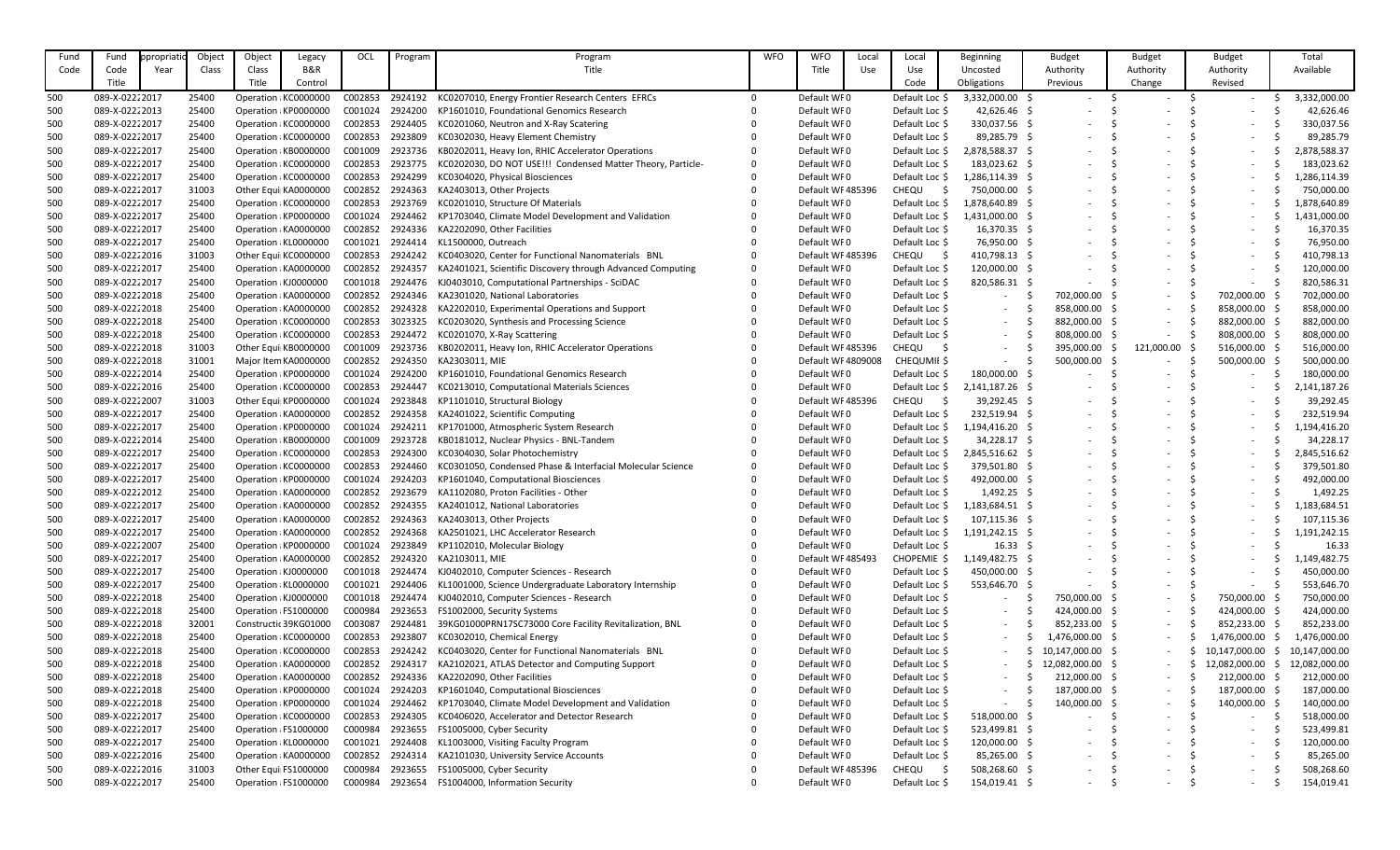| Fund | Fund                             | <i>propriatio</i> | Object | Object | Legacy                | OCL                | Program            | Program                                                     | <b>WFO</b> | <b>WFO</b>        | Local | Local          | Beginning         | <b>Budget</b>            | <b>Budget</b>            | <b>Budget</b>            | Total         |
|------|----------------------------------|-------------------|--------|--------|-----------------------|--------------------|--------------------|-------------------------------------------------------------|------------|-------------------|-------|----------------|-------------------|--------------------------|--------------------------|--------------------------|---------------|
| Code | Code                             | Year              | Class  | Class  | B&R                   |                    |                    | Title                                                       |            | Title             | Use   | Use            | Uncosted          | Authority                | Authority                | Authority                | Available     |
|      | Title                            |                   |        | Title  | Control               |                    |                    |                                                             |            |                   |       | Code           | Obligations       | Previous                 | Change                   | Revised                  |               |
| 500  | 089-X-02222017                   |                   | 25400  |        | Operation : KC0000000 | C002853            | 2924192            | KC0207010, Energy Frontier Research Centers EFRCs           |            | Default WF0       |       | Default Loc \$ | 3,332,000.00 \$   | $\overline{\phantom{0}}$ |                          | $\sim$                   | 3,332,000.00  |
| 500  | 089-X-02222013                   |                   | 25400  |        | Operation : KP0000000 | C001024            | 2924200            | KP1601010, Foundational Genomics Research                   |            | Default WF0       |       | Default Loc \$ | 42,626.46 \$      |                          |                          |                          | 42,626.46     |
| 500  | 089-X-02222017                   |                   | 25400  |        | Operation : KC0000000 | C002853            | 2924405            | KC0201060, Neutron and X-Ray Scatering                      |            | Default WF0       |       | Default Loc \$ | 330,037.56 \$     |                          |                          |                          | 330,037.56    |
| 500  | 089-X-02222017                   |                   | 25400  |        | Operation : KC0000000 | C002853            | 2923809            | KC0302030, Heavy Element Chemistry                          |            | Default WF0       |       | Default Loc \$ | 89,285.79 \$      |                          |                          |                          | 89,285.79     |
| 500  | 089-X-02222017                   |                   | 25400  |        | Operation : KB0000000 | C001009            | 2923736            | KB0202011, Heavy Ion, RHIC Accelerator Operations           |            | Default WF0       |       | Default Loc \$ | 2,878,588.37 \$   |                          |                          |                          | ,878,588.37   |
| 500  | 089-X-02222017                   |                   | 25400  |        | Operation : KC0000000 | C002853            | 2923775            | KC0202030, DO NOT USE!!! Condensed Matter Theory, Particle- |            | Default WF0       |       | Default Loc \$ | 183,023.62 \$     |                          |                          |                          | 183,023.62    |
| 500  | 089-X-02222017                   |                   | 25400  |        | Operation : KC0000000 | C002853            | 2924299            | KC0304020, Physical Biosciences                             |            | Default WF0       |       | Default Loc \$ | 1,286,114.39 \$   |                          |                          |                          | L,286,114.39  |
| 500  | 089-X-02222017                   |                   | 31003  |        | Other Equi  KA0000000 | C002852            | 2924363            | KA2403013, Other Projects                                   |            | Default WF485396  |       | <b>CHEQU</b>   | 750,000.00 \$     |                          |                          |                          | 750,000.00    |
| 500  | 089-X-02222017                   |                   | 25400  |        | Operation : KC0000000 | C002853            | 2923769            | KC0201010, Structure Of Materials                           |            | Default WF0       |       | Default Loc \$ | 1,878,640.89      |                          |                          |                          | ,878,640.89   |
| 500  | 089-X-02222017                   |                   | 25400  |        | Operation : KP0000000 | C001024            | 2924462            | KP1703040, Climate Model Development and Validation         |            | Default WF0       |       | Default Loc \$ | 1,431,000.00      |                          |                          |                          | L,431,000.00  |
| 500  | 089-X-02222017                   |                   | 25400  |        | Operation : KA0000000 | C002852            | 2924336            | KA2202090, Other Facilities                                 |            | Default WF0       |       | Default Loc \$ | 16,370.35 \$      |                          |                          |                          | 16,370.35     |
| 500  | 089-X-02222017                   |                   | 25400  |        | Operation : KL0000000 | C001021            | 2924414            | KL1500000, Outreach                                         |            | Default WF0       |       | Default Loc \$ | 76,950.00 \$      |                          |                          |                          | 76,950.00     |
| 500  | 089-X-02222016                   |                   | 31003  |        | Other Equi  KC0000000 | C002853            | 2924242            | KC0403020, Center for Functional Nanomaterials BNL          |            | Default WF485396  |       | <b>CHEQU</b>   | 410,798.13 \$     |                          |                          |                          | 410,798.13    |
| 500  | 089-X-02222017                   |                   | 25400  |        | Operation : KA0000000 | C002852            | 2924357            | KA2401021, Scientific Discovery through Advanced Computing  |            | Default WF0       |       | Default Loc \$ | 120,000.00        |                          |                          |                          | 120,000.00    |
| 500  | 089-X-02222017                   |                   | 25400  |        | Operation : KJ0000000 | C001018            | 2924476            | KJ0403010, Computational Partnerships - SciDAC              |            | Default WF0       |       | Default Loc \$ | 820,586.31<br>- S |                          | $\overline{\phantom{a}}$ | $\sim$                   | 820,586.31    |
| 500  | 089-X-02222018                   |                   | 25400  |        | Operation : KA0000000 | C002852            | 2924346            | KA2301020, National Laboratories                            |            | Default WF0       |       | Default Loc \$ |                   | 702,000.00               | $\overline{\phantom{a}}$ | 702,000.00               | 702,000.00    |
|      | 089-X-02222018                   |                   | 25400  |        | Operation : KA0000000 | C002852            | 2924328            | KA2202010, Experimental Operations and Support              |            | Default WF0       |       | Default Loc \$ |                   | 858,000.00               |                          | 858,000.00               | 858,000.00    |
| 500  |                                  |                   |        |        |                       |                    |                    |                                                             |            | Default WF0       |       |                |                   |                          | $\overline{\phantom{a}}$ |                          |               |
| 500  | 089-X-02222018<br>089-X-02222018 |                   | 25400  |        | Operation : KC0000000 | C002853<br>C002853 | 3023325<br>2924472 | KC0203020, Synthesis and Processing Science                 |            | Default WF0       |       | Default Loc \$ | $\sim$            | 882,000.00               | $\overline{\phantom{a}}$ | 882,000.00               | 882,000.00    |
| 500  |                                  |                   | 25400  |        | Operation : KC0000000 |                    |                    | KC0201070, X-Ray Scattering                                 |            |                   |       | Default Loc \$ | $\sim$            | 808,000.00               | $\overline{\phantom{a}}$ | 808,000.00               | 808,000.00    |
| 500  | 089-X-02222018                   |                   | 31003  |        | Other Equi  KB0000000 | C001009            | 2923736            | KB0202011, Heavy Ion, RHIC Accelerator Operations           |            | Default WF485396  |       | <b>CHEQU</b>   | $\sim$            | 395,000.00               | 121,000.00               | 516,000.00               | 516,000.00    |
| 500  | 089-X-02222018                   |                   | 31001  |        | Major Item KA0000000  | C002852            | 2924350            | KA2303011, MIE                                              |            | Default WF4809008 |       | CHEQUMII \$    |                   | 500,000.00               |                          | 500,000.00               | 500,000.00    |
| 500  | 089-X-02222014                   |                   | 25400  |        | Operation : KP0000000 | C001024            | 2924200            | KP1601010, Foundational Genomics Research                   |            | Default WF0       |       | Default Loc \$ | 180,000.00 \$     |                          |                          |                          | 180,000.00    |
| 500  | 089-X-02222016                   |                   | 25400  |        | Operation : KC0000000 | C002853            | 2924447            | KC0213010, Computational Materials Sciences                 |            | Default WF0       |       | Default Loc \$ | 2,141,187.26 \$   |                          |                          |                          | 141,187.26    |
| 500  | 089-X-02222007                   |                   | 31003  |        | Other Equi  KP0000000 | C001024            | 2923848            | KP1101010, Structural Biology                               |            | Default WF485396  |       | <b>CHEQU</b>   | 39,292.45 \$      |                          |                          |                          | 39,292.45     |
| 500  | 089-X-02222017                   |                   | 25400  |        | Operation : KA0000000 | C002852            | 2924358            | KA2401022, Scientific Computing                             |            | Default WF0       |       | Default Loc \$ | 232,519.94 \$     |                          |                          |                          | 232,519.94    |
| 500  | 089-X-02222017                   |                   | 25400  |        | Operation : KP0000000 | C001024            | 2924211            | KP1701000, Atmospheric System Research                      |            | Default WF0       |       | Default Loc \$ | 1,194,416.20      |                          |                          |                          | ,194,416.20   |
| 500  | 089-X-02222014                   |                   | 25400  |        | Operation : KB0000000 | C001009            | 2923728            | KB0181012, Nuclear Physics - BNL-Tandem                     |            | Default WF0       |       | Default Loc \$ | 34,228.17 \$      |                          |                          |                          | 34,228.17     |
| 500  | 089-X-02222017                   |                   | 25400  |        | Operation : KC0000000 | C002853            | 2924300            | KC0304030, Solar Photochemistry                             |            | Default WF0       |       | Default Loc \$ | 2,845,516.62 \$   |                          |                          |                          | 2,845,516.62  |
| 500  | 089-X-02222017                   |                   | 25400  |        | Operation : KC0000000 | C002853            | 2924460            | KC0301050, Condensed Phase & Interfacial Molecular Science  |            | Default WF0       |       | Default Loc \$ | 379,501.80 \$     |                          |                          |                          | 379,501.80    |
| 500  | 089-X-02222017                   |                   | 25400  |        | Operation : KP0000000 | C001024            | 2924203            | KP1601040, Computational Biosciences                        |            | Default WF0       |       | Default Loc \$ | 492,000.00 \$     |                          |                          | $\sim$                   | 492,000.00    |
| 500  | 089-X-02222012                   |                   | 25400  |        | Operation : KA0000000 | C002852            | 2923679            | KA1102080, Proton Facilities - Other                        |            | Default WF0       |       | Default Loc \$ | 1,492.25 \$       |                          |                          |                          | 1,492.25      |
| 500  | 089-X-02222017                   |                   | 25400  |        | Operation : KA0000000 | C002852            | 2924355            | KA2401012, National Laboratories                            |            | Default WF0       |       | Default Loc \$ | 1,183,684.51 \$   | $\overline{\phantom{a}}$ | $\overline{\phantom{a}}$ |                          | 1,183,684.51  |
| 500  | 089-X-02222017                   |                   | 25400  |        | Operation : KA0000000 | C002852            | 2924363            | KA2403013, Other Projects                                   |            | Default WF0       |       | Default Loc \$ | 107,115.36 \$     | $\overline{\phantom{a}}$ | $\overline{\phantom{a}}$ | $-$                      | 107,115.36    |
| 500  | 089-X-02222017                   |                   | 25400  |        | Operation : KA0000000 | C002852            | 2924368            | KA2501021, LHC Accelerator Research                         |            | Default WF0       |       | Default Loc \$ | $1,191,242.15$ \$ |                          |                          | $-$                      | 1,191,242.15  |
| 500  | 089-X-02222007                   |                   | 25400  |        | Operation : KP0000000 | C001024            | 2923849            | KP1102010, Molecular Biology                                |            | Default WF0       |       | Default Loc \$ | $16.33 \quad $$   |                          |                          |                          | 16.33         |
| 500  | 089-X-02222017                   |                   | 25400  |        | Operation : KA0000000 | C002852            | 2924320            | KA2103011, MIE                                              |            | Default WF485493  |       | CHOPEMIE \$    | 1,149,482.75 \$   |                          |                          |                          | L,149,482.75  |
| 500  | 089-X-02222017                   |                   | 25400  |        | Operation : KJ0000000 | C001018            | 2924474            | KJ0402010, Computer Sciences - Research                     |            | Default WF0       |       | Default Loc \$ | 450,000.00 \$     |                          | $\overline{\phantom{a}}$ | $-$                      | 450,000.00    |
| 500  | 089-X-02222017                   |                   | 25400  |        | Operation : KL0000000 | C001021            | 2924406            | KL1001000, Science Undergraduate Laboratory Internship      |            | Default WF0       |       | Default Loc \$ | 553,646.70 \$     |                          | $\overline{\phantom{a}}$ | $\sim$                   | 553,646.70    |
| 500  | 089-X-02222018                   |                   | 25400  |        | Operation : KJ0000000 | C001018            | 2924474            | KJ0402010, Computer Sciences - Research                     |            | Default WF0       |       | Default Loc \$ | $-$               | 750,000.00               | $\sim$                   | 750,000.00               | 750,000.00    |
| 500  | 089-X-02222018                   |                   | 25400  |        | Operation : FS1000000 | C000984            | 2923653            | FS1002000, Security Systems                                 |            | Default WF0       |       | Default Loc \$ | $\sim$            | 424,000.00 \$            | $\sim$                   | 424,000.00               | 424,000.00    |
| 500  | 089-X-02222018                   |                   | 32001  |        | Constructic 39KG01000 | C003087            | 2924481            | 39KG01000PRN17SC73000 Core Facility Revitalization, BNL     |            | Default WF0       |       | Default Loc \$ |                   | 852,233.00 \$            | $\overline{\phantom{a}}$ | 852,233.00               | 852,233.00    |
| 500  | 089-X-02222018                   |                   | 25400  |        | Operation : KC0000000 | C002853            | 2923807            | KC0302010, Chemical Energy                                  |            | Default WF0       |       | Default Loc \$ |                   | 1,476,000.00 \$          | $\overline{\phantom{a}}$ | 1,476,000.00             | 1,476,000.00  |
| 500  | 089-X-02222018                   |                   | 25400  |        | Operation : KC0000000 | C002853            | 2924242            | KC0403020, Center for Functional Nanomaterials BNL          |            | Default WF0       |       | Default Loc \$ |                   | 10,147,000.00 \$         | $\sim$                   | 10,147,000.00            | 10,147,000.00 |
| 500  | 089-X-02222018                   |                   | 25400  |        | Operation : KA0000000 | C002852            | 2924317            | KA2102021, ATLAS Detector and Computing Support             |            | Default WF0       |       | Default Loc \$ |                   | 12,082,000.00            | $\sim$                   | 12,082,000.00<br>-S      | 12,082,000.00 |
| 500  | 089-X-02222018                   |                   | 25400  |        | Operation : KA0000000 | C002852            | 2924336            | KA2202090, Other Facilities                                 |            | Default WF0       |       | Default Loc \$ |                   | 212,000.00               | $\overline{\phantom{a}}$ | 212,000.00               | 212,000.00    |
| 500  | 089-X-02222018                   |                   | 25400  |        | Operation : KP0000000 | C001024            | 2924203            | KP1601040, Computational Biosciences                        |            | Default WF0       |       | Default Loc \$ | $\sim$            | 187,000.00               | $\overline{\phantom{a}}$ | 187,000.00               | 187,000.00    |
| 500  | 089-X-02222018                   |                   | 25400  |        | Operation : KP0000000 | C001024            | 2924462            | KP1703040, Climate Model Development and Validation         |            | Default WF0       |       | Default Loc \$ | $\sim$            | 140,000.00               | $\sim$                   | 140,000.00               | 140,000.00    |
| 500  | 089-X-02222017                   |                   | 25400  |        | Operation : KC0000000 | C002853            | 2924305            | KC0406020, Accelerator and Detector Research                |            | Default WF0       |       | Default Loc \$ | 518,000.00 \$     |                          | $\overline{\phantom{a}}$ | $\sim$                   | 518,000.00    |
| 500  | 089-X-02222017                   |                   | 25400  |        | Operation : FS1000000 | C000984            | 2923655            | FS1005000, Cyber Security                                   |            | Default WF0       |       | Default Loc \$ | 523,499.81 \$     |                          | $\overline{\phantom{0}}$ | $\overline{\phantom{0}}$ | 523,499.81    |
| 500  | 089-X-02222017                   |                   | 25400  |        | Operation : KL0000000 | C001021            | 2924408            | KL1003000, Visiting Faculty Program                         |            | Default WF0       |       | Default Loc \$ | 120,000.00 \$     |                          |                          |                          | 120,000.00    |
| 500  | 089-X-02222016                   |                   | 25400  |        | Operation : KA0000000 | C002852            | 2924314            | KA2101030, University Service Accounts                      |            | Default WF0       |       | Default Loc \$ | 85,265.00 \$      |                          | $\overline{\phantom{a}}$ | $\sim$                   | 85,265.00     |
| 500  | 089-X-02222016                   |                   | 31003  |        | Other Equi FS1000000  | C000984            | 2923655            | FS1005000, Cyber Security                                   |            | Default WF485396  |       | CHEQU          | 508,268.60 \$     | $\overline{\phantom{a}}$ | $\overline{\phantom{a}}$ | $\overline{\phantom{0}}$ | 508,268.60    |
| 500  | 089-X-02222017                   |                   | 25400  |        | Operation : FS1000000 | C000984            | 2923654            | FS1004000, Information Security                             |            | Default WF0       |       | Default Loc \$ | 154,019.41 \$     | $\overline{\phantom{a}}$ |                          | $\sim$                   | 154,019.41    |
|      |                                  |                   |        |        |                       |                    |                    |                                                             |            |                   |       |                |                   |                          |                          |                          |               |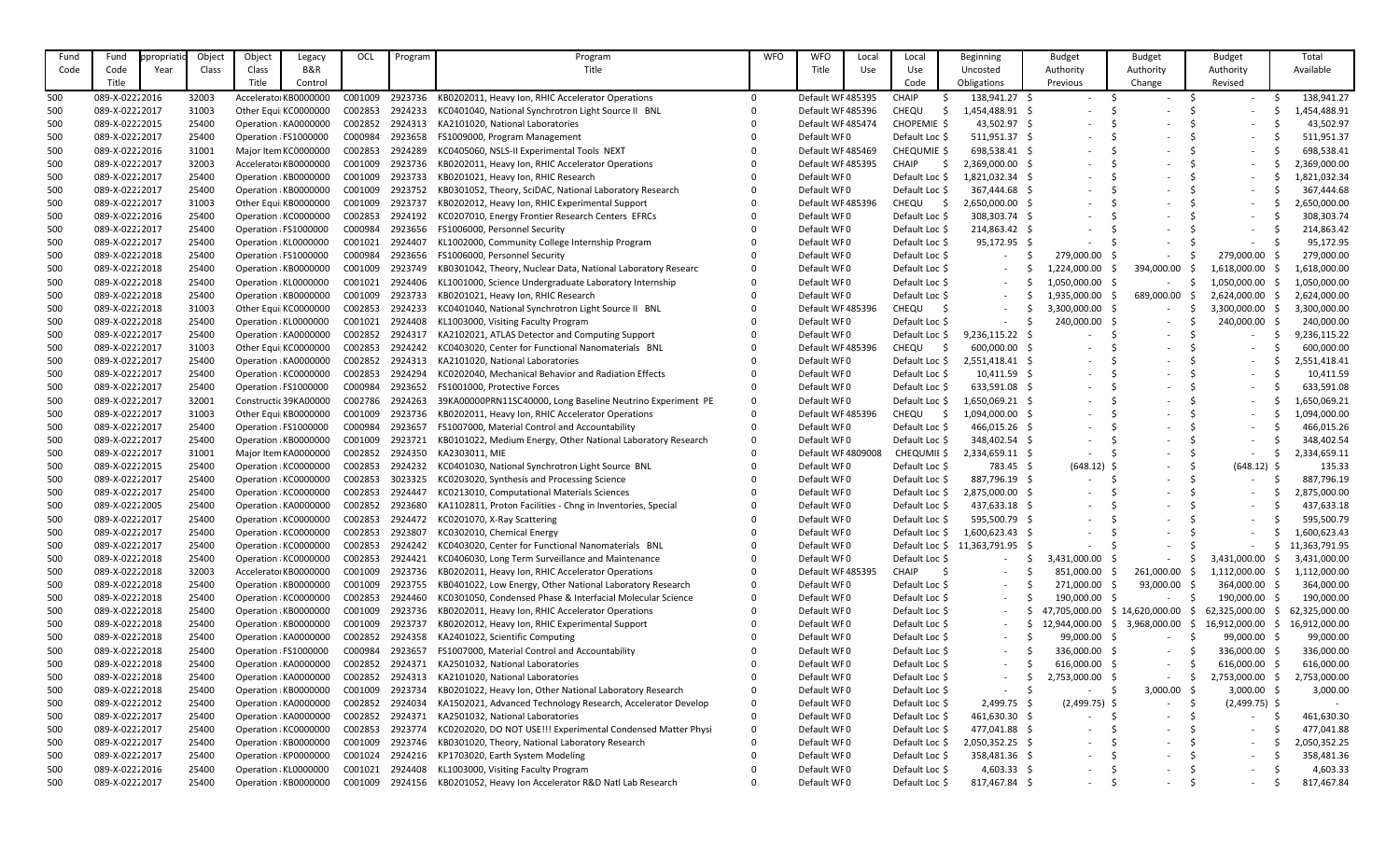| Fund | Fund           | ppropriati | Object | Object | Legacy                | OCL     | Program | Program                                                      | <b>WFO</b> | <b>WFO</b>        | Local | Local               | Beginning                       | <b>Budget</b>            | <b>Budget</b>            | <b>Budget</b>            | Total         |
|------|----------------|------------|--------|--------|-----------------------|---------|---------|--------------------------------------------------------------|------------|-------------------|-------|---------------------|---------------------------------|--------------------------|--------------------------|--------------------------|---------------|
| Code | Code           | Year       | Class  | Class  | <b>B&amp;R</b>        |         |         | Title                                                        |            | Title             | Use   | Use                 | Uncosted                        | Authority                | Authority                | Authority                | Available     |
|      | Title          |            |        | Title  | Control               |         |         |                                                              |            |                   |       | Code                | Obligations                     | Previous                 | Change                   | Revised                  |               |
| 500  | 089-X-02222016 |            | 32003  |        | Accelerator KB000000C | C001009 | 2923736 | KB0202011, Heavy Ion, RHIC Accelerator Operations            |            | Default WF485395  |       | <b>CHAIP</b>        | 138,941.27 \$                   |                          |                          |                          | 138,941.27    |
| 500  | 089-X-02222017 |            | 31003  |        | Other Equi  KC0000000 | C002853 | 2924233 | KC0401040, National Synchrotron Light Source II BNL          |            | Default WF485396  |       | CHEQU               | 1,454,488.91                    |                          |                          |                          | .,454,488.91  |
| 500  | 089-X-02222015 |            | 25400  |        | Operation : KA0000000 | C002852 | 2924313 | KA2101020, National Laboratories                             |            | Default WF485474  |       | CHOPEMIE \$         | 43,502.97 \$                    |                          |                          |                          | 43,502.97     |
| 500  | 089-X-02222017 |            | 25400  |        | Operation : FS1000000 | C000984 | 2923658 | FS1009000, Program Management                                |            | Default WF0       |       | Default Loc \$      | 511,951.37 \$                   |                          |                          |                          | 511,951.37    |
| 500  | 089-X-02222016 |            | 31001  |        | Major Item KC0000000  | C002853 | 2924289 | KC0405060, NSLS-II Experimental Tools NEXT                   |            | Default WF485469  |       | CHEQUMIE \$         | 698,538.41 \$                   |                          |                          |                          | 698,538.41    |
| 500  | 089-X-02222017 |            | 32003  |        | Accelerator KB0000000 | C001009 | 2923736 | KB0202011, Heavy Ion, RHIC Accelerator Operations            |            | Default WF485395  |       | <b>CHAIP</b>        | 2,369,000.00                    |                          |                          |                          | 2,369,000.00  |
| 500  | 089-X-02222017 |            | 25400  |        | Operation : KB0000000 | C001009 | 2923733 | KB0201021, Heavy Ion, RHIC Research                          |            | Default WF0       |       | Default Loc \$      | 1,821,032.34 \$                 |                          |                          |                          | 1,821,032.34  |
| 500  | 089-X-02222017 |            | 25400  |        | Operation : KB0000000 | C001009 | 2923752 | KB0301052, Theory, SciDAC, National Laboratory Research      |            | Default WF0       |       | Default Loc \$      | 367,444.68 \$                   |                          |                          |                          | 367,444.68    |
| 500  | 089-X-02222017 |            | 31003  |        | Other Equi KB0000000  | C001009 | 2923737 | KB0202012, Heavy Ion, RHIC Experimental Support              |            | Default WF485396  |       | CHEQU               | 2,650,000.00                    |                          |                          |                          | 2,650,000.00  |
| 500  | 089-X-02222016 |            | 25400  |        | Operation : KC0000000 | C002853 | 2924192 | KC0207010, Energy Frontier Research Centers EFRCs            |            | Default WF0       |       | Default Loc \$      | 308,303.74 \$                   |                          |                          |                          | 308,303.74    |
| 500  | 089-X-02222017 |            | 25400  |        | Operation : FS1000000 | C000984 | 2923656 | FS1006000, Personnel Security                                |            | Default WF0       |       | Default Loc \$      | 214,863.42 \$                   |                          |                          |                          | 214,863.42    |
| 500  | 089-X-02222017 |            | 25400  |        | Operation : KL0000000 | C001021 | 2924407 | KL1002000, Community College Internship Program              |            | Default WF0       |       | Default Loc \$      | 95,172.95 \$                    |                          |                          |                          | 95,172.95     |
| 500  | 089-X-02222018 |            | 25400  |        | Operation : FS1000000 | C000984 | 2923656 | FS1006000, Personnel Security                                |            | Default WF0       |       | Default Loc \$      |                                 | 279,000.00               | $\overline{\phantom{a}}$ | 279,000.00               | 279,000.00    |
| 500  | 089-X-02222018 |            | 25400  |        | Operation : KB0000000 | C001009 | 2923749 | KB0301042, Theory, Nuclear Data, National Laboratory Researc |            | Default WF0       |       | Default Loc \$      |                                 | 1,224,000.00             | 394,000.00               | 1,618,000.00             | ,618,000.00   |
| 500  | 089-X-02222018 |            | 25400  |        | Operation : KL0000000 | C001021 | 2924406 | KL1001000, Science Undergraduate Laboratory Internship       |            | Default WF0       |       | Default Loc \$      |                                 | 1,050,000.00 \$          | $\overline{\phantom{a}}$ | 1,050,000.00             | 1,050,000.00  |
| 500  | 089-X-02222018 |            | 25400  |        | Operation : KB0000000 | C001009 | 2923733 | KB0201021, Heavy Ion, RHIC Research                          |            | Default WF0       |       | Default Loc \$      |                                 | 1,935,000.00             | 689,000.00               | 2,624,000.00             | 2,624,000.00  |
| 500  | 089-X-02222018 |            | 31003  |        | Other Equi  KC0000000 | C002853 | 2924233 | KC0401040, National Synchrotron Light Source II BNL          |            | Default WF485396  |       | <b>CHEQU</b>        |                                 | 3,300,000.00 \$          | $\sim$                   | 3,300,000.00 \$          | 3,300,000.00  |
| 500  | 089-X-02222018 |            | 25400  |        | Operation : KL0000000 | C001021 | 2924408 | KL1003000, Visiting Faculty Program                          |            | Default WF0       |       | Default Loc \$      |                                 | 240,000.00               | $\overline{\phantom{a}}$ | 240,000.00               | 240,000.00    |
| 500  | 089-X-02222017 |            | 25400  |        | Operation : KA0000000 | C002852 | 2924317 | KA2102021, ATLAS Detector and Computing Support              |            | Default WF0       |       | Default Loc \$      | $9,236,115.22$ \$               |                          |                          |                          | 9,236,115.22  |
| 500  | 089-X-02222017 |            | 31003  |        | Other Equi  KC0000000 | C002853 | 2924242 | KC0403020, Center for Functional Nanomaterials BNL           |            | Default WF485396  |       | CHEQU<br>- S        | $600,000.00$ \$                 |                          |                          |                          | 600,000.00    |
| 500  | 089-X-02222017 |            | 25400  |        | Operation : KA0000000 | C002852 | 2924313 | KA2101020, National Laboratories                             |            | Default WF0       |       | Default Loc \$      | 2,551,418.41 \$                 |                          |                          |                          | 2,551,418.41  |
| 500  | 089-X-02222017 |            | 25400  |        | Operation : KC0000000 | C002853 | 2924294 | KC0202040, Mechanical Behavior and Radiation Effects         |            | Default WF0       |       | Default Loc \$      | $10,411.59$ \$                  |                          |                          |                          | 10,411.59     |
| 500  | 089-X-02222017 |            | 25400  |        | Operation : FS1000000 | C000984 | 2923652 | FS1001000, Protective Forces                                 |            | Default WF0       |       | Default Loc \$      | 633,591.08 \$                   |                          |                          |                          | 633,591.08    |
| 500  | 089-X-02222017 |            | 32001  |        | Constructic 39KA00000 | C002786 | 2924263 | 39KA00000PRN11SC40000, Long Baseline Neutrino Experiment PE  |            | Default WF0       |       | Default Loc \$      | 1,650,069.21 \$                 |                          |                          |                          | ,650,069.21   |
| 500  | 089-X-02222017 |            | 31003  |        | Other Equi  KB0000000 | C001009 | 2923736 | KB0202011, Heavy Ion, RHIC Accelerator Operations            |            | Default WF485396  |       | CHEQU<br>- S        | 1,094,000.00                    |                          |                          |                          | ,094,000.00   |
| 500  | 089-X-02222017 |            | 25400  |        | Operation : FS1000000 | C000984 | 2923657 | FS1007000, Material Control and Accountability               |            | Default WF0       |       | Default Loc \$      | 466,015.26 \$                   |                          |                          |                          | 466,015.26    |
| 500  | 089-X-02222017 |            | 25400  |        | Operation : KB0000000 | C001009 | 2923721 | KB0101022, Medium Energy, Other National Laboratory Research |            | Default WF0       |       | Default Loc \$      | 348,402.54                      |                          |                          |                          | 348,402.54    |
| 500  | 089-X-02222017 |            | 31001  |        | Major Item KA0000000  | C002852 | 2924350 | KA2303011, MIE                                               |            | Default WF4809008 |       | CHEQUMII \$         | 2,334,659.11                    |                          |                          |                          | 2,334,659.11  |
| 500  | 089-X-02222015 |            | 25400  |        | Operation : KC0000000 | C002853 | 2924232 | KC0401030, National Synchrotron Light Source BNL             |            | Default WF0       |       | Default Loc \$      | 783.45 \$                       | $(648.12)$ \$            |                          | $(648.12)$ \$            | 135.33        |
| 500  | 089-X-02222017 |            | 25400  |        | Operation : KC0000000 | C002853 | 3023325 | KC0203020, Synthesis and Processing Science                  |            | Default WF0       |       | Default Loc \$      | 887,796.19 \$                   |                          | $\overline{\phantom{a}}$ |                          | 887,796.19    |
| 500  | 089-X-02222017 |            | 25400  |        | Operation : KC0000000 | C002853 | 2924447 | KC0213010, Computational Materials Sciences                  |            | Default WF0       |       | Default Loc $\oint$ | 2,875,000.00 \$                 |                          |                          |                          | 2,875,000.00  |
| 500  | 089-X-02222005 |            | 25400  |        | Operation : KA0000000 | C002852 | 2923680 | KA1102811, Proton Facilities - Chng in Inventories, Special  |            | Default WF0       |       | Default Loc \$      | 437,633.18 \$                   | $\overline{\phantom{a}}$ | $\overline{\phantom{a}}$ |                          | 437,633.18    |
| 500  | 089-X-02222017 |            | 25400  |        | Operation : KC0000000 | C002853 | 2924472 | KC0201070, X-Ray Scattering                                  |            | Default WF0       |       | Default Loc \$      | 595,500.79 \$                   |                          |                          | $\sim$                   | 595,500.79    |
| 500  | 089-X-02222017 |            | 25400  |        | Operation : KC0000000 | C002853 | 2923807 | KC0302010, Chemical Energy                                   |            | Default WF0       |       | Default Loc \$      | 1,600,623.43 \$                 |                          |                          |                          | 1,600,623.43  |
| 500  | 089-X-02222017 |            | 25400  |        | Operation : KC0000000 | C002853 | 2924242 | KC0403020, Center for Functional Nanomaterials BNL           |            | Default WF0       |       |                     | Default Loc \$ 11,363,791.95 \$ |                          |                          |                          | 11,363,791.95 |
| 500  | 089-X-02222018 |            | 25400  |        | Operation : KC0000000 | C002853 | 2924421 | KC0406030, Long Term Surveillance and Maintenance            |            | Default WF0       |       | Default Loc \$      |                                 | 3,431,000.00             | $\overline{\phantom{a}}$ | 3,431,000.00             | 3,431,000.00  |
| 500  | 089-X-02222018 |            | 32003  |        | Accelerator KB0000000 | C001009 | 2923736 | KB0202011, Heavy Ion, RHIC Accelerator Operations            |            | Default WF485395  |       | <b>CHAIP</b>        |                                 | 851,000.00               | 261,000.00               | 1,112,000.00             | 1,112,000.00  |
| 500  | 089-X-02222018 |            | 25400  |        | Operation : KB0000000 | C001009 | 2923755 | KB0401022, Low Energy, Other National Laboratory Research    |            | Default WF0       |       | Default Loc \$      | $-$                             | 271,000.00               | 93,000.00                | 364,000.00               | 364,000.00    |
| 500  | 089-X-02222018 |            | 25400  |        | Operation : KC0000000 | C002853 | 2924460 | KC0301050, Condensed Phase & Interfacial Molecular Science   |            | Default WF0       |       | Default Loc \$      | $\sim$                          | 190,000.00               |                          | 190,000.00               | 190,000.00    |
| 500  | 089-X-02222018 |            | 25400  |        | Operation : KB0000000 | C001009 | 2923736 | KB0202011, Heavy Ion, RHIC Accelerator Operations            |            | Default WF0       |       | Default Loc \$      |                                 | 47,705,000.00            | \$14,620,000.00          | 62,325,000.00<br>- S     | 62,325,000.00 |
| 500  | 089-X-02222018 |            | 25400  |        | Operation : KB0000000 | C001009 | 2923737 | KB0202012, Heavy Ion, RHIC Experimental Support              |            | Default WF0       |       | Default Loc \$      |                                 | 12,944,000.00            | 3,968,000.00<br>S.       | 16,912,000.00<br>- S     | 16,912,000.00 |
| 500  | 089-X-02222018 |            | 25400  |        | Operation : KA0000000 | C002852 | 2924358 | KA2401022, Scientific Computing                              |            | Default WF0       |       | Default Loc \$      |                                 | $99,000.00$ \$           | $\overline{\phantom{a}}$ | 99,000.00                | 99,000.00     |
| 500  | 089-X-02222018 |            | 25400  |        | Operation : FS1000000 | C000984 | 2923657 | FS1007000, Material Control and Accountability               |            | Default WF0       |       | Default Loc \$      | $-$                             | 336,000.00               | $\sim$                   | 336,000.00 \$            | 336,000.00    |
| 500  | 089-X-02222018 |            | 25400  |        | Operation : KA0000000 | C002852 | 2924371 | KA2501032, National Laboratories                             |            | Default WF0       |       | Default Loc \$      |                                 | 616,000.00               | $\overline{\phantom{a}}$ | 616,000.00               | 616,000.00    |
| 500  | 089-X-02222018 |            | 25400  |        | Operation : KA0000000 | C002852 | 2924313 | KA2101020, National Laboratories                             |            | Default WF0       |       | Default Loc \$      |                                 | 2,753,000.00             | $\overline{\phantom{a}}$ | 2,753,000.00 \$          | 2,753,000.00  |
| 500  | 089-X-02222018 |            | 25400  |        | Operation : KB0000000 | C001009 | 2923734 | KB0201022, Heavy Ion, Other National Laboratory Research     |            | Default WF0       |       | Default Loc \$      |                                 |                          | 3,000.00                 | 3,000.00                 | 3,000.00      |
| 500  | 089-X-02222012 |            | 25400  |        | Operation : KA0000000 | C002852 | 2924034 | KA1502021, Advanced Technology Research, Accelerator Develop |            | Default WF0       |       | Default Loc \$      | 2,499.75 \$                     | $(2,499.75)$ \$          |                          | $(2,499.75)$ \$          |               |
| 500  | 089-X-02222017 |            | 25400  |        | Operation : KA0000000 | C002852 | 2924371 | KA2501032, National Laboratories                             |            | Default WF0       |       | Default Loc \$      | 461,630.30 \$                   |                          |                          |                          | 461,630.30    |
| 500  | 089-X-02222017 |            | 25400  |        | Operation : KC0000000 | C002853 | 2923774 | KC0202020, DO NOT USE!!! Experimental Condensed Matter Physi |            | Default WF0       |       | Default Loc \$      | 477,041.88 \$                   |                          |                          |                          | 477,041.88    |
| 500  | 089-X-02222017 |            | 25400  |        | Operation : KB0000000 | C001009 | 2923746 | KB0301020, Theory, National Laboratory Research              |            | Default WF0       |       | Default Loc \$      | 2,050,352.25 \$                 |                          |                          |                          | 2,050,352.25  |
| 500  | 089-X-02222017 |            | 25400  |        | Operation : KP0000000 | C001024 | 2924216 | KP1703020, Earth System Modeling                             |            | Default WF0       |       | Default Loc \$      | 358,481.36 \$                   | $\overline{\phantom{a}}$ |                          | $\overline{\phantom{0}}$ | 358,481.36    |
| 500  | 089-X-02222016 |            | 25400  |        | Operation : KL0000000 | C001021 | 2924408 | KL1003000, Visiting Faculty Program                          |            | Default WF0       |       | Default Loc \$      | $4,603.33$ \$                   |                          |                          | $\overline{\phantom{0}}$ | 4,603.33      |
| 500  | 089-X-02222017 |            | 25400  |        | Operation : KB0000000 | C001009 | 2924156 | KB0201052, Heavy Ion Accelerator R&D Natl Lab Research       |            | Default WF0       |       | Default Loc \$      | 817,467.84 \$                   | $\overline{\phantom{a}}$ |                          |                          | 817,467.84    |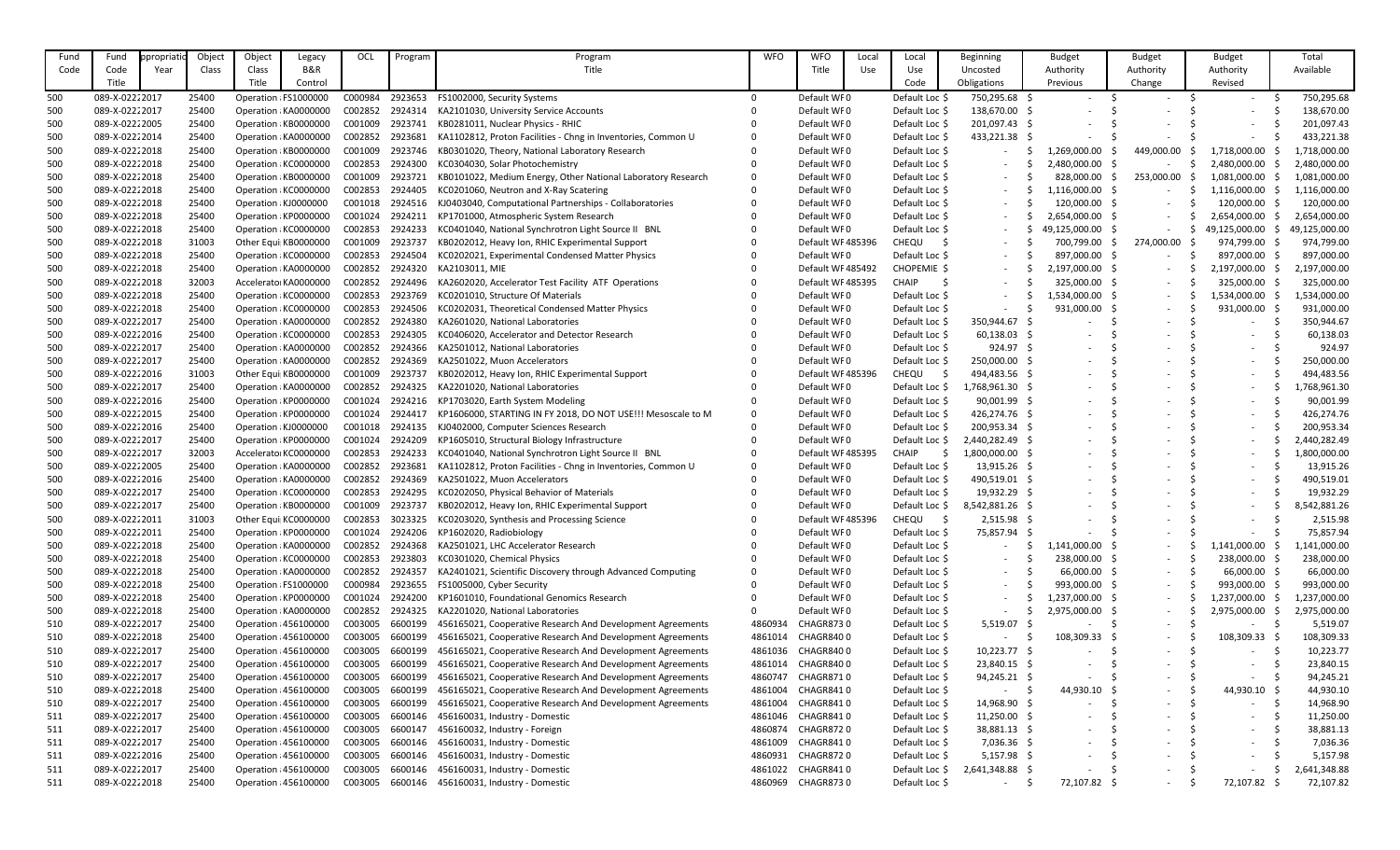| Fund       | Fund                             | propriatio | Object         | Object | Legacy                                         | OCL                | Program            | Program                                                                                                                  | <b>WFO</b>         | <b>WFO</b>             | Local | Local                            | Beginning                | <b>Budget</b>   | <b>Budget</b>                                        | <b>Budget</b>            | Total                  |
|------------|----------------------------------|------------|----------------|--------|------------------------------------------------|--------------------|--------------------|--------------------------------------------------------------------------------------------------------------------------|--------------------|------------------------|-------|----------------------------------|--------------------------|-----------------|------------------------------------------------------|--------------------------|------------------------|
| Code       | Code                             | Year       | Class          | Class  | <b>B&amp;R</b>                                 |                    |                    | Title                                                                                                                    |                    | Title                  | Use   | Use                              | Uncosted                 | Authority       | Authority                                            | Authority                | Available              |
|            | Title                            |            |                | Title  | Control                                        |                    |                    |                                                                                                                          |                    |                        |       | Code                             | Obligations              | Previous        | Change                                               | Revised                  |                        |
| 500        | 089-X-02222017                   |            | 25400          |        | Operation : FS1000000                          | C000984            | 2923653            | FS1002000, Security Systems                                                                                              |                    | Default WF0            |       | Default Loc \$                   | 750,295.68 \$            |                 |                                                      |                          | 750,295.68             |
| 500        | 089-X-02222017                   |            | 25400          |        | Operation : KA0000000                          | C002852            | 2924314            | KA2101030, University Service Accounts                                                                                   |                    | Default WF0            |       | Default Loc \$                   | 138,670.00 \$            |                 |                                                      |                          | 138,670.00             |
| 500        | 089-X-02222005                   |            | 25400          |        | Operation : KB0000000                          | C001009            | 2923741            | KB0281011, Nuclear Physics - RHIC                                                                                        |                    | Default WF0            |       | Default Loc \$                   | 201,097.43 \$            |                 |                                                      |                          | 201,097.43             |
| 500        | 089-X-02222014                   |            | 25400          |        | Operation : KA0000000                          | C002852            | 2923681            | KA1102812, Proton Facilities - Chng in Inventories, Common U                                                             |                    | Default WF0            |       | Default Loc \$                   | 433,221.38 \$            |                 |                                                      |                          | 433,221.38             |
| 500        | 089-X-02222018                   |            | 25400          |        | Operation : KB0000000                          | C001009            | 2923746            | KB0301020, Theory, National Laboratory Research                                                                          |                    | Default WF0            |       | Default Loc \$                   |                          | 1,269,000.00    | 449,000.00                                           | 1,718,000.00             | ,718,000.00            |
| 500        | 089-X-02222018                   |            | 25400          |        | Operation : KC0000000                          | C002853            | 2924300            | KC0304030, Solar Photochemistry                                                                                          |                    | Default WF0            |       | Default Loc \$                   |                          | 2,480,000.00    |                                                      | 2,480,000.00             | 2,480,000.00           |
| 500        | 089-X-02222018                   |            | 25400          |        | Operation : KB0000000                          | C001009            | 2923721            | KB0101022, Medium Energy, Other National Laboratory Research                                                             |                    | Default WF0            |       | Default Loc \$                   |                          | 828,000.00      | 253,000.00                                           | 1,081,000.00             | 1,081,000.00           |
| 500        | 089-X-02222018                   |            | 25400          |        | Operation : KC0000000                          | C002853            | 2924405            | KC0201060, Neutron and X-Ray Scatering                                                                                   |                    | Default WF0            |       | Default Loc \$                   |                          | 1,116,000.00 \$ | $\sim$                                               | 1,116,000.00             | L,116,000.00           |
| 500        | 089-X-02222018                   |            | 25400          |        | Operation : KJ0000000                          | C001018            | 2924516            | KJ0403040, Computational Partnerships - Collaboratories                                                                  |                    | Default WF0            |       | Default Loc \$                   |                          | 120,000.00      | $\sim$                                               | 120,000.00               | 120,000.00             |
| 500        | 089-X-02222018                   |            | 25400          |        | Operation : KP0000000                          | C001024            | 2924211            | KP1701000, Atmospheric System Research                                                                                   |                    | Default WF0            |       | Default Loc \$                   |                          | 2,654,000.00    | $\overline{\phantom{a}}$                             | 2,654,000.00             | 2,654,000.00           |
| 500        | 089-X-02222018                   |            | 25400          |        | Operation : KC0000000                          | C002853            | 2924233            | KC0401040, National Synchrotron Light Source II BNL                                                                      |                    | Default WF0            |       | Default Loc \$                   |                          | 49,125,000.00   | $\overline{\phantom{a}}$                             | 49,125,000.00<br>- S     | 49,125,000.00          |
| 500        | 089-X-02222018                   |            | 31003          |        | Other Equi KB0000000                           | C001009            | 2923737            | KB0202012, Heavy Ion, RHIC Experimental Support                                                                          |                    | Default WF485396       |       | CHEQU                            |                          | 700,799.00      | 274,000.00                                           | 974,799.00               | 974,799.00             |
| 500        | 089-X-02222018                   |            | 25400          |        | Operation : KC0000000                          | C002853            | 2924504            | KC0202021, Experimental Condensed Matter Physics                                                                         |                    | Default WF0            |       | Default Loc \$                   |                          | 897,000.00 \$   | $\sim$                                               | 897,000.00               | 897,000.00             |
| 500        | 089-X-02222018                   |            | 25400          |        | Operation : KA0000000                          | C002852            | 2924320            | KA2103011, MIE                                                                                                           |                    | Default WF485492       |       | CHOPEMIE \$                      |                          | 2,197,000.00    | $\sim$                                               | 2,197,000.00             | 2,197,000.00           |
| 500        | 089-X-02222018                   |            | 32003          |        | Accelerator KA0000000                          | C002852            | 2924496            | KA2602020, Accelerator Test Facility ATF Operations                                                                      |                    | Default WF485395       |       | <b>CHAIP</b>                     |                          | 325,000.00 \$   | $\overline{\phantom{a}}$                             | 325,000.00 \$            | 325,000.00             |
| 500        | 089-X-02222018                   |            | 25400          |        | Operation : KC0000000                          | C002853            | 2923769            | KC0201010, Structure Of Materials                                                                                        |                    | Default WF0            |       | Default Loc \$                   |                          | 1,534,000.00    | $\sim$                                               | 1,534,000.00 \$          | L,534,000.00           |
| 500        | 089-X-02222018                   |            | 25400          |        | Operation : KC0000000                          | C002853            | 2924506            | KC0202031, Theoretical Condensed Matter Physics                                                                          |                    | Default WF0            |       | Default Loc \$                   |                          | 931,000.00      | $\sim$                                               | 931,000.00               | 931,000.00             |
| 500        | 089-X-02222017                   |            | 25400          |        | Operation : KA0000000                          | C002852            | 2924380            | KA2601020, National Laboratories                                                                                         |                    | Default WF0            |       | Default Loc \$                   | 350,944.67 \$            |                 |                                                      |                          | 350,944.67             |
| 500        | 089-X-02222016                   |            | 25400          |        | Operation : KC000000C                          | C002853            | 2924305            | KC0406020, Accelerator and Detector Research                                                                             |                    | Default WF0            |       | Default Loc \$                   | $60,138.03$ \$           |                 |                                                      |                          | 60,138.03              |
| 500        | 089-X-02222017                   |            | 25400          |        | Operation : KA0000000                          | C002852            | 2924366            | KA2501012, National Laboratories                                                                                         |                    | Default WF0            |       | Default Loc \$                   | 924.97 \$                |                 |                                                      |                          | 924.97                 |
| 500        | 089-X-02222017                   |            | 25400          |        | Operation : KA0000000                          | C002852            | 2924369            | KA2501022, Muon Accelerators                                                                                             |                    | Default WF0            |       | Default Loc \$                   | 250,000.00 \$            |                 |                                                      |                          | 250,000.00             |
| 500        | 089-X-02222016                   |            | 31003          |        | Other Equi KB0000000                           | C001009            | 2923737            | KB0202012, Heavy Ion, RHIC Experimental Support                                                                          |                    | Default WF485396       |       | CHEQU                            | 494,483.56 \$            |                 |                                                      |                          | 494,483.56             |
| 500        | 089-X-02222017                   |            | 25400          |        | Operation : KA0000000                          | C002852            | 2924325            | KA2201020, National Laboratories                                                                                         |                    | Default WF0            |       | Default Loc \$                   | 1,768,961.30 \$          |                 |                                                      |                          | ,768,961.30            |
| 500        | 089-X-02222016                   |            | 25400          |        | Operation : KP0000000                          | C001024            | 2924216            | KP1703020, Earth System Modeling                                                                                         |                    | Default WF0            |       | Default Loc \$                   | 90,001.99 \$             |                 |                                                      |                          | 90,001.99              |
| 500        | 089-X-02222015                   |            | 25400          |        | Operation : KP0000000                          | C001024            | 2924417            | KP1606000, STARTING IN FY 2018, DO NOT USE!!! Mesoscale to M                                                             |                    | Default WF0            |       | Default Loc \$                   | 426,274.76 \$            |                 |                                                      |                          | 426,274.76             |
| 500        | 089-X-02222016                   |            | 25400          |        | Operation : KJ0000000                          | C001018            | 2924135            | KJ0402000, Computer Sciences Research                                                                                    |                    | Default WF0            |       | Default Loc \$                   | 200,953.34 \$            |                 |                                                      |                          | 200,953.34             |
| 500        | 089-X-02222017                   |            | 25400          |        | Operation : KP0000000                          | C001024            | 2924209            | KP1605010, Structural Biology Infrastructure                                                                             |                    | Default WF0            |       | Default Loc \$                   | 2,440,282.49             |                 |                                                      |                          | 2,440,282.49           |
| 500        | 089-X-02222017                   |            | 32003          |        | Accelerator KC0000000                          | C002853            | 2924233            | KC0401040, National Synchrotron Light Source II BNL                                                                      |                    | Default WF485395       |       | <b>CHAIP</b>                     | 1,800,000.00             |                 |                                                      |                          | 1,800,000.00           |
| 500        | 089-X-02222005                   |            | 25400          |        | Operation : KA0000000                          | C002852            | 2923681            | KA1102812, Proton Facilities - Chng in Inventories, Common U                                                             |                    | Default WF0            |       | Default Loc \$                   | 13,915.26 \$             |                 |                                                      |                          | 13,915.26              |
| 500        | 089-X-02222016                   |            | 25400          |        | Operation : KA0000000                          | C002852            | 2924369            | KA2501022, Muon Accelerators                                                                                             |                    | Default WF0            |       | Default Loc \$                   | 490,519.01 \$            |                 |                                                      |                          | 490,519.01             |
| 500        | 089-X-02222017                   |            | 25400          |        | Operation : KC0000000                          | C002853            | 2924295            | KC0202050, Physical Behavior of Materials                                                                                |                    | Default WF0            |       | Default Loc \$                   | 19,932.29 \$             |                 |                                                      |                          | 19,932.29              |
| 500        | 089-X-02222017                   |            | 25400          |        | Operation : KB0000000                          | C001009            | 2923737            | KB0202012, Heavy Ion, RHIC Experimental Support                                                                          |                    | Default WF0            |       | Default Loc \$                   | 8,542,881.26 \$          |                 |                                                      |                          | 8,542,881.26           |
| 500        | 089-X-02222011                   |            | 31003          |        | Other Equi  KC0000000                          | C002853            | 3023325            | KC0203020, Synthesis and Processing Science                                                                              |                    | Default WF485396       |       | <b>CHEQU</b>                     | $2,515.98$ \$            |                 | $\overline{\phantom{a}}$                             | $\overline{\phantom{0}}$ | 2,515.98               |
| 500        | 089-X-02222011                   |            | 25400          |        | Operation : KP0000000                          | C001024            | 2924206            | KP1602020, Radiobiology                                                                                                  |                    | Default WF0            |       | Default Loc \$                   | 75,857.94 \$             |                 | $\overline{\phantom{a}}$                             | $\sim$                   | 75,857.94              |
| 500        | 089-X-02222018                   |            | 25400          |        | Operation : KA0000000                          | C002852            | 2924368            | KA2501021, LHC Accelerator Research                                                                                      |                    | Default WF0            |       | Default Loc \$                   |                          | 1,141,000.00    | $\overline{\phantom{a}}$                             | 1,141,000.00             | ,141,000.00            |
| 500        | 089-X-02222018                   |            | 25400          |        | Operation : KC0000000                          | C002853            | 2923803            | KC0301020, Chemical Physics                                                                                              |                    | Default WF0            |       | Default Loc \$                   |                          | 238,000.00      | $\sim$                                               | 238,000.00               | 238,000.00             |
| 500        | 089-X-02222018                   |            | 25400          |        | Operation : KA0000000                          | C002852            | 2924357            | KA2401021, Scientific Discovery through Advanced Computing                                                               |                    | Default WF0            |       | Default Loc \$                   |                          | 66,000.00       | $\sim$                                               | 66,000.00                | 66,000.00              |
| 500        | 089-X-02222018                   |            | 25400          |        | Operation : FS1000000                          | C000984            | 2923655            | FS1005000, Cyber Security                                                                                                |                    | Default WF0            |       | Default Loc \$                   | $\sim$                   | 993,000.00      | $\sim$                                               | 993,000.00               | 993,000.00             |
| 500        | 089-X-02222018                   |            | 25400          |        | Operation : KP0000000                          | C001024            | 2924200            | KP1601010, Foundational Genomics Research                                                                                |                    | Default WF0            |       | Default Loc \$                   |                          | 1,237,000.00    | $\overline{\phantom{a}}$                             | 1,237,000.00             | 1,237,000.00           |
| 500        | 089-X-02222018                   |            | 25400          |        | Operation : KA0000000                          | C002852            | 2924325            | KA2201020, National Laboratories                                                                                         |                    | Default WF0            |       | Default Loc \$                   |                          | 2,975,000.00    | $\overline{\phantom{a}}$                             | 2,975,000.00<br>- S      | 2,975,000.00           |
| 510        | 089-X-02222017                   |            | 25400          |        | Operation : 456100000                          | C003005            | 6600199            | 456165021, Cooperative Research And Development Agreements                                                               | 4860934            | <b>CHAGR8730</b>       |       | Default Loc \$                   | 5,519.07                 |                 | $\overline{\phantom{a}}$                             | $\sim$                   | 5,519.07               |
| 510        | 089-X-02222018                   |            | 25400          |        | Operation : 456100000                          | C003005            | 6600199            | 456165021, Cooperative Research And Development Agreements                                                               | 4861014            | CHAGR8400              |       | Default Loc \$                   |                          | 108,309.33      | $\sim$                                               | 108,309.33               | 108,309.33             |
| 510        | 089-X-02222017                   |            | 25400          |        | Operation : 456100000                          | C003005            | 6600199            | 456165021, Cooperative Research And Development Agreements                                                               | 4861036            | CHAGR8400              |       | Default Loc \$                   | 10,223.77 \$             |                 | $\overline{\phantom{a}}$                             | $\overline{\phantom{0}}$ | 10,223.77              |
| 510        | 089-X-02222017                   |            | 25400          |        | Operation : 456100000                          | C003005<br>C003005 | 6600199<br>6600199 | 456165021, Cooperative Research And Development Agreements<br>456165021, Cooperative Research And Development Agreements | 4861014<br>4860747 | CHAGR8400<br>CHAGR8710 |       | Default Loc \$                   | 23,840.15 \$             |                 |                                                      |                          | 23,840.15              |
| 510<br>510 | 089-X-02222017<br>089-X-02222018 |            | 25400<br>25400 |        | Operation : 456100000<br>Operation : 456100000 | C003005            | 6600199            | 456165021, Cooperative Research And Development Agreements                                                               | 4861004            | CHAGR8410              |       | Default Loc \$<br>Default Loc \$ | 94,245.21 \$             | 44,930.10       | $\overline{\phantom{a}}$<br>$\overline{\phantom{a}}$ | 44,930.10                | 94,245.21<br>44,930.10 |
| 510        | 089-X-02222017                   |            | 25400          |        | Operation : 456100000                          | C003005            | 6600199            | 456165021, Cooperative Research And Development Agreements                                                               | 4861004            | CHAGR8410              |       | Default Loc \$                   | 14,968.90 \$             |                 | $\overline{\phantom{a}}$                             |                          | 14,968.90              |
| 511        | 089-X-02222017                   |            | 25400          |        | Operation : 456100000                          | C003005            | 6600146            | 456160031, Industry - Domestic                                                                                           | 4861046            | CHAGR8410              |       | Default Loc \$                   | 11,250.00                |                 | $\overline{\phantom{a}}$                             |                          | 11,250.00              |
| 511        | 089-X-02222017                   |            | 25400          |        | Operation : 456100000                          | C003005            | 6600147            | 456160032, Industry - Foreign                                                                                            | 4860874            | CHAGR8720              |       | Default Loc \$                   | 38,881.13 \$             |                 |                                                      |                          | 38,881.13              |
| 511        | 089-X-02222017                   |            | 25400          |        | Operation : 456100000                          | C003005            | 6600146            | 456160031, Industry - Domestic                                                                                           | 4861009            | CHAGR8410              |       | Default Loc \$                   | 7,036.36 \$              |                 |                                                      |                          | 7,036.36               |
| 511        | 089-X-02222016                   |            | 25400          |        | Operation : 456100000                          | C003005            | 6600146            | 456160031, Industry - Domestic                                                                                           | 4860931            | <b>CHAGR8720</b>       |       | Default Loc \$                   | $5,157.98$ \$            |                 | $\overline{\phantom{a}}$                             | $\overline{\phantom{0}}$ | 5,157.98               |
| 511        | 089-X-02222017                   |            | 25400          |        | Operation : 456100000                          | C003005            | 6600146            | 456160031, Industry - Domestic                                                                                           | 4861022            | CHAGR8410              |       | Default Loc \$                   | 2,641,348.88 \$          |                 |                                                      | $\sim$                   | 2,641,348.88           |
| 511        | 089-X-02222018                   |            | 25400          |        | Operation : 456100000                          | C003005            | 6600146            | 456160031, Industry - Domestic                                                                                           | 4860969            | CHAGR8730              |       | Default Loc \$                   | $\overline{\phantom{0}}$ | 72,107.82       | $\overline{\phantom{a}}$                             | 72,107.82 \$             | 72,107.82              |
|            |                                  |            |                |        |                                                |                    |                    |                                                                                                                          |                    |                        |       |                                  |                          |                 |                                                      |                          |                        |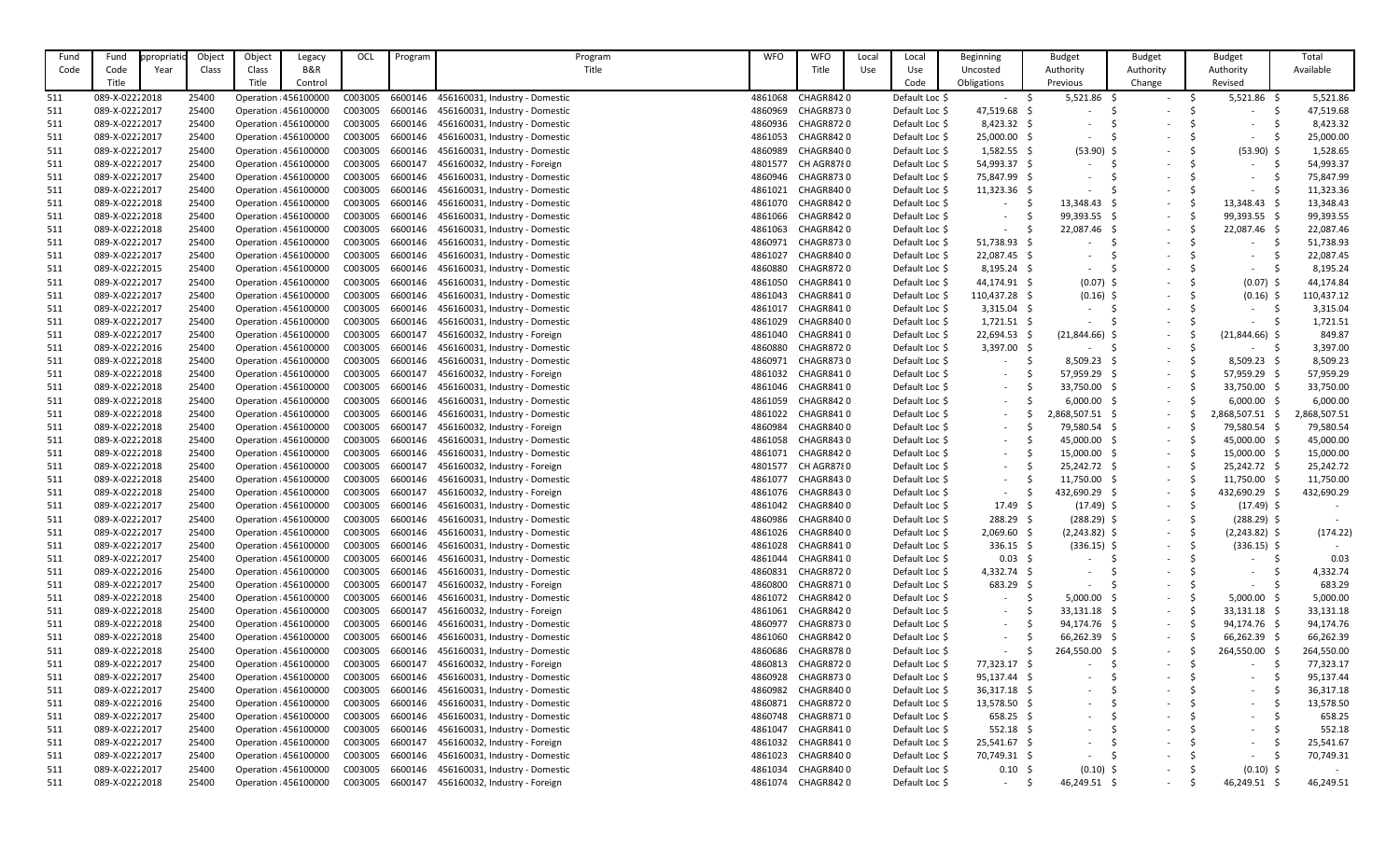| B&R<br>Title<br>Title<br>Available<br>Class<br>Use<br>Use<br>Authority<br>Authority<br>Code<br>Code<br>Year<br>Class<br>Uncosted<br>Authority<br>Title<br>Title<br>Code<br>Control<br>Obligations<br>Revised<br>Previous<br>Change<br>089-X-02222018<br>25400<br>6600146<br>4861068<br>CHAGR8420<br>$5,521.86$ \$<br>$5,521.86$ \$<br>5,521.86<br>511<br>Operation : 456100000<br>C003005<br>456160031, Industry - Domestic<br>Default Loc \$<br>$\sim$<br>47,519.68<br>089-X-02222017<br>456160031, Industry - Domestic<br>4860969<br>CHAGR8730<br>Default Loc \$<br>47,519.68 \$<br>25400<br>Operation : 456100000<br>C003005<br>6600146<br>511<br>$\overline{\phantom{a}}$<br>8,423.32<br>089-X-02222017<br>25400<br>Operation : 456100000<br>C003005<br>6600146<br>456160031, Industry - Domestic<br>4860936<br><b>CHAGR8720</b><br>Default Loc \$<br>$8,423.32$ \$<br>511<br>25,000.00<br>089-X-02222017<br>25,000.00 \$<br>25400<br>Operation : 456100000<br>C003005<br>6600146<br>456160031, Industry - Domestic<br>4861053<br>CHAGR8420<br>Default Loc \$<br>511<br>$\overline{\phantom{a}}$<br>1,528.65<br>089-X-02222017<br>25400<br>Operation : 456100000<br>C003005<br>6600146<br>4860989<br>CHAGR8400<br>Default Loc \$<br>$1,582.55$ \$<br>$(53.90)$ \$<br>$(53.90)$ \$<br>511<br>456160031, Industry - Domestic<br>54,993.37 \$<br>54,993.37<br>089-X-02222017<br>C003005<br>6600147<br>456160032, Industry - Foreign<br>CH AGR8780<br>511<br>25400<br>Operation : 456100000<br>4801577<br>Default Loc \$<br>75,847.99<br>089-X-02222017<br>Operation : 456100000<br>C003005<br>6600146<br>456160031, Industry - Domestic<br>4860946<br><b>CHAGR8730</b><br>75,847.99 \$<br>511<br>25400<br>Default Loc \$<br>11,323.36<br>089-X-02222017<br>25400<br>Operation : 456100000<br>C003005<br>6600146<br>456160031, Industry - Domestic<br>CHAGR8400<br>$11,323.36$ \$<br>511<br>4861021<br>Default Loc \$<br>$\overline{\phantom{a}}$<br>$\overline{\phantom{a}}$<br>13,348.43<br>089-X-02222018<br>25400<br>C003005<br>6600146<br>4861070<br>CHAGR8420<br>Default Loc \$<br>13,348.43 \$<br>13,348.43<br>511<br>Operation : 456100000<br>456160031, Industry - Domestic<br>$\overline{\phantom{0}}$<br>99,393.55<br>089-X-02222018<br>25400<br>Operation : 456100000<br>C003005<br>6600146<br>456160031, Industry - Domestic<br>CHAGR8420<br>Default Loc \$<br>99,393.55 \$<br>99,393.55 \$<br>511<br>4861066<br>$\sim$<br>$\overline{\phantom{a}}$<br>22,087.46 \$<br>22,087.46<br>089-X-02222018<br>C003005<br>6600146<br>456160031, Industry - Domestic<br>CHAGR8420<br>Default Loc \$<br>22,087.46 \$<br>511<br>25400<br>Operation : 456100000<br>4861063<br>$\overline{\phantom{0}}$<br>51,738.93<br>089-X-02222017<br>25400<br>C003005<br>6600146<br>456160031, Industry - Domestic<br>4860971<br><b>CHAGR8730</b><br>Default Loc \$<br>51,738.93 \$<br>511<br>Operation : 456100000<br>$\overline{\phantom{a}}$<br>089-X-02222017<br>6600146<br>456160031, Industry - Domestic<br>Default Loc \$<br>22,087.45 \$<br>22,087.45<br>511<br>25400<br>Operation : 456100000<br>C003005<br>4861027<br>CHAGR8400<br>$\overline{\phantom{a}}$<br>$\overline{\phantom{a}}$<br>8,195.24<br>089-X-02222015<br>25400<br>C003005<br>6600146<br>4860880<br><b>CHAGR8720</b><br>Default Loc \$<br>$8,195.24$ \$<br>511<br>Operation : 456100000<br>456160031, Industry - Domestic<br>$\overline{\phantom{a}}$<br>44,174.84<br>089-X-02222017<br>Operation : 456100000<br>C003005<br>6600146<br>456160031, Industry - Domestic<br>CHAGR8410<br>Default Loc \$<br>44,174.91 \$<br>$(0.07)$ \$<br>$(0.07)$ \$<br>511<br>25400<br>4861050<br>089-X-02222017<br>C003005<br>6600146<br>CHAGR8410<br>Default Loc \$<br>110,437.28 \$<br>$(0.16)$ \$<br>$(0.16)$ \$<br>110,437.12<br>511<br>25400<br>Operation : 456100000<br>456160031, Industry - Domestic<br>4861043<br>089-X-02222017<br>6600146<br>456160031, Industry - Domestic<br>Default Loc \$<br>3,315.04<br>511<br>25400<br>Operation : 456100000<br>C003005<br>4861017<br>CHAGR8410<br>$3,315.04$ \$<br>$\overline{\phantom{a}}$<br>089-X-02222017<br>C003005<br>6600146<br>CHAGR8400<br>Default Loc \$<br>$1,721.51$ \$<br>1,721.51<br>511<br>25400<br>Operation : 456100000<br>456160031, Industry - Domestic<br>4861029<br>$\sim$<br>849.87<br>089-X-02222017<br>6600147<br>Default Loc \$<br>22,694.53 \$<br>$(21,844.66)$ \$<br>$(21,844.66)$ \$<br>511<br>25400<br>Operation : 456100000<br>C003005<br>456160032, Industry - Foreign<br>4861040<br>CHAGR8410<br>$\overline{\phantom{0}}$<br>3,397.00<br>089-X-02222016<br>Operation : 456100000<br>6600146<br>4860880<br>CHAGR8720<br>Default Loc \$<br>$3,397.00$ \$<br>511<br>25400<br>C003005<br>456160031, Industry - Domestic<br>$\sim$<br>$\overline{\phantom{a}}$<br>089-X-02222018<br><b>CHAGR8730</b><br>Default Loc \$<br>$8,509.23$ \$<br>8,509.23<br>8,509.23<br>511<br>25400<br>Operation : 456100000<br>C003005<br>6600146<br>456160031, Industry - Domestic<br>4860971<br>$\sim$<br>089-X-02222018<br>C003005<br>6600147<br>Default Loc \$<br>57,959.29<br>511<br>25400<br>Operation : 456100000<br>456160032, Industry - Foreign<br>4861032<br>CHAGR8410<br>57,959.29 \$<br>57,959.29<br>$\sim$<br>089-X-02222018<br>C003005<br>6600146<br>456160031, Industry - Domestic<br>CHAGR8410<br>Default Loc \$<br>33,750.00 \$<br>33,750.00<br>33,750.00<br>511<br>25400<br>Operation : 456100000<br>4861046<br>$\sim$<br>6600146<br>Default Loc \$<br>6,000.00<br>511<br>089-X-02222018<br>25400<br>Operation : 456100000<br>C003005<br>456160031, Industry - Domestic<br>4861059<br>CHAGR8420<br>$6,000.00$ \$<br>6,000.00<br>$\overline{\phantom{a}}$<br>089-X-02222018<br>456160031, Industry - Domestic<br>Default Loc \$<br>2,868,507.51<br>2,868,507.51<br>511<br>25400<br>Operation : 456100000<br>C003005<br>6600146<br>4861022<br>CHAGR8410<br>2,868,507.51 \$<br>$\sim$<br>79,580.54<br>089-X-02222018<br>C003005<br>6600147<br>456160032, Industry - Foreign<br>4860984<br>CHAGR8400<br>Default Loc \$<br>79,580.54 \$<br>79,580.54<br>511<br>25400<br>Operation : 456100000<br>$\sim$<br>45,000.00<br>089-X-02222018<br>25400<br>C003005<br>6600146<br>456160031, Industry - Domestic<br>CHAGR8430<br>Default Loc \$<br>45,000.00<br>45,000.00<br>511<br>Operation : 456100000<br>4861058<br>$\sim$<br>089-X-02222018<br>25400<br>C003005<br>6600146<br>CHAGR8420<br>15,000.00<br>15,000.00<br>15,000.00<br>511<br>Operation : 456100000<br>456160031, Industry - Domestic<br>4861071<br>Default Loc \$<br>25,242.72 \$<br>511<br>089-X-02222018<br>25400<br>456160032, Industry - Foreign<br>CH AGR8780<br>Default Loc \$<br>25,242.72 \$<br>25,242.72<br>Operation : 456100000<br>C003005<br>6600147<br>4801577<br>$\overline{\phantom{0}}$<br>089-X-02222018<br>6600146<br>456160031, Industry - Domestic<br>CHAGR8430<br>Default Loc \$<br>$11,750.00$ \$<br>11,750.00<br>11,750.00<br>25400<br>Operation : 456100000<br>C003005<br>4861077<br>511<br>$\sim$<br>089-X-02222018<br>432,690.29<br>432,690.29<br>511<br>25400<br>Operation : 456100000<br>C003005<br>6600147<br>456160032, Industry - Foreign<br>4861076<br>CHAGR8430<br>Default Loc \$<br>432,690.29 \$<br>$\sim$<br>$\sim$<br>089-X-02222017<br>C003005<br>6600146<br>4861042<br>Default Loc \$<br>$17.49 \; \simeq$<br>$(17.49)$ \$<br>$(17.49)$ \$<br>511<br>25400<br>Operation : 456100000<br>456160031, Industry - Domestic<br>CHAGR8400<br>-S<br>$\sim$<br>089-X-02222017<br>6600146<br>4860986<br>Default Loc \$<br>$288.29$ \$<br>$(288.29)$ \$<br>$(288.29)$ \$<br>511<br>25400<br>Operation : 456100000<br>C003005<br>456160031, Industry - Domestic<br>CHAGR8400<br>-S<br>$\overline{\phantom{a}}$<br>089-X-02222017<br>C003005<br>6600146<br>CHAGR8400<br>$2,069.60$ \$<br>$(2,243.82)$ \$<br>(174.22)<br>511<br>25400<br>Operation : 456100000<br>456160031, Industry - Domestic<br>4861026<br>Default Loc \$<br>$(2,243.82)$ \$<br>$\sim$<br>089-X-02222017<br>C003005<br>6600146<br>456160031, Industry - Domestic<br>4861028<br>CHAGR8410<br>$336.15$ \$<br>$(336.15)$ \$<br>25400<br>Operation : 456100000<br>Default Loc \$<br>$(336.15)$ \$<br>511<br>$\sim$<br>089-X-02222017<br>$0.03 \quad $$<br>0.03<br>25400<br>Operation : 456100000<br>C003005<br>6600146<br>456160031, Industry - Domestic<br>4861044<br>CHAGR8410<br>Default Loc \$<br>511<br>-S<br>$\overline{\phantom{a}}$<br>089-X-02222016<br>25400<br>C003005<br>6600146<br>456160031, Industry - Domestic<br>4860831<br>CHAGR8720<br>Default Loc \$<br>$4,332.74$ \$<br>4,332.74<br>511<br>Operation : 456100000<br>$\overline{\phantom{0}}$<br>4860800<br>683.29<br>089-X-02222017<br>Operation : 456100000<br>6600147<br><b>CHAGR8710</b><br>Default Loc \$<br>$683.29$ \$<br>511<br>25400<br>C003005<br>456160032, Industry - Foreign<br>$\sim$<br>$\overline{\phantom{0}}$<br>089-X-02222018<br>C003005<br>6600146<br>CHAGR8420<br>Default Loc \$<br>$5,000.00$ \$<br>5,000.00<br>5,000.00<br>25400<br>Operation : 456100000<br>456160031, Industry - Domestic<br>4861072<br>511<br>$\overline{\phantom{a}}$<br>089-X-02222018<br>C003005<br>6600147<br>456160032, Industry - Foreign<br>CHAGR8420<br>Default Loc \$<br>$33,131.18$ \$<br>33,131.18<br>25400<br>Operation : 456100000<br>4861061<br>33,131.18 \$<br>511<br>-S<br>$\sim$<br>089-X-02222018<br>4860977<br>94,174.76<br>25400<br>Operation : 456100000<br>C003005<br>6600146<br>456160031, Industry - Domestic<br>CHAGR8730<br>Default Loc \$<br>94,174.76 \$<br>94,174.76 \$<br>511<br>$\sim$<br>$\sim$<br>089-X-02222018<br>C003005<br>6600146<br>Default Loc \$<br>66,262.39 \$<br>66,262.39<br>511<br>25400<br>Operation : 456100000<br>456160031, Industry - Domestic<br>4861060<br>CHAGR8420<br>$66,262.39$ \$<br>$\sim$<br>089-X-02222018<br>Operation : 456100000<br>6600146<br>4860686<br>Default Loc \$<br>264,550.00<br>511<br>25400<br>C003005<br>456160031, Industry - Domestic<br>CHAGR8780<br>264,550.00 \$<br>264,550.00<br>$\sim$<br>$\sim$<br>089-X-02222017<br>C003005<br>6600147<br>4860813<br>CHAGR8720<br>77,323.17 \$<br>77,323.17<br>25400<br>Operation : 456100000<br>456160032, Industry - Foreign<br>Default Loc \$<br>511<br>95,137.44<br>089-X-02222017<br>6600146<br>456160031, Industry - Domestic<br>4860928<br><b>CHAGR8730</b><br>$95,137.44$ \$<br>511<br>25400<br>Operation : 456100000<br>C003005<br>Default Loc \$<br>$\overline{\phantom{0}}$<br>089-X-02222017<br>$36,317.18$ \$<br>36,317.18<br>511<br>25400<br>Operation : 456100000<br>C003005<br>6600146<br>456160031, Industry - Domestic<br>4860982<br>CHAGR8400<br>Default Loc \$<br>$\overline{\phantom{a}}$<br>$\overline{\phantom{a}}$<br>$\overline{\phantom{a}}$<br>089-X-02222016<br>Default Loc \$<br>13,578.50 \$<br>13,578.50<br>511<br>25400<br>Operation : 456100000<br>C003005<br>6600146<br>456160031, Industry - Domestic<br>4860871<br>CHAGR8720<br>$\overline{\phantom{a}}$<br>089-X-02222017<br>4860748<br>Default Loc \$<br>$658.25$ \$<br>658.25<br>511<br>Operation : 456100000<br>C003005<br>6600146<br>456160031, Industry - Domestic<br>CHAGR8710<br>25400<br>$\sim$<br>089-X-02222017<br>CHAGR8410<br>$552.18$ \$<br>552.18<br>511<br>25400<br>Operation : 456100000<br>C003005<br>6600146<br>456160031, Industry - Domestic<br>4861047<br>Default Loc \$<br>Default Loc \$<br>25,541.67 \$<br>25,541.67<br>511<br>089-X-02222017<br>25400<br>Operation : 456100000<br>C003005<br>6600147<br>456160032, Industry - Foreign<br>4861032<br>CHAGR8410<br>$\overline{\phantom{a}}$<br>089-X-02222017<br>70,749.31<br>511<br>Operation : 456100000<br>C003005<br>6600146<br>456160031, Industry - Domestic<br>4861023<br>CHAGR8400<br>Default Loc \$<br>70,749.31 \$<br>25400<br>$\sim$<br>$\sim$<br>$(0.10)$ \$<br>089-X-02222017<br>Default Loc \$<br>$0.10 \div$<br>$(0.10)$ \$<br>511<br>25400<br>Operation : 456100000<br>C003005<br>6600146<br>456160031, Industry - Domestic<br>4861034<br>CHAGR8400<br>$\overline{\phantom{a}}$<br>CHAGR8420<br>46,249.51 \$<br>46,249.51 \$<br>46,249.51<br>089-X-02222018<br>Operation : 456100000<br>C003005<br>6600147<br>456160032, Industry - Foreign<br>4861074<br>Default Loc \$<br>25400<br>$\overline{\phantom{a}}$<br>$\sim$ | Fund | Fund | ppropriatio | Object | Object | Legacy | OCL | Program | Program | WFO | <b>WFO</b> | Local | Local | Beginning | <b>Budget</b> | <b>Budget</b> | <b>Budget</b> | Total |
|---------------------------------------------------------------------------------------------------------------------------------------------------------------------------------------------------------------------------------------------------------------------------------------------------------------------------------------------------------------------------------------------------------------------------------------------------------------------------------------------------------------------------------------------------------------------------------------------------------------------------------------------------------------------------------------------------------------------------------------------------------------------------------------------------------------------------------------------------------------------------------------------------------------------------------------------------------------------------------------------------------------------------------------------------------------------------------------------------------------------------------------------------------------------------------------------------------------------------------------------------------------------------------------------------------------------------------------------------------------------------------------------------------------------------------------------------------------------------------------------------------------------------------------------------------------------------------------------------------------------------------------------------------------------------------------------------------------------------------------------------------------------------------------------------------------------------------------------------------------------------------------------------------------------------------------------------------------------------------------------------------------------------------------------------------------------------------------------------------------------------------------------------------------------------------------------------------------------------------------------------------------------------------------------------------------------------------------------------------------------------------------------------------------------------------------------------------------------------------------------------------------------------------------------------------------------------------------------------------------------------------------------------------------------------------------------------------------------------------------------------------------------------------------------------------------------------------------------------------------------------------------------------------------------------------------------------------------------------------------------------------------------------------------------------------------------------------------------------------------------------------------------------------------------------------------------------------------------------------------------------------------------------------------------------------------------------------------------------------------------------------------------------------------------------------------------------------------------------------------------------------------------------------------------------------------------------------------------------------------------------------------------------------------------------------------------------------------------------------------------------------------------------------------------------------------------------------------------------------------------------------------------------------------------------------------------------------------------------------------------------------------------------------------------------------------------------------------------------------------------------------------------------------------------------------------------------------------------------------------------------------------------------------------------------------------------------------------------------------------------------------------------------------------------------------------------------------------------------------------------------------------------------------------------------------------------------------------------------------------------------------------------------------------------------------------------------------------------------------------------------------------------------------------------------------------------------------------------------------------------------------------------------------------------------------------------------------------------------------------------------------------------------------------------------------------------------------------------------------------------------------------------------------------------------------------------------------------------------------------------------------------------------------------------------------------------------------------------------------------------------------------------------------------------------------------------------------------------------------------------------------------------------------------------------------------------------------------------------------------------------------------------------------------------------------------------------------------------------------------------------------------------------------------------------------------------------------------------------------------------------------------------------------------------------------------------------------------------------------------------------------------------------------------------------------------------------------------------------------------------------------------------------------------------------------------------------------------------------------------------------------------------------------------------------------------------------------------------------------------------------------------------------------------------------------------------------------------------------------------------------------------------------------------------------------------------------------------------------------------------------------------------------------------------------------------------------------------------------------------------------------------------------------------------------------------------------------------------------------------------------------------------------------------------------------------------------------------------------------------------------------------------------------------------------------------------------------------------------------------------------------------------------------------------------------------------------------------------------------------------------------------------------------------------------------------------------------------------------------------------------------------------------------------------------------------------------------------------------------------------------------------------------------------------------------------------------------------------------------------------------------------------------------------------------------------------------------------------------------------------------------------------------------------------------------------------------------------------------------------------------------------------------------------------------------------------------------------------------------------------------------------------------------------------------------------------------------------------------------------------------------------------------------------------------------------------------------------------------------------------------------------------------------------------------------------------------------------------------------------------------------------------------------------------------------------------------------------------------------------------------------------------------------------------------------------------------------------------------------------------------------------------------------------------------------------------------------------------------------------------------------------------------------------------------------------------------------------------------------------------------------------------------------------------------------------------------------------------------------------------------------------------------------------------------------------------------------------------------------------------------------------------------------------------------------------------------------------------------------------------------------------------------------------------------------------------------------------------------------------------------------------------------------------------------------------------------------------------------------------------------------------------------------------------------------------------------------------------------------------------------------------------------------------------------------------------------------------------------------------------------------------------------------------------------------------------------------------------------------------------------------------------------------------------------------------------------------------------------------------------------------------------------------------------------------------------------------------------------------------------------------------------------------------------------------------------------------------------------------------------------------------------------------------------------------------------------------------------------------------------------------------------------------------------------------------------------------------------------------------------------------------------------------------------------------------------------------------------------------------------------------------------------------------------------------------------------------------------------------------------------------------------------------------------------------------------------------------------------------------------------------------------------------------------------------------------------------------------------------------------------------------------------------------------------------------------------------------------------------------------------------------------------------------------------------------------------------------------------------------------------------------------------------------------------------------------------------------------------------------------------------------------------------------------------------------------------------------------------------------------------------------------------------------------------------------------------------------------------------------------------------------------------------------------------------------------------------------------------------------------------------------------------------------------------------------------------------------------------------------------------------------------------------------------------------------------------------------------------------------------------------------------------------------------------------------------------------------------------------------------------------------------------------------------------------------------------------------------------------------------------------------|------|------|-------------|--------|--------|--------|-----|---------|---------|-----|------------|-------|-------|-----------|---------------|---------------|---------------|-------|
|                                                                                                                                                                                                                                                                                                                                                                                                                                                                                                                                                                                                                                                                                                                                                                                                                                                                                                                                                                                                                                                                                                                                                                                                                                                                                                                                                                                                                                                                                                                                                                                                                                                                                                                                                                                                                                                                                                                                                                                                                                                                                                                                                                                                                                                                                                                                                                                                                                                                                                                                                                                                                                                                                                                                                                                                                                                                                                                                                                                                                                                                                                                                                                                                                                                                                                                                                                                                                                                                                                                                                                                                                                                                                                                                                                                                                                                                                                                                                                                                                                                                                                                                                                                                                                                                                                                                                                                                                                                                                                                                                                                                                                                                                                                                                                                                                                                                                                                                                                                                                                                                                                                                                                                                                                                                                                                                                                                                                                                                                                                                                                                                                                                                                                                                                                                                                                                                                                                                                                                                                                                                                                                                                                                                                                                                                                                                                                                                                                                                                                                                                                                                                                                                                                                                                                                                                                                                                                                                                                                                                                                                                                                                                                                                                                                                                                                                                                                                                                                                                                                                                                                                                                                                                                                                                                                                                                                                                                                                                                                                                                                                                                                                                                                                                                                                                                                                                                                                                                                                                                                                                                                                                                                                                                                                                                                                                                                                                                                                                                                                                                                                                                                                                                                                                                                                                                                                                                                                                                                                                                                                                                                                                                                                                                                                                                                                                                                                                                                                                                                                                                                                                                                                                                                                                                                                                                                                                                                                                                                                                                                                                                                                                                                                                                                                                                                                                                                                                                                                                                                                                                                                                                                                                                                                                                                                                                                                                                                                                                                                                                                                                                                                                                                                                                                                                                                                                                                                                                                                                                                                                                                                                                                                                                                                                                                               |      |      |             |        |        |        |     |         |         |     |            |       |       |           |               |               |               |       |
|                                                                                                                                                                                                                                                                                                                                                                                                                                                                                                                                                                                                                                                                                                                                                                                                                                                                                                                                                                                                                                                                                                                                                                                                                                                                                                                                                                                                                                                                                                                                                                                                                                                                                                                                                                                                                                                                                                                                                                                                                                                                                                                                                                                                                                                                                                                                                                                                                                                                                                                                                                                                                                                                                                                                                                                                                                                                                                                                                                                                                                                                                                                                                                                                                                                                                                                                                                                                                                                                                                                                                                                                                                                                                                                                                                                                                                                                                                                                                                                                                                                                                                                                                                                                                                                                                                                                                                                                                                                                                                                                                                                                                                                                                                                                                                                                                                                                                                                                                                                                                                                                                                                                                                                                                                                                                                                                                                                                                                                                                                                                                                                                                                                                                                                                                                                                                                                                                                                                                                                                                                                                                                                                                                                                                                                                                                                                                                                                                                                                                                                                                                                                                                                                                                                                                                                                                                                                                                                                                                                                                                                                                                                                                                                                                                                                                                                                                                                                                                                                                                                                                                                                                                                                                                                                                                                                                                                                                                                                                                                                                                                                                                                                                                                                                                                                                                                                                                                                                                                                                                                                                                                                                                                                                                                                                                                                                                                                                                                                                                                                                                                                                                                                                                                                                                                                                                                                                                                                                                                                                                                                                                                                                                                                                                                                                                                                                                                                                                                                                                                                                                                                                                                                                                                                                                                                                                                                                                                                                                                                                                                                                                                                                                                                                                                                                                                                                                                                                                                                                                                                                                                                                                                                                                                                                                                                                                                                                                                                                                                                                                                                                                                                                                                                                                                                                                                                                                                                                                                                                                                                                                                                                                                                                                                                                                                               |      |      |             |        |        |        |     |         |         |     |            |       |       |           |               |               |               |       |
|                                                                                                                                                                                                                                                                                                                                                                                                                                                                                                                                                                                                                                                                                                                                                                                                                                                                                                                                                                                                                                                                                                                                                                                                                                                                                                                                                                                                                                                                                                                                                                                                                                                                                                                                                                                                                                                                                                                                                                                                                                                                                                                                                                                                                                                                                                                                                                                                                                                                                                                                                                                                                                                                                                                                                                                                                                                                                                                                                                                                                                                                                                                                                                                                                                                                                                                                                                                                                                                                                                                                                                                                                                                                                                                                                                                                                                                                                                                                                                                                                                                                                                                                                                                                                                                                                                                                                                                                                                                                                                                                                                                                                                                                                                                                                                                                                                                                                                                                                                                                                                                                                                                                                                                                                                                                                                                                                                                                                                                                                                                                                                                                                                                                                                                                                                                                                                                                                                                                                                                                                                                                                                                                                                                                                                                                                                                                                                                                                                                                                                                                                                                                                                                                                                                                                                                                                                                                                                                                                                                                                                                                                                                                                                                                                                                                                                                                                                                                                                                                                                                                                                                                                                                                                                                                                                                                                                                                                                                                                                                                                                                                                                                                                                                                                                                                                                                                                                                                                                                                                                                                                                                                                                                                                                                                                                                                                                                                                                                                                                                                                                                                                                                                                                                                                                                                                                                                                                                                                                                                                                                                                                                                                                                                                                                                                                                                                                                                                                                                                                                                                                                                                                                                                                                                                                                                                                                                                                                                                                                                                                                                                                                                                                                                                                                                                                                                                                                                                                                                                                                                                                                                                                                                                                                                                                                                                                                                                                                                                                                                                                                                                                                                                                                                                                                                                                                                                                                                                                                                                                                                                                                                                                                                                                                                                                                               |      |      |             |        |        |        |     |         |         |     |            |       |       |           |               |               |               |       |
|                                                                                                                                                                                                                                                                                                                                                                                                                                                                                                                                                                                                                                                                                                                                                                                                                                                                                                                                                                                                                                                                                                                                                                                                                                                                                                                                                                                                                                                                                                                                                                                                                                                                                                                                                                                                                                                                                                                                                                                                                                                                                                                                                                                                                                                                                                                                                                                                                                                                                                                                                                                                                                                                                                                                                                                                                                                                                                                                                                                                                                                                                                                                                                                                                                                                                                                                                                                                                                                                                                                                                                                                                                                                                                                                                                                                                                                                                                                                                                                                                                                                                                                                                                                                                                                                                                                                                                                                                                                                                                                                                                                                                                                                                                                                                                                                                                                                                                                                                                                                                                                                                                                                                                                                                                                                                                                                                                                                                                                                                                                                                                                                                                                                                                                                                                                                                                                                                                                                                                                                                                                                                                                                                                                                                                                                                                                                                                                                                                                                                                                                                                                                                                                                                                                                                                                                                                                                                                                                                                                                                                                                                                                                                                                                                                                                                                                                                                                                                                                                                                                                                                                                                                                                                                                                                                                                                                                                                                                                                                                                                                                                                                                                                                                                                                                                                                                                                                                                                                                                                                                                                                                                                                                                                                                                                                                                                                                                                                                                                                                                                                                                                                                                                                                                                                                                                                                                                                                                                                                                                                                                                                                                                                                                                                                                                                                                                                                                                                                                                                                                                                                                                                                                                                                                                                                                                                                                                                                                                                                                                                                                                                                                                                                                                                                                                                                                                                                                                                                                                                                                                                                                                                                                                                                                                                                                                                                                                                                                                                                                                                                                                                                                                                                                                                                                                                                                                                                                                                                                                                                                                                                                                                                                                                                                                                                               |      |      |             |        |        |        |     |         |         |     |            |       |       |           |               |               |               |       |
|                                                                                                                                                                                                                                                                                                                                                                                                                                                                                                                                                                                                                                                                                                                                                                                                                                                                                                                                                                                                                                                                                                                                                                                                                                                                                                                                                                                                                                                                                                                                                                                                                                                                                                                                                                                                                                                                                                                                                                                                                                                                                                                                                                                                                                                                                                                                                                                                                                                                                                                                                                                                                                                                                                                                                                                                                                                                                                                                                                                                                                                                                                                                                                                                                                                                                                                                                                                                                                                                                                                                                                                                                                                                                                                                                                                                                                                                                                                                                                                                                                                                                                                                                                                                                                                                                                                                                                                                                                                                                                                                                                                                                                                                                                                                                                                                                                                                                                                                                                                                                                                                                                                                                                                                                                                                                                                                                                                                                                                                                                                                                                                                                                                                                                                                                                                                                                                                                                                                                                                                                                                                                                                                                                                                                                                                                                                                                                                                                                                                                                                                                                                                                                                                                                                                                                                                                                                                                                                                                                                                                                                                                                                                                                                                                                                                                                                                                                                                                                                                                                                                                                                                                                                                                                                                                                                                                                                                                                                                                                                                                                                                                                                                                                                                                                                                                                                                                                                                                                                                                                                                                                                                                                                                                                                                                                                                                                                                                                                                                                                                                                                                                                                                                                                                                                                                                                                                                                                                                                                                                                                                                                                                                                                                                                                                                                                                                                                                                                                                                                                                                                                                                                                                                                                                                                                                                                                                                                                                                                                                                                                                                                                                                                                                                                                                                                                                                                                                                                                                                                                                                                                                                                                                                                                                                                                                                                                                                                                                                                                                                                                                                                                                                                                                                                                                                                                                                                                                                                                                                                                                                                                                                                                                                                                                                                                               |      |      |             |        |        |        |     |         |         |     |            |       |       |           |               |               |               |       |
|                                                                                                                                                                                                                                                                                                                                                                                                                                                                                                                                                                                                                                                                                                                                                                                                                                                                                                                                                                                                                                                                                                                                                                                                                                                                                                                                                                                                                                                                                                                                                                                                                                                                                                                                                                                                                                                                                                                                                                                                                                                                                                                                                                                                                                                                                                                                                                                                                                                                                                                                                                                                                                                                                                                                                                                                                                                                                                                                                                                                                                                                                                                                                                                                                                                                                                                                                                                                                                                                                                                                                                                                                                                                                                                                                                                                                                                                                                                                                                                                                                                                                                                                                                                                                                                                                                                                                                                                                                                                                                                                                                                                                                                                                                                                                                                                                                                                                                                                                                                                                                                                                                                                                                                                                                                                                                                                                                                                                                                                                                                                                                                                                                                                                                                                                                                                                                                                                                                                                                                                                                                                                                                                                                                                                                                                                                                                                                                                                                                                                                                                                                                                                                                                                                                                                                                                                                                                                                                                                                                                                                                                                                                                                                                                                                                                                                                                                                                                                                                                                                                                                                                                                                                                                                                                                                                                                                                                                                                                                                                                                                                                                                                                                                                                                                                                                                                                                                                                                                                                                                                                                                                                                                                                                                                                                                                                                                                                                                                                                                                                                                                                                                                                                                                                                                                                                                                                                                                                                                                                                                                                                                                                                                                                                                                                                                                                                                                                                                                                                                                                                                                                                                                                                                                                                                                                                                                                                                                                                                                                                                                                                                                                                                                                                                                                                                                                                                                                                                                                                                                                                                                                                                                                                                                                                                                                                                                                                                                                                                                                                                                                                                                                                                                                                                                                                                                                                                                                                                                                                                                                                                                                                                                                                                                                                                                               |      |      |             |        |        |        |     |         |         |     |            |       |       |           |               |               |               |       |
|                                                                                                                                                                                                                                                                                                                                                                                                                                                                                                                                                                                                                                                                                                                                                                                                                                                                                                                                                                                                                                                                                                                                                                                                                                                                                                                                                                                                                                                                                                                                                                                                                                                                                                                                                                                                                                                                                                                                                                                                                                                                                                                                                                                                                                                                                                                                                                                                                                                                                                                                                                                                                                                                                                                                                                                                                                                                                                                                                                                                                                                                                                                                                                                                                                                                                                                                                                                                                                                                                                                                                                                                                                                                                                                                                                                                                                                                                                                                                                                                                                                                                                                                                                                                                                                                                                                                                                                                                                                                                                                                                                                                                                                                                                                                                                                                                                                                                                                                                                                                                                                                                                                                                                                                                                                                                                                                                                                                                                                                                                                                                                                                                                                                                                                                                                                                                                                                                                                                                                                                                                                                                                                                                                                                                                                                                                                                                                                                                                                                                                                                                                                                                                                                                                                                                                                                                                                                                                                                                                                                                                                                                                                                                                                                                                                                                                                                                                                                                                                                                                                                                                                                                                                                                                                                                                                                                                                                                                                                                                                                                                                                                                                                                                                                                                                                                                                                                                                                                                                                                                                                                                                                                                                                                                                                                                                                                                                                                                                                                                                                                                                                                                                                                                                                                                                                                                                                                                                                                                                                                                                                                                                                                                                                                                                                                                                                                                                                                                                                                                                                                                                                                                                                                                                                                                                                                                                                                                                                                                                                                                                                                                                                                                                                                                                                                                                                                                                                                                                                                                                                                                                                                                                                                                                                                                                                                                                                                                                                                                                                                                                                                                                                                                                                                                                                                                                                                                                                                                                                                                                                                                                                                                                                                                                                                                                               |      |      |             |        |        |        |     |         |         |     |            |       |       |           |               |               |               |       |
|                                                                                                                                                                                                                                                                                                                                                                                                                                                                                                                                                                                                                                                                                                                                                                                                                                                                                                                                                                                                                                                                                                                                                                                                                                                                                                                                                                                                                                                                                                                                                                                                                                                                                                                                                                                                                                                                                                                                                                                                                                                                                                                                                                                                                                                                                                                                                                                                                                                                                                                                                                                                                                                                                                                                                                                                                                                                                                                                                                                                                                                                                                                                                                                                                                                                                                                                                                                                                                                                                                                                                                                                                                                                                                                                                                                                                                                                                                                                                                                                                                                                                                                                                                                                                                                                                                                                                                                                                                                                                                                                                                                                                                                                                                                                                                                                                                                                                                                                                                                                                                                                                                                                                                                                                                                                                                                                                                                                                                                                                                                                                                                                                                                                                                                                                                                                                                                                                                                                                                                                                                                                                                                                                                                                                                                                                                                                                                                                                                                                                                                                                                                                                                                                                                                                                                                                                                                                                                                                                                                                                                                                                                                                                                                                                                                                                                                                                                                                                                                                                                                                                                                                                                                                                                                                                                                                                                                                                                                                                                                                                                                                                                                                                                                                                                                                                                                                                                                                                                                                                                                                                                                                                                                                                                                                                                                                                                                                                                                                                                                                                                                                                                                                                                                                                                                                                                                                                                                                                                                                                                                                                                                                                                                                                                                                                                                                                                                                                                                                                                                                                                                                                                                                                                                                                                                                                                                                                                                                                                                                                                                                                                                                                                                                                                                                                                                                                                                                                                                                                                                                                                                                                                                                                                                                                                                                                                                                                                                                                                                                                                                                                                                                                                                                                                                                                                                                                                                                                                                                                                                                                                                                                                                                                                                                                                                               |      |      |             |        |        |        |     |         |         |     |            |       |       |           |               |               |               |       |
|                                                                                                                                                                                                                                                                                                                                                                                                                                                                                                                                                                                                                                                                                                                                                                                                                                                                                                                                                                                                                                                                                                                                                                                                                                                                                                                                                                                                                                                                                                                                                                                                                                                                                                                                                                                                                                                                                                                                                                                                                                                                                                                                                                                                                                                                                                                                                                                                                                                                                                                                                                                                                                                                                                                                                                                                                                                                                                                                                                                                                                                                                                                                                                                                                                                                                                                                                                                                                                                                                                                                                                                                                                                                                                                                                                                                                                                                                                                                                                                                                                                                                                                                                                                                                                                                                                                                                                                                                                                                                                                                                                                                                                                                                                                                                                                                                                                                                                                                                                                                                                                                                                                                                                                                                                                                                                                                                                                                                                                                                                                                                                                                                                                                                                                                                                                                                                                                                                                                                                                                                                                                                                                                                                                                                                                                                                                                                                                                                                                                                                                                                                                                                                                                                                                                                                                                                                                                                                                                                                                                                                                                                                                                                                                                                                                                                                                                                                                                                                                                                                                                                                                                                                                                                                                                                                                                                                                                                                                                                                                                                                                                                                                                                                                                                                                                                                                                                                                                                                                                                                                                                                                                                                                                                                                                                                                                                                                                                                                                                                                                                                                                                                                                                                                                                                                                                                                                                                                                                                                                                                                                                                                                                                                                                                                                                                                                                                                                                                                                                                                                                                                                                                                                                                                                                                                                                                                                                                                                                                                                                                                                                                                                                                                                                                                                                                                                                                                                                                                                                                                                                                                                                                                                                                                                                                                                                                                                                                                                                                                                                                                                                                                                                                                                                                                                                                                                                                                                                                                                                                                                                                                                                                                                                                                                                                                               |      |      |             |        |        |        |     |         |         |     |            |       |       |           |               |               |               |       |
|                                                                                                                                                                                                                                                                                                                                                                                                                                                                                                                                                                                                                                                                                                                                                                                                                                                                                                                                                                                                                                                                                                                                                                                                                                                                                                                                                                                                                                                                                                                                                                                                                                                                                                                                                                                                                                                                                                                                                                                                                                                                                                                                                                                                                                                                                                                                                                                                                                                                                                                                                                                                                                                                                                                                                                                                                                                                                                                                                                                                                                                                                                                                                                                                                                                                                                                                                                                                                                                                                                                                                                                                                                                                                                                                                                                                                                                                                                                                                                                                                                                                                                                                                                                                                                                                                                                                                                                                                                                                                                                                                                                                                                                                                                                                                                                                                                                                                                                                                                                                                                                                                                                                                                                                                                                                                                                                                                                                                                                                                                                                                                                                                                                                                                                                                                                                                                                                                                                                                                                                                                                                                                                                                                                                                                                                                                                                                                                                                                                                                                                                                                                                                                                                                                                                                                                                                                                                                                                                                                                                                                                                                                                                                                                                                                                                                                                                                                                                                                                                                                                                                                                                                                                                                                                                                                                                                                                                                                                                                                                                                                                                                                                                                                                                                                                                                                                                                                                                                                                                                                                                                                                                                                                                                                                                                                                                                                                                                                                                                                                                                                                                                                                                                                                                                                                                                                                                                                                                                                                                                                                                                                                                                                                                                                                                                                                                                                                                                                                                                                                                                                                                                                                                                                                                                                                                                                                                                                                                                                                                                                                                                                                                                                                                                                                                                                                                                                                                                                                                                                                                                                                                                                                                                                                                                                                                                                                                                                                                                                                                                                                                                                                                                                                                                                                                                                                                                                                                                                                                                                                                                                                                                                                                                                                                                                                               |      |      |             |        |        |        |     |         |         |     |            |       |       |           |               |               |               |       |
|                                                                                                                                                                                                                                                                                                                                                                                                                                                                                                                                                                                                                                                                                                                                                                                                                                                                                                                                                                                                                                                                                                                                                                                                                                                                                                                                                                                                                                                                                                                                                                                                                                                                                                                                                                                                                                                                                                                                                                                                                                                                                                                                                                                                                                                                                                                                                                                                                                                                                                                                                                                                                                                                                                                                                                                                                                                                                                                                                                                                                                                                                                                                                                                                                                                                                                                                                                                                                                                                                                                                                                                                                                                                                                                                                                                                                                                                                                                                                                                                                                                                                                                                                                                                                                                                                                                                                                                                                                                                                                                                                                                                                                                                                                                                                                                                                                                                                                                                                                                                                                                                                                                                                                                                                                                                                                                                                                                                                                                                                                                                                                                                                                                                                                                                                                                                                                                                                                                                                                                                                                                                                                                                                                                                                                                                                                                                                                                                                                                                                                                                                                                                                                                                                                                                                                                                                                                                                                                                                                                                                                                                                                                                                                                                                                                                                                                                                                                                                                                                                                                                                                                                                                                                                                                                                                                                                                                                                                                                                                                                                                                                                                                                                                                                                                                                                                                                                                                                                                                                                                                                                                                                                                                                                                                                                                                                                                                                                                                                                                                                                                                                                                                                                                                                                                                                                                                                                                                                                                                                                                                                                                                                                                                                                                                                                                                                                                                                                                                                                                                                                                                                                                                                                                                                                                                                                                                                                                                                                                                                                                                                                                                                                                                                                                                                                                                                                                                                                                                                                                                                                                                                                                                                                                                                                                                                                                                                                                                                                                                                                                                                                                                                                                                                                                                                                                                                                                                                                                                                                                                                                                                                                                                                                                                                                                                               |      |      |             |        |        |        |     |         |         |     |            |       |       |           |               |               |               |       |
|                                                                                                                                                                                                                                                                                                                                                                                                                                                                                                                                                                                                                                                                                                                                                                                                                                                                                                                                                                                                                                                                                                                                                                                                                                                                                                                                                                                                                                                                                                                                                                                                                                                                                                                                                                                                                                                                                                                                                                                                                                                                                                                                                                                                                                                                                                                                                                                                                                                                                                                                                                                                                                                                                                                                                                                                                                                                                                                                                                                                                                                                                                                                                                                                                                                                                                                                                                                                                                                                                                                                                                                                                                                                                                                                                                                                                                                                                                                                                                                                                                                                                                                                                                                                                                                                                                                                                                                                                                                                                                                                                                                                                                                                                                                                                                                                                                                                                                                                                                                                                                                                                                                                                                                                                                                                                                                                                                                                                                                                                                                                                                                                                                                                                                                                                                                                                                                                                                                                                                                                                                                                                                                                                                                                                                                                                                                                                                                                                                                                                                                                                                                                                                                                                                                                                                                                                                                                                                                                                                                                                                                                                                                                                                                                                                                                                                                                                                                                                                                                                                                                                                                                                                                                                                                                                                                                                                                                                                                                                                                                                                                                                                                                                                                                                                                                                                                                                                                                                                                                                                                                                                                                                                                                                                                                                                                                                                                                                                                                                                                                                                                                                                                                                                                                                                                                                                                                                                                                                                                                                                                                                                                                                                                                                                                                                                                                                                                                                                                                                                                                                                                                                                                                                                                                                                                                                                                                                                                                                                                                                                                                                                                                                                                                                                                                                                                                                                                                                                                                                                                                                                                                                                                                                                                                                                                                                                                                                                                                                                                                                                                                                                                                                                                                                                                                                                                                                                                                                                                                                                                                                                                                                                                                                                                                                                                               |      |      |             |        |        |        |     |         |         |     |            |       |       |           |               |               |               |       |
|                                                                                                                                                                                                                                                                                                                                                                                                                                                                                                                                                                                                                                                                                                                                                                                                                                                                                                                                                                                                                                                                                                                                                                                                                                                                                                                                                                                                                                                                                                                                                                                                                                                                                                                                                                                                                                                                                                                                                                                                                                                                                                                                                                                                                                                                                                                                                                                                                                                                                                                                                                                                                                                                                                                                                                                                                                                                                                                                                                                                                                                                                                                                                                                                                                                                                                                                                                                                                                                                                                                                                                                                                                                                                                                                                                                                                                                                                                                                                                                                                                                                                                                                                                                                                                                                                                                                                                                                                                                                                                                                                                                                                                                                                                                                                                                                                                                                                                                                                                                                                                                                                                                                                                                                                                                                                                                                                                                                                                                                                                                                                                                                                                                                                                                                                                                                                                                                                                                                                                                                                                                                                                                                                                                                                                                                                                                                                                                                                                                                                                                                                                                                                                                                                                                                                                                                                                                                                                                                                                                                                                                                                                                                                                                                                                                                                                                                                                                                                                                                                                                                                                                                                                                                                                                                                                                                                                                                                                                                                                                                                                                                                                                                                                                                                                                                                                                                                                                                                                                                                                                                                                                                                                                                                                                                                                                                                                                                                                                                                                                                                                                                                                                                                                                                                                                                                                                                                                                                                                                                                                                                                                                                                                                                                                                                                                                                                                                                                                                                                                                                                                                                                                                                                                                                                                                                                                                                                                                                                                                                                                                                                                                                                                                                                                                                                                                                                                                                                                                                                                                                                                                                                                                                                                                                                                                                                                                                                                                                                                                                                                                                                                                                                                                                                                                                                                                                                                                                                                                                                                                                                                                                                                                                                                                                                                                               |      |      |             |        |        |        |     |         |         |     |            |       |       |           |               |               |               |       |
|                                                                                                                                                                                                                                                                                                                                                                                                                                                                                                                                                                                                                                                                                                                                                                                                                                                                                                                                                                                                                                                                                                                                                                                                                                                                                                                                                                                                                                                                                                                                                                                                                                                                                                                                                                                                                                                                                                                                                                                                                                                                                                                                                                                                                                                                                                                                                                                                                                                                                                                                                                                                                                                                                                                                                                                                                                                                                                                                                                                                                                                                                                                                                                                                                                                                                                                                                                                                                                                                                                                                                                                                                                                                                                                                                                                                                                                                                                                                                                                                                                                                                                                                                                                                                                                                                                                                                                                                                                                                                                                                                                                                                                                                                                                                                                                                                                                                                                                                                                                                                                                                                                                                                                                                                                                                                                                                                                                                                                                                                                                                                                                                                                                                                                                                                                                                                                                                                                                                                                                                                                                                                                                                                                                                                                                                                                                                                                                                                                                                                                                                                                                                                                                                                                                                                                                                                                                                                                                                                                                                                                                                                                                                                                                                                                                                                                                                                                                                                                                                                                                                                                                                                                                                                                                                                                                                                                                                                                                                                                                                                                                                                                                                                                                                                                                                                                                                                                                                                                                                                                                                                                                                                                                                                                                                                                                                                                                                                                                                                                                                                                                                                                                                                                                                                                                                                                                                                                                                                                                                                                                                                                                                                                                                                                                                                                                                                                                                                                                                                                                                                                                                                                                                                                                                                                                                                                                                                                                                                                                                                                                                                                                                                                                                                                                                                                                                                                                                                                                                                                                                                                                                                                                                                                                                                                                                                                                                                                                                                                                                                                                                                                                                                                                                                                                                                                                                                                                                                                                                                                                                                                                                                                                                                                                                                                                               |      |      |             |        |        |        |     |         |         |     |            |       |       |           |               |               |               |       |
|                                                                                                                                                                                                                                                                                                                                                                                                                                                                                                                                                                                                                                                                                                                                                                                                                                                                                                                                                                                                                                                                                                                                                                                                                                                                                                                                                                                                                                                                                                                                                                                                                                                                                                                                                                                                                                                                                                                                                                                                                                                                                                                                                                                                                                                                                                                                                                                                                                                                                                                                                                                                                                                                                                                                                                                                                                                                                                                                                                                                                                                                                                                                                                                                                                                                                                                                                                                                                                                                                                                                                                                                                                                                                                                                                                                                                                                                                                                                                                                                                                                                                                                                                                                                                                                                                                                                                                                                                                                                                                                                                                                                                                                                                                                                                                                                                                                                                                                                                                                                                                                                                                                                                                                                                                                                                                                                                                                                                                                                                                                                                                                                                                                                                                                                                                                                                                                                                                                                                                                                                                                                                                                                                                                                                                                                                                                                                                                                                                                                                                                                                                                                                                                                                                                                                                                                                                                                                                                                                                                                                                                                                                                                                                                                                                                                                                                                                                                                                                                                                                                                                                                                                                                                                                                                                                                                                                                                                                                                                                                                                                                                                                                                                                                                                                                                                                                                                                                                                                                                                                                                                                                                                                                                                                                                                                                                                                                                                                                                                                                                                                                                                                                                                                                                                                                                                                                                                                                                                                                                                                                                                                                                                                                                                                                                                                                                                                                                                                                                                                                                                                                                                                                                                                                                                                                                                                                                                                                                                                                                                                                                                                                                                                                                                                                                                                                                                                                                                                                                                                                                                                                                                                                                                                                                                                                                                                                                                                                                                                                                                                                                                                                                                                                                                                                                                                                                                                                                                                                                                                                                                                                                                                                                                                                                                                                               |      |      |             |        |        |        |     |         |         |     |            |       |       |           |               |               |               |       |
|                                                                                                                                                                                                                                                                                                                                                                                                                                                                                                                                                                                                                                                                                                                                                                                                                                                                                                                                                                                                                                                                                                                                                                                                                                                                                                                                                                                                                                                                                                                                                                                                                                                                                                                                                                                                                                                                                                                                                                                                                                                                                                                                                                                                                                                                                                                                                                                                                                                                                                                                                                                                                                                                                                                                                                                                                                                                                                                                                                                                                                                                                                                                                                                                                                                                                                                                                                                                                                                                                                                                                                                                                                                                                                                                                                                                                                                                                                                                                                                                                                                                                                                                                                                                                                                                                                                                                                                                                                                                                                                                                                                                                                                                                                                                                                                                                                                                                                                                                                                                                                                                                                                                                                                                                                                                                                                                                                                                                                                                                                                                                                                                                                                                                                                                                                                                                                                                                                                                                                                                                                                                                                                                                                                                                                                                                                                                                                                                                                                                                                                                                                                                                                                                                                                                                                                                                                                                                                                                                                                                                                                                                                                                                                                                                                                                                                                                                                                                                                                                                                                                                                                                                                                                                                                                                                                                                                                                                                                                                                                                                                                                                                                                                                                                                                                                                                                                                                                                                                                                                                                                                                                                                                                                                                                                                                                                                                                                                                                                                                                                                                                                                                                                                                                                                                                                                                                                                                                                                                                                                                                                                                                                                                                                                                                                                                                                                                                                                                                                                                                                                                                                                                                                                                                                                                                                                                                                                                                                                                                                                                                                                                                                                                                                                                                                                                                                                                                                                                                                                                                                                                                                                                                                                                                                                                                                                                                                                                                                                                                                                                                                                                                                                                                                                                                                                                                                                                                                                                                                                                                                                                                                                                                                                                                                                                                               |      |      |             |        |        |        |     |         |         |     |            |       |       |           |               |               |               |       |
|                                                                                                                                                                                                                                                                                                                                                                                                                                                                                                                                                                                                                                                                                                                                                                                                                                                                                                                                                                                                                                                                                                                                                                                                                                                                                                                                                                                                                                                                                                                                                                                                                                                                                                                                                                                                                                                                                                                                                                                                                                                                                                                                                                                                                                                                                                                                                                                                                                                                                                                                                                                                                                                                                                                                                                                                                                                                                                                                                                                                                                                                                                                                                                                                                                                                                                                                                                                                                                                                                                                                                                                                                                                                                                                                                                                                                                                                                                                                                                                                                                                                                                                                                                                                                                                                                                                                                                                                                                                                                                                                                                                                                                                                                                                                                                                                                                                                                                                                                                                                                                                                                                                                                                                                                                                                                                                                                                                                                                                                                                                                                                                                                                                                                                                                                                                                                                                                                                                                                                                                                                                                                                                                                                                                                                                                                                                                                                                                                                                                                                                                                                                                                                                                                                                                                                                                                                                                                                                                                                                                                                                                                                                                                                                                                                                                                                                                                                                                                                                                                                                                                                                                                                                                                                                                                                                                                                                                                                                                                                                                                                                                                                                                                                                                                                                                                                                                                                                                                                                                                                                                                                                                                                                                                                                                                                                                                                                                                                                                                                                                                                                                                                                                                                                                                                                                                                                                                                                                                                                                                                                                                                                                                                                                                                                                                                                                                                                                                                                                                                                                                                                                                                                                                                                                                                                                                                                                                                                                                                                                                                                                                                                                                                                                                                                                                                                                                                                                                                                                                                                                                                                                                                                                                                                                                                                                                                                                                                                                                                                                                                                                                                                                                                                                                                                                                                                                                                                                                                                                                                                                                                                                                                                                                                                                                                                               |      |      |             |        |        |        |     |         |         |     |            |       |       |           |               |               |               |       |
|                                                                                                                                                                                                                                                                                                                                                                                                                                                                                                                                                                                                                                                                                                                                                                                                                                                                                                                                                                                                                                                                                                                                                                                                                                                                                                                                                                                                                                                                                                                                                                                                                                                                                                                                                                                                                                                                                                                                                                                                                                                                                                                                                                                                                                                                                                                                                                                                                                                                                                                                                                                                                                                                                                                                                                                                                                                                                                                                                                                                                                                                                                                                                                                                                                                                                                                                                                                                                                                                                                                                                                                                                                                                                                                                                                                                                                                                                                                                                                                                                                                                                                                                                                                                                                                                                                                                                                                                                                                                                                                                                                                                                                                                                                                                                                                                                                                                                                                                                                                                                                                                                                                                                                                                                                                                                                                                                                                                                                                                                                                                                                                                                                                                                                                                                                                                                                                                                                                                                                                                                                                                                                                                                                                                                                                                                                                                                                                                                                                                                                                                                                                                                                                                                                                                                                                                                                                                                                                                                                                                                                                                                                                                                                                                                                                                                                                                                                                                                                                                                                                                                                                                                                                                                                                                                                                                                                                                                                                                                                                                                                                                                                                                                                                                                                                                                                                                                                                                                                                                                                                                                                                                                                                                                                                                                                                                                                                                                                                                                                                                                                                                                                                                                                                                                                                                                                                                                                                                                                                                                                                                                                                                                                                                                                                                                                                                                                                                                                                                                                                                                                                                                                                                                                                                                                                                                                                                                                                                                                                                                                                                                                                                                                                                                                                                                                                                                                                                                                                                                                                                                                                                                                                                                                                                                                                                                                                                                                                                                                                                                                                                                                                                                                                                                                                                                                                                                                                                                                                                                                                                                                                                                                                                                                                                                                                               |      |      |             |        |        |        |     |         |         |     |            |       |       |           |               |               |               |       |
|                                                                                                                                                                                                                                                                                                                                                                                                                                                                                                                                                                                                                                                                                                                                                                                                                                                                                                                                                                                                                                                                                                                                                                                                                                                                                                                                                                                                                                                                                                                                                                                                                                                                                                                                                                                                                                                                                                                                                                                                                                                                                                                                                                                                                                                                                                                                                                                                                                                                                                                                                                                                                                                                                                                                                                                                                                                                                                                                                                                                                                                                                                                                                                                                                                                                                                                                                                                                                                                                                                                                                                                                                                                                                                                                                                                                                                                                                                                                                                                                                                                                                                                                                                                                                                                                                                                                                                                                                                                                                                                                                                                                                                                                                                                                                                                                                                                                                                                                                                                                                                                                                                                                                                                                                                                                                                                                                                                                                                                                                                                                                                                                                                                                                                                                                                                                                                                                                                                                                                                                                                                                                                                                                                                                                                                                                                                                                                                                                                                                                                                                                                                                                                                                                                                                                                                                                                                                                                                                                                                                                                                                                                                                                                                                                                                                                                                                                                                                                                                                                                                                                                                                                                                                                                                                                                                                                                                                                                                                                                                                                                                                                                                                                                                                                                                                                                                                                                                                                                                                                                                                                                                                                                                                                                                                                                                                                                                                                                                                                                                                                                                                                                                                                                                                                                                                                                                                                                                                                                                                                                                                                                                                                                                                                                                                                                                                                                                                                                                                                                                                                                                                                                                                                                                                                                                                                                                                                                                                                                                                                                                                                                                                                                                                                                                                                                                                                                                                                                                                                                                                                                                                                                                                                                                                                                                                                                                                                                                                                                                                                                                                                                                                                                                                                                                                                                                                                                                                                                                                                                                                                                                                                                                                                                                                                                                               |      |      |             |        |        |        |     |         |         |     |            |       |       |           |               |               |               |       |
|                                                                                                                                                                                                                                                                                                                                                                                                                                                                                                                                                                                                                                                                                                                                                                                                                                                                                                                                                                                                                                                                                                                                                                                                                                                                                                                                                                                                                                                                                                                                                                                                                                                                                                                                                                                                                                                                                                                                                                                                                                                                                                                                                                                                                                                                                                                                                                                                                                                                                                                                                                                                                                                                                                                                                                                                                                                                                                                                                                                                                                                                                                                                                                                                                                                                                                                                                                                                                                                                                                                                                                                                                                                                                                                                                                                                                                                                                                                                                                                                                                                                                                                                                                                                                                                                                                                                                                                                                                                                                                                                                                                                                                                                                                                                                                                                                                                                                                                                                                                                                                                                                                                                                                                                                                                                                                                                                                                                                                                                                                                                                                                                                                                                                                                                                                                                                                                                                                                                                                                                                                                                                                                                                                                                                                                                                                                                                                                                                                                                                                                                                                                                                                                                                                                                                                                                                                                                                                                                                                                                                                                                                                                                                                                                                                                                                                                                                                                                                                                                                                                                                                                                                                                                                                                                                                                                                                                                                                                                                                                                                                                                                                                                                                                                                                                                                                                                                                                                                                                                                                                                                                                                                                                                                                                                                                                                                                                                                                                                                                                                                                                                                                                                                                                                                                                                                                                                                                                                                                                                                                                                                                                                                                                                                                                                                                                                                                                                                                                                                                                                                                                                                                                                                                                                                                                                                                                                                                                                                                                                                                                                                                                                                                                                                                                                                                                                                                                                                                                                                                                                                                                                                                                                                                                                                                                                                                                                                                                                                                                                                                                                                                                                                                                                                                                                                                                                                                                                                                                                                                                                                                                                                                                                                                                                                                                               |      |      |             |        |        |        |     |         |         |     |            |       |       |           |               |               |               |       |
|                                                                                                                                                                                                                                                                                                                                                                                                                                                                                                                                                                                                                                                                                                                                                                                                                                                                                                                                                                                                                                                                                                                                                                                                                                                                                                                                                                                                                                                                                                                                                                                                                                                                                                                                                                                                                                                                                                                                                                                                                                                                                                                                                                                                                                                                                                                                                                                                                                                                                                                                                                                                                                                                                                                                                                                                                                                                                                                                                                                                                                                                                                                                                                                                                                                                                                                                                                                                                                                                                                                                                                                                                                                                                                                                                                                                                                                                                                                                                                                                                                                                                                                                                                                                                                                                                                                                                                                                                                                                                                                                                                                                                                                                                                                                                                                                                                                                                                                                                                                                                                                                                                                                                                                                                                                                                                                                                                                                                                                                                                                                                                                                                                                                                                                                                                                                                                                                                                                                                                                                                                                                                                                                                                                                                                                                                                                                                                                                                                                                                                                                                                                                                                                                                                                                                                                                                                                                                                                                                                                                                                                                                                                                                                                                                                                                                                                                                                                                                                                                                                                                                                                                                                                                                                                                                                                                                                                                                                                                                                                                                                                                                                                                                                                                                                                                                                                                                                                                                                                                                                                                                                                                                                                                                                                                                                                                                                                                                                                                                                                                                                                                                                                                                                                                                                                                                                                                                                                                                                                                                                                                                                                                                                                                                                                                                                                                                                                                                                                                                                                                                                                                                                                                                                                                                                                                                                                                                                                                                                                                                                                                                                                                                                                                                                                                                                                                                                                                                                                                                                                                                                                                                                                                                                                                                                                                                                                                                                                                                                                                                                                                                                                                                                                                                                                                                                                                                                                                                                                                                                                                                                                                                                                                                                                                                                                               |      |      |             |        |        |        |     |         |         |     |            |       |       |           |               |               |               |       |
|                                                                                                                                                                                                                                                                                                                                                                                                                                                                                                                                                                                                                                                                                                                                                                                                                                                                                                                                                                                                                                                                                                                                                                                                                                                                                                                                                                                                                                                                                                                                                                                                                                                                                                                                                                                                                                                                                                                                                                                                                                                                                                                                                                                                                                                                                                                                                                                                                                                                                                                                                                                                                                                                                                                                                                                                                                                                                                                                                                                                                                                                                                                                                                                                                                                                                                                                                                                                                                                                                                                                                                                                                                                                                                                                                                                                                                                                                                                                                                                                                                                                                                                                                                                                                                                                                                                                                                                                                                                                                                                                                                                                                                                                                                                                                                                                                                                                                                                                                                                                                                                                                                                                                                                                                                                                                                                                                                                                                                                                                                                                                                                                                                                                                                                                                                                                                                                                                                                                                                                                                                                                                                                                                                                                                                                                                                                                                                                                                                                                                                                                                                                                                                                                                                                                                                                                                                                                                                                                                                                                                                                                                                                                                                                                                                                                                                                                                                                                                                                                                                                                                                                                                                                                                                                                                                                                                                                                                                                                                                                                                                                                                                                                                                                                                                                                                                                                                                                                                                                                                                                                                                                                                                                                                                                                                                                                                                                                                                                                                                                                                                                                                                                                                                                                                                                                                                                                                                                                                                                                                                                                                                                                                                                                                                                                                                                                                                                                                                                                                                                                                                                                                                                                                                                                                                                                                                                                                                                                                                                                                                                                                                                                                                                                                                                                                                                                                                                                                                                                                                                                                                                                                                                                                                                                                                                                                                                                                                                                                                                                                                                                                                                                                                                                                                                                                                                                                                                                                                                                                                                                                                                                                                                                                                                                                                                               |      |      |             |        |        |        |     |         |         |     |            |       |       |           |               |               |               |       |
|                                                                                                                                                                                                                                                                                                                                                                                                                                                                                                                                                                                                                                                                                                                                                                                                                                                                                                                                                                                                                                                                                                                                                                                                                                                                                                                                                                                                                                                                                                                                                                                                                                                                                                                                                                                                                                                                                                                                                                                                                                                                                                                                                                                                                                                                                                                                                                                                                                                                                                                                                                                                                                                                                                                                                                                                                                                                                                                                                                                                                                                                                                                                                                                                                                                                                                                                                                                                                                                                                                                                                                                                                                                                                                                                                                                                                                                                                                                                                                                                                                                                                                                                                                                                                                                                                                                                                                                                                                                                                                                                                                                                                                                                                                                                                                                                                                                                                                                                                                                                                                                                                                                                                                                                                                                                                                                                                                                                                                                                                                                                                                                                                                                                                                                                                                                                                                                                                                                                                                                                                                                                                                                                                                                                                                                                                                                                                                                                                                                                                                                                                                                                                                                                                                                                                                                                                                                                                                                                                                                                                                                                                                                                                                                                                                                                                                                                                                                                                                                                                                                                                                                                                                                                                                                                                                                                                                                                                                                                                                                                                                                                                                                                                                                                                                                                                                                                                                                                                                                                                                                                                                                                                                                                                                                                                                                                                                                                                                                                                                                                                                                                                                                                                                                                                                                                                                                                                                                                                                                                                                                                                                                                                                                                                                                                                                                                                                                                                                                                                                                                                                                                                                                                                                                                                                                                                                                                                                                                                                                                                                                                                                                                                                                                                                                                                                                                                                                                                                                                                                                                                                                                                                                                                                                                                                                                                                                                                                                                                                                                                                                                                                                                                                                                                                                                                                                                                                                                                                                                                                                                                                                                                                                                                                                                                                                               |      |      |             |        |        |        |     |         |         |     |            |       |       |           |               |               |               |       |
|                                                                                                                                                                                                                                                                                                                                                                                                                                                                                                                                                                                                                                                                                                                                                                                                                                                                                                                                                                                                                                                                                                                                                                                                                                                                                                                                                                                                                                                                                                                                                                                                                                                                                                                                                                                                                                                                                                                                                                                                                                                                                                                                                                                                                                                                                                                                                                                                                                                                                                                                                                                                                                                                                                                                                                                                                                                                                                                                                                                                                                                                                                                                                                                                                                                                                                                                                                                                                                                                                                                                                                                                                                                                                                                                                                                                                                                                                                                                                                                                                                                                                                                                                                                                                                                                                                                                                                                                                                                                                                                                                                                                                                                                                                                                                                                                                                                                                                                                                                                                                                                                                                                                                                                                                                                                                                                                                                                                                                                                                                                                                                                                                                                                                                                                                                                                                                                                                                                                                                                                                                                                                                                                                                                                                                                                                                                                                                                                                                                                                                                                                                                                                                                                                                                                                                                                                                                                                                                                                                                                                                                                                                                                                                                                                                                                                                                                                                                                                                                                                                                                                                                                                                                                                                                                                                                                                                                                                                                                                                                                                                                                                                                                                                                                                                                                                                                                                                                                                                                                                                                                                                                                                                                                                                                                                                                                                                                                                                                                                                                                                                                                                                                                                                                                                                                                                                                                                                                                                                                                                                                                                                                                                                                                                                                                                                                                                                                                                                                                                                                                                                                                                                                                                                                                                                                                                                                                                                                                                                                                                                                                                                                                                                                                                                                                                                                                                                                                                                                                                                                                                                                                                                                                                                                                                                                                                                                                                                                                                                                                                                                                                                                                                                                                                                                                                                                                                                                                                                                                                                                                                                                                                                                                                                                                                                                               |      |      |             |        |        |        |     |         |         |     |            |       |       |           |               |               |               |       |
|                                                                                                                                                                                                                                                                                                                                                                                                                                                                                                                                                                                                                                                                                                                                                                                                                                                                                                                                                                                                                                                                                                                                                                                                                                                                                                                                                                                                                                                                                                                                                                                                                                                                                                                                                                                                                                                                                                                                                                                                                                                                                                                                                                                                                                                                                                                                                                                                                                                                                                                                                                                                                                                                                                                                                                                                                                                                                                                                                                                                                                                                                                                                                                                                                                                                                                                                                                                                                                                                                                                                                                                                                                                                                                                                                                                                                                                                                                                                                                                                                                                                                                                                                                                                                                                                                                                                                                                                                                                                                                                                                                                                                                                                                                                                                                                                                                                                                                                                                                                                                                                                                                                                                                                                                                                                                                                                                                                                                                                                                                                                                                                                                                                                                                                                                                                                                                                                                                                                                                                                                                                                                                                                                                                                                                                                                                                                                                                                                                                                                                                                                                                                                                                                                                                                                                                                                                                                                                                                                                                                                                                                                                                                                                                                                                                                                                                                                                                                                                                                                                                                                                                                                                                                                                                                                                                                                                                                                                                                                                                                                                                                                                                                                                                                                                                                                                                                                                                                                                                                                                                                                                                                                                                                                                                                                                                                                                                                                                                                                                                                                                                                                                                                                                                                                                                                                                                                                                                                                                                                                                                                                                                                                                                                                                                                                                                                                                                                                                                                                                                                                                                                                                                                                                                                                                                                                                                                                                                                                                                                                                                                                                                                                                                                                                                                                                                                                                                                                                                                                                                                                                                                                                                                                                                                                                                                                                                                                                                                                                                                                                                                                                                                                                                                                                                                                                                                                                                                                                                                                                                                                                                                                                                                                                                                                                                               |      |      |             |        |        |        |     |         |         |     |            |       |       |           |               |               |               |       |
|                                                                                                                                                                                                                                                                                                                                                                                                                                                                                                                                                                                                                                                                                                                                                                                                                                                                                                                                                                                                                                                                                                                                                                                                                                                                                                                                                                                                                                                                                                                                                                                                                                                                                                                                                                                                                                                                                                                                                                                                                                                                                                                                                                                                                                                                                                                                                                                                                                                                                                                                                                                                                                                                                                                                                                                                                                                                                                                                                                                                                                                                                                                                                                                                                                                                                                                                                                                                                                                                                                                                                                                                                                                                                                                                                                                                                                                                                                                                                                                                                                                                                                                                                                                                                                                                                                                                                                                                                                                                                                                                                                                                                                                                                                                                                                                                                                                                                                                                                                                                                                                                                                                                                                                                                                                                                                                                                                                                                                                                                                                                                                                                                                                                                                                                                                                                                                                                                                                                                                                                                                                                                                                                                                                                                                                                                                                                                                                                                                                                                                                                                                                                                                                                                                                                                                                                                                                                                                                                                                                                                                                                                                                                                                                                                                                                                                                                                                                                                                                                                                                                                                                                                                                                                                                                                                                                                                                                                                                                                                                                                                                                                                                                                                                                                                                                                                                                                                                                                                                                                                                                                                                                                                                                                                                                                                                                                                                                                                                                                                                                                                                                                                                                                                                                                                                                                                                                                                                                                                                                                                                                                                                                                                                                                                                                                                                                                                                                                                                                                                                                                                                                                                                                                                                                                                                                                                                                                                                                                                                                                                                                                                                                                                                                                                                                                                                                                                                                                                                                                                                                                                                                                                                                                                                                                                                                                                                                                                                                                                                                                                                                                                                                                                                                                                                                                                                                                                                                                                                                                                                                                                                                                                                                                                                                                                                               |      |      |             |        |        |        |     |         |         |     |            |       |       |           |               |               |               |       |
|                                                                                                                                                                                                                                                                                                                                                                                                                                                                                                                                                                                                                                                                                                                                                                                                                                                                                                                                                                                                                                                                                                                                                                                                                                                                                                                                                                                                                                                                                                                                                                                                                                                                                                                                                                                                                                                                                                                                                                                                                                                                                                                                                                                                                                                                                                                                                                                                                                                                                                                                                                                                                                                                                                                                                                                                                                                                                                                                                                                                                                                                                                                                                                                                                                                                                                                                                                                                                                                                                                                                                                                                                                                                                                                                                                                                                                                                                                                                                                                                                                                                                                                                                                                                                                                                                                                                                                                                                                                                                                                                                                                                                                                                                                                                                                                                                                                                                                                                                                                                                                                                                                                                                                                                                                                                                                                                                                                                                                                                                                                                                                                                                                                                                                                                                                                                                                                                                                                                                                                                                                                                                                                                                                                                                                                                                                                                                                                                                                                                                                                                                                                                                                                                                                                                                                                                                                                                                                                                                                                                                                                                                                                                                                                                                                                                                                                                                                                                                                                                                                                                                                                                                                                                                                                                                                                                                                                                                                                                                                                                                                                                                                                                                                                                                                                                                                                                                                                                                                                                                                                                                                                                                                                                                                                                                                                                                                                                                                                                                                                                                                                                                                                                                                                                                                                                                                                                                                                                                                                                                                                                                                                                                                                                                                                                                                                                                                                                                                                                                                                                                                                                                                                                                                                                                                                                                                                                                                                                                                                                                                                                                                                                                                                                                                                                                                                                                                                                                                                                                                                                                                                                                                                                                                                                                                                                                                                                                                                                                                                                                                                                                                                                                                                                                                                                                                                                                                                                                                                                                                                                                                                                                                                                                                                                                                                               |      |      |             |        |        |        |     |         |         |     |            |       |       |           |               |               |               |       |
|                                                                                                                                                                                                                                                                                                                                                                                                                                                                                                                                                                                                                                                                                                                                                                                                                                                                                                                                                                                                                                                                                                                                                                                                                                                                                                                                                                                                                                                                                                                                                                                                                                                                                                                                                                                                                                                                                                                                                                                                                                                                                                                                                                                                                                                                                                                                                                                                                                                                                                                                                                                                                                                                                                                                                                                                                                                                                                                                                                                                                                                                                                                                                                                                                                                                                                                                                                                                                                                                                                                                                                                                                                                                                                                                                                                                                                                                                                                                                                                                                                                                                                                                                                                                                                                                                                                                                                                                                                                                                                                                                                                                                                                                                                                                                                                                                                                                                                                                                                                                                                                                                                                                                                                                                                                                                                                                                                                                                                                                                                                                                                                                                                                                                                                                                                                                                                                                                                                                                                                                                                                                                                                                                                                                                                                                                                                                                                                                                                                                                                                                                                                                                                                                                                                                                                                                                                                                                                                                                                                                                                                                                                                                                                                                                                                                                                                                                                                                                                                                                                                                                                                                                                                                                                                                                                                                                                                                                                                                                                                                                                                                                                                                                                                                                                                                                                                                                                                                                                                                                                                                                                                                                                                                                                                                                                                                                                                                                                                                                                                                                                                                                                                                                                                                                                                                                                                                                                                                                                                                                                                                                                                                                                                                                                                                                                                                                                                                                                                                                                                                                                                                                                                                                                                                                                                                                                                                                                                                                                                                                                                                                                                                                                                                                                                                                                                                                                                                                                                                                                                                                                                                                                                                                                                                                                                                                                                                                                                                                                                                                                                                                                                                                                                                                                                                                                                                                                                                                                                                                                                                                                                                                                                                                                                                                                                               |      |      |             |        |        |        |     |         |         |     |            |       |       |           |               |               |               |       |
|                                                                                                                                                                                                                                                                                                                                                                                                                                                                                                                                                                                                                                                                                                                                                                                                                                                                                                                                                                                                                                                                                                                                                                                                                                                                                                                                                                                                                                                                                                                                                                                                                                                                                                                                                                                                                                                                                                                                                                                                                                                                                                                                                                                                                                                                                                                                                                                                                                                                                                                                                                                                                                                                                                                                                                                                                                                                                                                                                                                                                                                                                                                                                                                                                                                                                                                                                                                                                                                                                                                                                                                                                                                                                                                                                                                                                                                                                                                                                                                                                                                                                                                                                                                                                                                                                                                                                                                                                                                                                                                                                                                                                                                                                                                                                                                                                                                                                                                                                                                                                                                                                                                                                                                                                                                                                                                                                                                                                                                                                                                                                                                                                                                                                                                                                                                                                                                                                                                                                                                                                                                                                                                                                                                                                                                                                                                                                                                                                                                                                                                                                                                                                                                                                                                                                                                                                                                                                                                                                                                                                                                                                                                                                                                                                                                                                                                                                                                                                                                                                                                                                                                                                                                                                                                                                                                                                                                                                                                                                                                                                                                                                                                                                                                                                                                                                                                                                                                                                                                                                                                                                                                                                                                                                                                                                                                                                                                                                                                                                                                                                                                                                                                                                                                                                                                                                                                                                                                                                                                                                                                                                                                                                                                                                                                                                                                                                                                                                                                                                                                                                                                                                                                                                                                                                                                                                                                                                                                                                                                                                                                                                                                                                                                                                                                                                                                                                                                                                                                                                                                                                                                                                                                                                                                                                                                                                                                                                                                                                                                                                                                                                                                                                                                                                                                                                                                                                                                                                                                                                                                                                                                                                                                                                                                                                                                               |      |      |             |        |        |        |     |         |         |     |            |       |       |           |               |               |               |       |
|                                                                                                                                                                                                                                                                                                                                                                                                                                                                                                                                                                                                                                                                                                                                                                                                                                                                                                                                                                                                                                                                                                                                                                                                                                                                                                                                                                                                                                                                                                                                                                                                                                                                                                                                                                                                                                                                                                                                                                                                                                                                                                                                                                                                                                                                                                                                                                                                                                                                                                                                                                                                                                                                                                                                                                                                                                                                                                                                                                                                                                                                                                                                                                                                                                                                                                                                                                                                                                                                                                                                                                                                                                                                                                                                                                                                                                                                                                                                                                                                                                                                                                                                                                                                                                                                                                                                                                                                                                                                                                                                                                                                                                                                                                                                                                                                                                                                                                                                                                                                                                                                                                                                                                                                                                                                                                                                                                                                                                                                                                                                                                                                                                                                                                                                                                                                                                                                                                                                                                                                                                                                                                                                                                                                                                                                                                                                                                                                                                                                                                                                                                                                                                                                                                                                                                                                                                                                                                                                                                                                                                                                                                                                                                                                                                                                                                                                                                                                                                                                                                                                                                                                                                                                                                                                                                                                                                                                                                                                                                                                                                                                                                                                                                                                                                                                                                                                                                                                                                                                                                                                                                                                                                                                                                                                                                                                                                                                                                                                                                                                                                                                                                                                                                                                                                                                                                                                                                                                                                                                                                                                                                                                                                                                                                                                                                                                                                                                                                                                                                                                                                                                                                                                                                                                                                                                                                                                                                                                                                                                                                                                                                                                                                                                                                                                                                                                                                                                                                                                                                                                                                                                                                                                                                                                                                                                                                                                                                                                                                                                                                                                                                                                                                                                                                                                                                                                                                                                                                                                                                                                                                                                                                                                                                                                                                                               |      |      |             |        |        |        |     |         |         |     |            |       |       |           |               |               |               |       |
|                                                                                                                                                                                                                                                                                                                                                                                                                                                                                                                                                                                                                                                                                                                                                                                                                                                                                                                                                                                                                                                                                                                                                                                                                                                                                                                                                                                                                                                                                                                                                                                                                                                                                                                                                                                                                                                                                                                                                                                                                                                                                                                                                                                                                                                                                                                                                                                                                                                                                                                                                                                                                                                                                                                                                                                                                                                                                                                                                                                                                                                                                                                                                                                                                                                                                                                                                                                                                                                                                                                                                                                                                                                                                                                                                                                                                                                                                                                                                                                                                                                                                                                                                                                                                                                                                                                                                                                                                                                                                                                                                                                                                                                                                                                                                                                                                                                                                                                                                                                                                                                                                                                                                                                                                                                                                                                                                                                                                                                                                                                                                                                                                                                                                                                                                                                                                                                                                                                                                                                                                                                                                                                                                                                                                                                                                                                                                                                                                                                                                                                                                                                                                                                                                                                                                                                                                                                                                                                                                                                                                                                                                                                                                                                                                                                                                                                                                                                                                                                                                                                                                                                                                                                                                                                                                                                                                                                                                                                                                                                                                                                                                                                                                                                                                                                                                                                                                                                                                                                                                                                                                                                                                                                                                                                                                                                                                                                                                                                                                                                                                                                                                                                                                                                                                                                                                                                                                                                                                                                                                                                                                                                                                                                                                                                                                                                                                                                                                                                                                                                                                                                                                                                                                                                                                                                                                                                                                                                                                                                                                                                                                                                                                                                                                                                                                                                                                                                                                                                                                                                                                                                                                                                                                                                                                                                                                                                                                                                                                                                                                                                                                                                                                                                                                                                                                                                                                                                                                                                                                                                                                                                                                                                                                                                                                                                               |      |      |             |        |        |        |     |         |         |     |            |       |       |           |               |               |               |       |
|                                                                                                                                                                                                                                                                                                                                                                                                                                                                                                                                                                                                                                                                                                                                                                                                                                                                                                                                                                                                                                                                                                                                                                                                                                                                                                                                                                                                                                                                                                                                                                                                                                                                                                                                                                                                                                                                                                                                                                                                                                                                                                                                                                                                                                                                                                                                                                                                                                                                                                                                                                                                                                                                                                                                                                                                                                                                                                                                                                                                                                                                                                                                                                                                                                                                                                                                                                                                                                                                                                                                                                                                                                                                                                                                                                                                                                                                                                                                                                                                                                                                                                                                                                                                                                                                                                                                                                                                                                                                                                                                                                                                                                                                                                                                                                                                                                                                                                                                                                                                                                                                                                                                                                                                                                                                                                                                                                                                                                                                                                                                                                                                                                                                                                                                                                                                                                                                                                                                                                                                                                                                                                                                                                                                                                                                                                                                                                                                                                                                                                                                                                                                                                                                                                                                                                                                                                                                                                                                                                                                                                                                                                                                                                                                                                                                                                                                                                                                                                                                                                                                                                                                                                                                                                                                                                                                                                                                                                                                                                                                                                                                                                                                                                                                                                                                                                                                                                                                                                                                                                                                                                                                                                                                                                                                                                                                                                                                                                                                                                                                                                                                                                                                                                                                                                                                                                                                                                                                                                                                                                                                                                                                                                                                                                                                                                                                                                                                                                                                                                                                                                                                                                                                                                                                                                                                                                                                                                                                                                                                                                                                                                                                                                                                                                                                                                                                                                                                                                                                                                                                                                                                                                                                                                                                                                                                                                                                                                                                                                                                                                                                                                                                                                                                                                                                                                                                                                                                                                                                                                                                                                                                                                                                                                                                                                                               |      |      |             |        |        |        |     |         |         |     |            |       |       |           |               |               |               |       |
|                                                                                                                                                                                                                                                                                                                                                                                                                                                                                                                                                                                                                                                                                                                                                                                                                                                                                                                                                                                                                                                                                                                                                                                                                                                                                                                                                                                                                                                                                                                                                                                                                                                                                                                                                                                                                                                                                                                                                                                                                                                                                                                                                                                                                                                                                                                                                                                                                                                                                                                                                                                                                                                                                                                                                                                                                                                                                                                                                                                                                                                                                                                                                                                                                                                                                                                                                                                                                                                                                                                                                                                                                                                                                                                                                                                                                                                                                                                                                                                                                                                                                                                                                                                                                                                                                                                                                                                                                                                                                                                                                                                                                                                                                                                                                                                                                                                                                                                                                                                                                                                                                                                                                                                                                                                                                                                                                                                                                                                                                                                                                                                                                                                                                                                                                                                                                                                                                                                                                                                                                                                                                                                                                                                                                                                                                                                                                                                                                                                                                                                                                                                                                                                                                                                                                                                                                                                                                                                                                                                                                                                                                                                                                                                                                                                                                                                                                                                                                                                                                                                                                                                                                                                                                                                                                                                                                                                                                                                                                                                                                                                                                                                                                                                                                                                                                                                                                                                                                                                                                                                                                                                                                                                                                                                                                                                                                                                                                                                                                                                                                                                                                                                                                                                                                                                                                                                                                                                                                                                                                                                                                                                                                                                                                                                                                                                                                                                                                                                                                                                                                                                                                                                                                                                                                                                                                                                                                                                                                                                                                                                                                                                                                                                                                                                                                                                                                                                                                                                                                                                                                                                                                                                                                                                                                                                                                                                                                                                                                                                                                                                                                                                                                                                                                                                                                                                                                                                                                                                                                                                                                                                                                                                                                                                                                                                               |      |      |             |        |        |        |     |         |         |     |            |       |       |           |               |               |               |       |
|                                                                                                                                                                                                                                                                                                                                                                                                                                                                                                                                                                                                                                                                                                                                                                                                                                                                                                                                                                                                                                                                                                                                                                                                                                                                                                                                                                                                                                                                                                                                                                                                                                                                                                                                                                                                                                                                                                                                                                                                                                                                                                                                                                                                                                                                                                                                                                                                                                                                                                                                                                                                                                                                                                                                                                                                                                                                                                                                                                                                                                                                                                                                                                                                                                                                                                                                                                                                                                                                                                                                                                                                                                                                                                                                                                                                                                                                                                                                                                                                                                                                                                                                                                                                                                                                                                                                                                                                                                                                                                                                                                                                                                                                                                                                                                                                                                                                                                                                                                                                                                                                                                                                                                                                                                                                                                                                                                                                                                                                                                                                                                                                                                                                                                                                                                                                                                                                                                                                                                                                                                                                                                                                                                                                                                                                                                                                                                                                                                                                                                                                                                                                                                                                                                                                                                                                                                                                                                                                                                                                                                                                                                                                                                                                                                                                                                                                                                                                                                                                                                                                                                                                                                                                                                                                                                                                                                                                                                                                                                                                                                                                                                                                                                                                                                                                                                                                                                                                                                                                                                                                                                                                                                                                                                                                                                                                                                                                                                                                                                                                                                                                                                                                                                                                                                                                                                                                                                                                                                                                                                                                                                                                                                                                                                                                                                                                                                                                                                                                                                                                                                                                                                                                                                                                                                                                                                                                                                                                                                                                                                                                                                                                                                                                                                                                                                                                                                                                                                                                                                                                                                                                                                                                                                                                                                                                                                                                                                                                                                                                                                                                                                                                                                                                                                                                                                                                                                                                                                                                                                                                                                                                                                                                                                                                                                                               |      |      |             |        |        |        |     |         |         |     |            |       |       |           |               |               |               |       |
|                                                                                                                                                                                                                                                                                                                                                                                                                                                                                                                                                                                                                                                                                                                                                                                                                                                                                                                                                                                                                                                                                                                                                                                                                                                                                                                                                                                                                                                                                                                                                                                                                                                                                                                                                                                                                                                                                                                                                                                                                                                                                                                                                                                                                                                                                                                                                                                                                                                                                                                                                                                                                                                                                                                                                                                                                                                                                                                                                                                                                                                                                                                                                                                                                                                                                                                                                                                                                                                                                                                                                                                                                                                                                                                                                                                                                                                                                                                                                                                                                                                                                                                                                                                                                                                                                                                                                                                                                                                                                                                                                                                                                                                                                                                                                                                                                                                                                                                                                                                                                                                                                                                                                                                                                                                                                                                                                                                                                                                                                                                                                                                                                                                                                                                                                                                                                                                                                                                                                                                                                                                                                                                                                                                                                                                                                                                                                                                                                                                                                                                                                                                                                                                                                                                                                                                                                                                                                                                                                                                                                                                                                                                                                                                                                                                                                                                                                                                                                                                                                                                                                                                                                                                                                                                                                                                                                                                                                                                                                                                                                                                                                                                                                                                                                                                                                                                                                                                                                                                                                                                                                                                                                                                                                                                                                                                                                                                                                                                                                                                                                                                                                                                                                                                                                                                                                                                                                                                                                                                                                                                                                                                                                                                                                                                                                                                                                                                                                                                                                                                                                                                                                                                                                                                                                                                                                                                                                                                                                                                                                                                                                                                                                                                                                                                                                                                                                                                                                                                                                                                                                                                                                                                                                                                                                                                                                                                                                                                                                                                                                                                                                                                                                                                                                                                                                                                                                                                                                                                                                                                                                                                                                                                                                                                                                                                               |      |      |             |        |        |        |     |         |         |     |            |       |       |           |               |               |               |       |
|                                                                                                                                                                                                                                                                                                                                                                                                                                                                                                                                                                                                                                                                                                                                                                                                                                                                                                                                                                                                                                                                                                                                                                                                                                                                                                                                                                                                                                                                                                                                                                                                                                                                                                                                                                                                                                                                                                                                                                                                                                                                                                                                                                                                                                                                                                                                                                                                                                                                                                                                                                                                                                                                                                                                                                                                                                                                                                                                                                                                                                                                                                                                                                                                                                                                                                                                                                                                                                                                                                                                                                                                                                                                                                                                                                                                                                                                                                                                                                                                                                                                                                                                                                                                                                                                                                                                                                                                                                                                                                                                                                                                                                                                                                                                                                                                                                                                                                                                                                                                                                                                                                                                                                                                                                                                                                                                                                                                                                                                                                                                                                                                                                                                                                                                                                                                                                                                                                                                                                                                                                                                                                                                                                                                                                                                                                                                                                                                                                                                                                                                                                                                                                                                                                                                                                                                                                                                                                                                                                                                                                                                                                                                                                                                                                                                                                                                                                                                                                                                                                                                                                                                                                                                                                                                                                                                                                                                                                                                                                                                                                                                                                                                                                                                                                                                                                                                                                                                                                                                                                                                                                                                                                                                                                                                                                                                                                                                                                                                                                                                                                                                                                                                                                                                                                                                                                                                                                                                                                                                                                                                                                                                                                                                                                                                                                                                                                                                                                                                                                                                                                                                                                                                                                                                                                                                                                                                                                                                                                                                                                                                                                                                                                                                                                                                                                                                                                                                                                                                                                                                                                                                                                                                                                                                                                                                                                                                                                                                                                                                                                                                                                                                                                                                                                                                                                                                                                                                                                                                                                                                                                                                                                                                                                                                                                                               |      |      |             |        |        |        |     |         |         |     |            |       |       |           |               |               |               |       |
|                                                                                                                                                                                                                                                                                                                                                                                                                                                                                                                                                                                                                                                                                                                                                                                                                                                                                                                                                                                                                                                                                                                                                                                                                                                                                                                                                                                                                                                                                                                                                                                                                                                                                                                                                                                                                                                                                                                                                                                                                                                                                                                                                                                                                                                                                                                                                                                                                                                                                                                                                                                                                                                                                                                                                                                                                                                                                                                                                                                                                                                                                                                                                                                                                                                                                                                                                                                                                                                                                                                                                                                                                                                                                                                                                                                                                                                                                                                                                                                                                                                                                                                                                                                                                                                                                                                                                                                                                                                                                                                                                                                                                                                                                                                                                                                                                                                                                                                                                                                                                                                                                                                                                                                                                                                                                                                                                                                                                                                                                                                                                                                                                                                                                                                                                                                                                                                                                                                                                                                                                                                                                                                                                                                                                                                                                                                                                                                                                                                                                                                                                                                                                                                                                                                                                                                                                                                                                                                                                                                                                                                                                                                                                                                                                                                                                                                                                                                                                                                                                                                                                                                                                                                                                                                                                                                                                                                                                                                                                                                                                                                                                                                                                                                                                                                                                                                                                                                                                                                                                                                                                                                                                                                                                                                                                                                                                                                                                                                                                                                                                                                                                                                                                                                                                                                                                                                                                                                                                                                                                                                                                                                                                                                                                                                                                                                                                                                                                                                                                                                                                                                                                                                                                                                                                                                                                                                                                                                                                                                                                                                                                                                                                                                                                                                                                                                                                                                                                                                                                                                                                                                                                                                                                                                                                                                                                                                                                                                                                                                                                                                                                                                                                                                                                                                                                                                                                                                                                                                                                                                                                                                                                                                                                                                                                                                               |      |      |             |        |        |        |     |         |         |     |            |       |       |           |               |               |               |       |
|                                                                                                                                                                                                                                                                                                                                                                                                                                                                                                                                                                                                                                                                                                                                                                                                                                                                                                                                                                                                                                                                                                                                                                                                                                                                                                                                                                                                                                                                                                                                                                                                                                                                                                                                                                                                                                                                                                                                                                                                                                                                                                                                                                                                                                                                                                                                                                                                                                                                                                                                                                                                                                                                                                                                                                                                                                                                                                                                                                                                                                                                                                                                                                                                                                                                                                                                                                                                                                                                                                                                                                                                                                                                                                                                                                                                                                                                                                                                                                                                                                                                                                                                                                                                                                                                                                                                                                                                                                                                                                                                                                                                                                                                                                                                                                                                                                                                                                                                                                                                                                                                                                                                                                                                                                                                                                                                                                                                                                                                                                                                                                                                                                                                                                                                                                                                                                                                                                                                                                                                                                                                                                                                                                                                                                                                                                                                                                                                                                                                                                                                                                                                                                                                                                                                                                                                                                                                                                                                                                                                                                                                                                                                                                                                                                                                                                                                                                                                                                                                                                                                                                                                                                                                                                                                                                                                                                                                                                                                                                                                                                                                                                                                                                                                                                                                                                                                                                                                                                                                                                                                                                                                                                                                                                                                                                                                                                                                                                                                                                                                                                                                                                                                                                                                                                                                                                                                                                                                                                                                                                                                                                                                                                                                                                                                                                                                                                                                                                                                                                                                                                                                                                                                                                                                                                                                                                                                                                                                                                                                                                                                                                                                                                                                                                                                                                                                                                                                                                                                                                                                                                                                                                                                                                                                                                                                                                                                                                                                                                                                                                                                                                                                                                                                                                                                                                                                                                                                                                                                                                                                                                                                                                                                                                                                                                                               |      |      |             |        |        |        |     |         |         |     |            |       |       |           |               |               |               |       |
|                                                                                                                                                                                                                                                                                                                                                                                                                                                                                                                                                                                                                                                                                                                                                                                                                                                                                                                                                                                                                                                                                                                                                                                                                                                                                                                                                                                                                                                                                                                                                                                                                                                                                                                                                                                                                                                                                                                                                                                                                                                                                                                                                                                                                                                                                                                                                                                                                                                                                                                                                                                                                                                                                                                                                                                                                                                                                                                                                                                                                                                                                                                                                                                                                                                                                                                                                                                                                                                                                                                                                                                                                                                                                                                                                                                                                                                                                                                                                                                                                                                                                                                                                                                                                                                                                                                                                                                                                                                                                                                                                                                                                                                                                                                                                                                                                                                                                                                                                                                                                                                                                                                                                                                                                                                                                                                                                                                                                                                                                                                                                                                                                                                                                                                                                                                                                                                                                                                                                                                                                                                                                                                                                                                                                                                                                                                                                                                                                                                                                                                                                                                                                                                                                                                                                                                                                                                                                                                                                                                                                                                                                                                                                                                                                                                                                                                                                                                                                                                                                                                                                                                                                                                                                                                                                                                                                                                                                                                                                                                                                                                                                                                                                                                                                                                                                                                                                                                                                                                                                                                                                                                                                                                                                                                                                                                                                                                                                                                                                                                                                                                                                                                                                                                                                                                                                                                                                                                                                                                                                                                                                                                                                                                                                                                                                                                                                                                                                                                                                                                                                                                                                                                                                                                                                                                                                                                                                                                                                                                                                                                                                                                                                                                                                                                                                                                                                                                                                                                                                                                                                                                                                                                                                                                                                                                                                                                                                                                                                                                                                                                                                                                                                                                                                                                                                                                                                                                                                                                                                                                                                                                                                                                                                                                                                                                               |      |      |             |        |        |        |     |         |         |     |            |       |       |           |               |               |               |       |
|                                                                                                                                                                                                                                                                                                                                                                                                                                                                                                                                                                                                                                                                                                                                                                                                                                                                                                                                                                                                                                                                                                                                                                                                                                                                                                                                                                                                                                                                                                                                                                                                                                                                                                                                                                                                                                                                                                                                                                                                                                                                                                                                                                                                                                                                                                                                                                                                                                                                                                                                                                                                                                                                                                                                                                                                                                                                                                                                                                                                                                                                                                                                                                                                                                                                                                                                                                                                                                                                                                                                                                                                                                                                                                                                                                                                                                                                                                                                                                                                                                                                                                                                                                                                                                                                                                                                                                                                                                                                                                                                                                                                                                                                                                                                                                                                                                                                                                                                                                                                                                                                                                                                                                                                                                                                                                                                                                                                                                                                                                                                                                                                                                                                                                                                                                                                                                                                                                                                                                                                                                                                                                                                                                                                                                                                                                                                                                                                                                                                                                                                                                                                                                                                                                                                                                                                                                                                                                                                                                                                                                                                                                                                                                                                                                                                                                                                                                                                                                                                                                                                                                                                                                                                                                                                                                                                                                                                                                                                                                                                                                                                                                                                                                                                                                                                                                                                                                                                                                                                                                                                                                                                                                                                                                                                                                                                                                                                                                                                                                                                                                                                                                                                                                                                                                                                                                                                                                                                                                                                                                                                                                                                                                                                                                                                                                                                                                                                                                                                                                                                                                                                                                                                                                                                                                                                                                                                                                                                                                                                                                                                                                                                                                                                                                                                                                                                                                                                                                                                                                                                                                                                                                                                                                                                                                                                                                                                                                                                                                                                                                                                                                                                                                                                                                                                                                                                                                                                                                                                                                                                                                                                                                                                                                                                                                                               |      |      |             |        |        |        |     |         |         |     |            |       |       |           |               |               |               |       |
|                                                                                                                                                                                                                                                                                                                                                                                                                                                                                                                                                                                                                                                                                                                                                                                                                                                                                                                                                                                                                                                                                                                                                                                                                                                                                                                                                                                                                                                                                                                                                                                                                                                                                                                                                                                                                                                                                                                                                                                                                                                                                                                                                                                                                                                                                                                                                                                                                                                                                                                                                                                                                                                                                                                                                                                                                                                                                                                                                                                                                                                                                                                                                                                                                                                                                                                                                                                                                                                                                                                                                                                                                                                                                                                                                                                                                                                                                                                                                                                                                                                                                                                                                                                                                                                                                                                                                                                                                                                                                                                                                                                                                                                                                                                                                                                                                                                                                                                                                                                                                                                                                                                                                                                                                                                                                                                                                                                                                                                                                                                                                                                                                                                                                                                                                                                                                                                                                                                                                                                                                                                                                                                                                                                                                                                                                                                                                                                                                                                                                                                                                                                                                                                                                                                                                                                                                                                                                                                                                                                                                                                                                                                                                                                                                                                                                                                                                                                                                                                                                                                                                                                                                                                                                                                                                                                                                                                                                                                                                                                                                                                                                                                                                                                                                                                                                                                                                                                                                                                                                                                                                                                                                                                                                                                                                                                                                                                                                                                                                                                                                                                                                                                                                                                                                                                                                                                                                                                                                                                                                                                                                                                                                                                                                                                                                                                                                                                                                                                                                                                                                                                                                                                                                                                                                                                                                                                                                                                                                                                                                                                                                                                                                                                                                                                                                                                                                                                                                                                                                                                                                                                                                                                                                                                                                                                                                                                                                                                                                                                                                                                                                                                                                                                                                                                                                                                                                                                                                                                                                                                                                                                                                                                                                                                                                                                               |      |      |             |        |        |        |     |         |         |     |            |       |       |           |               |               |               |       |
|                                                                                                                                                                                                                                                                                                                                                                                                                                                                                                                                                                                                                                                                                                                                                                                                                                                                                                                                                                                                                                                                                                                                                                                                                                                                                                                                                                                                                                                                                                                                                                                                                                                                                                                                                                                                                                                                                                                                                                                                                                                                                                                                                                                                                                                                                                                                                                                                                                                                                                                                                                                                                                                                                                                                                                                                                                                                                                                                                                                                                                                                                                                                                                                                                                                                                                                                                                                                                                                                                                                                                                                                                                                                                                                                                                                                                                                                                                                                                                                                                                                                                                                                                                                                                                                                                                                                                                                                                                                                                                                                                                                                                                                                                                                                                                                                                                                                                                                                                                                                                                                                                                                                                                                                                                                                                                                                                                                                                                                                                                                                                                                                                                                                                                                                                                                                                                                                                                                                                                                                                                                                                                                                                                                                                                                                                                                                                                                                                                                                                                                                                                                                                                                                                                                                                                                                                                                                                                                                                                                                                                                                                                                                                                                                                                                                                                                                                                                                                                                                                                                                                                                                                                                                                                                                                                                                                                                                                                                                                                                                                                                                                                                                                                                                                                                                                                                                                                                                                                                                                                                                                                                                                                                                                                                                                                                                                                                                                                                                                                                                                                                                                                                                                                                                                                                                                                                                                                                                                                                                                                                                                                                                                                                                                                                                                                                                                                                                                                                                                                                                                                                                                                                                                                                                                                                                                                                                                                                                                                                                                                                                                                                                                                                                                                                                                                                                                                                                                                                                                                                                                                                                                                                                                                                                                                                                                                                                                                                                                                                                                                                                                                                                                                                                                                                                                                                                                                                                                                                                                                                                                                                                                                                                                                                                                                                               |      |      |             |        |        |        |     |         |         |     |            |       |       |           |               |               |               |       |
|                                                                                                                                                                                                                                                                                                                                                                                                                                                                                                                                                                                                                                                                                                                                                                                                                                                                                                                                                                                                                                                                                                                                                                                                                                                                                                                                                                                                                                                                                                                                                                                                                                                                                                                                                                                                                                                                                                                                                                                                                                                                                                                                                                                                                                                                                                                                                                                                                                                                                                                                                                                                                                                                                                                                                                                                                                                                                                                                                                                                                                                                                                                                                                                                                                                                                                                                                                                                                                                                                                                                                                                                                                                                                                                                                                                                                                                                                                                                                                                                                                                                                                                                                                                                                                                                                                                                                                                                                                                                                                                                                                                                                                                                                                                                                                                                                                                                                                                                                                                                                                                                                                                                                                                                                                                                                                                                                                                                                                                                                                                                                                                                                                                                                                                                                                                                                                                                                                                                                                                                                                                                                                                                                                                                                                                                                                                                                                                                                                                                                                                                                                                                                                                                                                                                                                                                                                                                                                                                                                                                                                                                                                                                                                                                                                                                                                                                                                                                                                                                                                                                                                                                                                                                                                                                                                                                                                                                                                                                                                                                                                                                                                                                                                                                                                                                                                                                                                                                                                                                                                                                                                                                                                                                                                                                                                                                                                                                                                                                                                                                                                                                                                                                                                                                                                                                                                                                                                                                                                                                                                                                                                                                                                                                                                                                                                                                                                                                                                                                                                                                                                                                                                                                                                                                                                                                                                                                                                                                                                                                                                                                                                                                                                                                                                                                                                                                                                                                                                                                                                                                                                                                                                                                                                                                                                                                                                                                                                                                                                                                                                                                                                                                                                                                                                                                                                                                                                                                                                                                                                                                                                                                                                                                                                                                                                                               |      |      |             |        |        |        |     |         |         |     |            |       |       |           |               |               |               |       |
|                                                                                                                                                                                                                                                                                                                                                                                                                                                                                                                                                                                                                                                                                                                                                                                                                                                                                                                                                                                                                                                                                                                                                                                                                                                                                                                                                                                                                                                                                                                                                                                                                                                                                                                                                                                                                                                                                                                                                                                                                                                                                                                                                                                                                                                                                                                                                                                                                                                                                                                                                                                                                                                                                                                                                                                                                                                                                                                                                                                                                                                                                                                                                                                                                                                                                                                                                                                                                                                                                                                                                                                                                                                                                                                                                                                                                                                                                                                                                                                                                                                                                                                                                                                                                                                                                                                                                                                                                                                                                                                                                                                                                                                                                                                                                                                                                                                                                                                                                                                                                                                                                                                                                                                                                                                                                                                                                                                                                                                                                                                                                                                                                                                                                                                                                                                                                                                                                                                                                                                                                                                                                                                                                                                                                                                                                                                                                                                                                                                                                                                                                                                                                                                                                                                                                                                                                                                                                                                                                                                                                                                                                                                                                                                                                                                                                                                                                                                                                                                                                                                                                                                                                                                                                                                                                                                                                                                                                                                                                                                                                                                                                                                                                                                                                                                                                                                                                                                                                                                                                                                                                                                                                                                                                                                                                                                                                                                                                                                                                                                                                                                                                                                                                                                                                                                                                                                                                                                                                                                                                                                                                                                                                                                                                                                                                                                                                                                                                                                                                                                                                                                                                                                                                                                                                                                                                                                                                                                                                                                                                                                                                                                                                                                                                                                                                                                                                                                                                                                                                                                                                                                                                                                                                                                                                                                                                                                                                                                                                                                                                                                                                                                                                                                                                                                                                                                                                                                                                                                                                                                                                                                                                                                                                                                                                                                               |      |      |             |        |        |        |     |         |         |     |            |       |       |           |               |               |               |       |
|                                                                                                                                                                                                                                                                                                                                                                                                                                                                                                                                                                                                                                                                                                                                                                                                                                                                                                                                                                                                                                                                                                                                                                                                                                                                                                                                                                                                                                                                                                                                                                                                                                                                                                                                                                                                                                                                                                                                                                                                                                                                                                                                                                                                                                                                                                                                                                                                                                                                                                                                                                                                                                                                                                                                                                                                                                                                                                                                                                                                                                                                                                                                                                                                                                                                                                                                                                                                                                                                                                                                                                                                                                                                                                                                                                                                                                                                                                                                                                                                                                                                                                                                                                                                                                                                                                                                                                                                                                                                                                                                                                                                                                                                                                                                                                                                                                                                                                                                                                                                                                                                                                                                                                                                                                                                                                                                                                                                                                                                                                                                                                                                                                                                                                                                                                                                                                                                                                                                                                                                                                                                                                                                                                                                                                                                                                                                                                                                                                                                                                                                                                                                                                                                                                                                                                                                                                                                                                                                                                                                                                                                                                                                                                                                                                                                                                                                                                                                                                                                                                                                                                                                                                                                                                                                                                                                                                                                                                                                                                                                                                                                                                                                                                                                                                                                                                                                                                                                                                                                                                                                                                                                                                                                                                                                                                                                                                                                                                                                                                                                                                                                                                                                                                                                                                                                                                                                                                                                                                                                                                                                                                                                                                                                                                                                                                                                                                                                                                                                                                                                                                                                                                                                                                                                                                                                                                                                                                                                                                                                                                                                                                                                                                                                                                                                                                                                                                                                                                                                                                                                                                                                                                                                                                                                                                                                                                                                                                                                                                                                                                                                                                                                                                                                                                                                                                                                                                                                                                                                                                                                                                                                                                                                                                                                                                                               |      |      |             |        |        |        |     |         |         |     |            |       |       |           |               |               |               |       |
|                                                                                                                                                                                                                                                                                                                                                                                                                                                                                                                                                                                                                                                                                                                                                                                                                                                                                                                                                                                                                                                                                                                                                                                                                                                                                                                                                                                                                                                                                                                                                                                                                                                                                                                                                                                                                                                                                                                                                                                                                                                                                                                                                                                                                                                                                                                                                                                                                                                                                                                                                                                                                                                                                                                                                                                                                                                                                                                                                                                                                                                                                                                                                                                                                                                                                                                                                                                                                                                                                                                                                                                                                                                                                                                                                                                                                                                                                                                                                                                                                                                                                                                                                                                                                                                                                                                                                                                                                                                                                                                                                                                                                                                                                                                                                                                                                                                                                                                                                                                                                                                                                                                                                                                                                                                                                                                                                                                                                                                                                                                                                                                                                                                                                                                                                                                                                                                                                                                                                                                                                                                                                                                                                                                                                                                                                                                                                                                                                                                                                                                                                                                                                                                                                                                                                                                                                                                                                                                                                                                                                                                                                                                                                                                                                                                                                                                                                                                                                                                                                                                                                                                                                                                                                                                                                                                                                                                                                                                                                                                                                                                                                                                                                                                                                                                                                                                                                                                                                                                                                                                                                                                                                                                                                                                                                                                                                                                                                                                                                                                                                                                                                                                                                                                                                                                                                                                                                                                                                                                                                                                                                                                                                                                                                                                                                                                                                                                                                                                                                                                                                                                                                                                                                                                                                                                                                                                                                                                                                                                                                                                                                                                                                                                                                                                                                                                                                                                                                                                                                                                                                                                                                                                                                                                                                                                                                                                                                                                                                                                                                                                                                                                                                                                                                                                                                                                                                                                                                                                                                                                                                                                                                                                                                                                                                                                               |      |      |             |        |        |        |     |         |         |     |            |       |       |           |               |               |               |       |
|                                                                                                                                                                                                                                                                                                                                                                                                                                                                                                                                                                                                                                                                                                                                                                                                                                                                                                                                                                                                                                                                                                                                                                                                                                                                                                                                                                                                                                                                                                                                                                                                                                                                                                                                                                                                                                                                                                                                                                                                                                                                                                                                                                                                                                                                                                                                                                                                                                                                                                                                                                                                                                                                                                                                                                                                                                                                                                                                                                                                                                                                                                                                                                                                                                                                                                                                                                                                                                                                                                                                                                                                                                                                                                                                                                                                                                                                                                                                                                                                                                                                                                                                                                                                                                                                                                                                                                                                                                                                                                                                                                                                                                                                                                                                                                                                                                                                                                                                                                                                                                                                                                                                                                                                                                                                                                                                                                                                                                                                                                                                                                                                                                                                                                                                                                                                                                                                                                                                                                                                                                                                                                                                                                                                                                                                                                                                                                                                                                                                                                                                                                                                                                                                                                                                                                                                                                                                                                                                                                                                                                                                                                                                                                                                                                                                                                                                                                                                                                                                                                                                                                                                                                                                                                                                                                                                                                                                                                                                                                                                                                                                                                                                                                                                                                                                                                                                                                                                                                                                                                                                                                                                                                                                                                                                                                                                                                                                                                                                                                                                                                                                                                                                                                                                                                                                                                                                                                                                                                                                                                                                                                                                                                                                                                                                                                                                                                                                                                                                                                                                                                                                                                                                                                                                                                                                                                                                                                                                                                                                                                                                                                                                                                                                                                                                                                                                                                                                                                                                                                                                                                                                                                                                                                                                                                                                                                                                                                                                                                                                                                                                                                                                                                                                                                                                                                                                                                                                                                                                                                                                                                                                                                                                                                                                                                                               |      |      |             |        |        |        |     |         |         |     |            |       |       |           |               |               |               |       |
|                                                                                                                                                                                                                                                                                                                                                                                                                                                                                                                                                                                                                                                                                                                                                                                                                                                                                                                                                                                                                                                                                                                                                                                                                                                                                                                                                                                                                                                                                                                                                                                                                                                                                                                                                                                                                                                                                                                                                                                                                                                                                                                                                                                                                                                                                                                                                                                                                                                                                                                                                                                                                                                                                                                                                                                                                                                                                                                                                                                                                                                                                                                                                                                                                                                                                                                                                                                                                                                                                                                                                                                                                                                                                                                                                                                                                                                                                                                                                                                                                                                                                                                                                                                                                                                                                                                                                                                                                                                                                                                                                                                                                                                                                                                                                                                                                                                                                                                                                                                                                                                                                                                                                                                                                                                                                                                                                                                                                                                                                                                                                                                                                                                                                                                                                                                                                                                                                                                                                                                                                                                                                                                                                                                                                                                                                                                                                                                                                                                                                                                                                                                                                                                                                                                                                                                                                                                                                                                                                                                                                                                                                                                                                                                                                                                                                                                                                                                                                                                                                                                                                                                                                                                                                                                                                                                                                                                                                                                                                                                                                                                                                                                                                                                                                                                                                                                                                                                                                                                                                                                                                                                                                                                                                                                                                                                                                                                                                                                                                                                                                                                                                                                                                                                                                                                                                                                                                                                                                                                                                                                                                                                                                                                                                                                                                                                                                                                                                                                                                                                                                                                                                                                                                                                                                                                                                                                                                                                                                                                                                                                                                                                                                                                                                                                                                                                                                                                                                                                                                                                                                                                                                                                                                                                                                                                                                                                                                                                                                                                                                                                                                                                                                                                                                                                                                                                                                                                                                                                                                                                                                                                                                                                                                                                                                                                               |      |      |             |        |        |        |     |         |         |     |            |       |       |           |               |               |               |       |
|                                                                                                                                                                                                                                                                                                                                                                                                                                                                                                                                                                                                                                                                                                                                                                                                                                                                                                                                                                                                                                                                                                                                                                                                                                                                                                                                                                                                                                                                                                                                                                                                                                                                                                                                                                                                                                                                                                                                                                                                                                                                                                                                                                                                                                                                                                                                                                                                                                                                                                                                                                                                                                                                                                                                                                                                                                                                                                                                                                                                                                                                                                                                                                                                                                                                                                                                                                                                                                                                                                                                                                                                                                                                                                                                                                                                                                                                                                                                                                                                                                                                                                                                                                                                                                                                                                                                                                                                                                                                                                                                                                                                                                                                                                                                                                                                                                                                                                                                                                                                                                                                                                                                                                                                                                                                                                                                                                                                                                                                                                                                                                                                                                                                                                                                                                                                                                                                                                                                                                                                                                                                                                                                                                                                                                                                                                                                                                                                                                                                                                                                                                                                                                                                                                                                                                                                                                                                                                                                                                                                                                                                                                                                                                                                                                                                                                                                                                                                                                                                                                                                                                                                                                                                                                                                                                                                                                                                                                                                                                                                                                                                                                                                                                                                                                                                                                                                                                                                                                                                                                                                                                                                                                                                                                                                                                                                                                                                                                                                                                                                                                                                                                                                                                                                                                                                                                                                                                                                                                                                                                                                                                                                                                                                                                                                                                                                                                                                                                                                                                                                                                                                                                                                                                                                                                                                                                                                                                                                                                                                                                                                                                                                                                                                                                                                                                                                                                                                                                                                                                                                                                                                                                                                                                                                                                                                                                                                                                                                                                                                                                                                                                                                                                                                                                                                                                                                                                                                                                                                                                                                                                                                                                                                                                                                                                                               |      |      |             |        |        |        |     |         |         |     |            |       |       |           |               |               |               |       |
|                                                                                                                                                                                                                                                                                                                                                                                                                                                                                                                                                                                                                                                                                                                                                                                                                                                                                                                                                                                                                                                                                                                                                                                                                                                                                                                                                                                                                                                                                                                                                                                                                                                                                                                                                                                                                                                                                                                                                                                                                                                                                                                                                                                                                                                                                                                                                                                                                                                                                                                                                                                                                                                                                                                                                                                                                                                                                                                                                                                                                                                                                                                                                                                                                                                                                                                                                                                                                                                                                                                                                                                                                                                                                                                                                                                                                                                                                                                                                                                                                                                                                                                                                                                                                                                                                                                                                                                                                                                                                                                                                                                                                                                                                                                                                                                                                                                                                                                                                                                                                                                                                                                                                                                                                                                                                                                                                                                                                                                                                                                                                                                                                                                                                                                                                                                                                                                                                                                                                                                                                                                                                                                                                                                                                                                                                                                                                                                                                                                                                                                                                                                                                                                                                                                                                                                                                                                                                                                                                                                                                                                                                                                                                                                                                                                                                                                                                                                                                                                                                                                                                                                                                                                                                                                                                                                                                                                                                                                                                                                                                                                                                                                                                                                                                                                                                                                                                                                                                                                                                                                                                                                                                                                                                                                                                                                                                                                                                                                                                                                                                                                                                                                                                                                                                                                                                                                                                                                                                                                                                                                                                                                                                                                                                                                                                                                                                                                                                                                                                                                                                                                                                                                                                                                                                                                                                                                                                                                                                                                                                                                                                                                                                                                                                                                                                                                                                                                                                                                                                                                                                                                                                                                                                                                                                                                                                                                                                                                                                                                                                                                                                                                                                                                                                                                                                                                                                                                                                                                                                                                                                                                                                                                                                                                                                                                               |      |      |             |        |        |        |     |         |         |     |            |       |       |           |               |               |               |       |
|                                                                                                                                                                                                                                                                                                                                                                                                                                                                                                                                                                                                                                                                                                                                                                                                                                                                                                                                                                                                                                                                                                                                                                                                                                                                                                                                                                                                                                                                                                                                                                                                                                                                                                                                                                                                                                                                                                                                                                                                                                                                                                                                                                                                                                                                                                                                                                                                                                                                                                                                                                                                                                                                                                                                                                                                                                                                                                                                                                                                                                                                                                                                                                                                                                                                                                                                                                                                                                                                                                                                                                                                                                                                                                                                                                                                                                                                                                                                                                                                                                                                                                                                                                                                                                                                                                                                                                                                                                                                                                                                                                                                                                                                                                                                                                                                                                                                                                                                                                                                                                                                                                                                                                                                                                                                                                                                                                                                                                                                                                                                                                                                                                                                                                                                                                                                                                                                                                                                                                                                                                                                                                                                                                                                                                                                                                                                                                                                                                                                                                                                                                                                                                                                                                                                                                                                                                                                                                                                                                                                                                                                                                                                                                                                                                                                                                                                                                                                                                                                                                                                                                                                                                                                                                                                                                                                                                                                                                                                                                                                                                                                                                                                                                                                                                                                                                                                                                                                                                                                                                                                                                                                                                                                                                                                                                                                                                                                                                                                                                                                                                                                                                                                                                                                                                                                                                                                                                                                                                                                                                                                                                                                                                                                                                                                                                                                                                                                                                                                                                                                                                                                                                                                                                                                                                                                                                                                                                                                                                                                                                                                                                                                                                                                                                                                                                                                                                                                                                                                                                                                                                                                                                                                                                                                                                                                                                                                                                                                                                                                                                                                                                                                                                                                                                                                                                                                                                                                                                                                                                                                                                                                                                                                                                                                                                                               |      |      |             |        |        |        |     |         |         |     |            |       |       |           |               |               |               |       |
|                                                                                                                                                                                                                                                                                                                                                                                                                                                                                                                                                                                                                                                                                                                                                                                                                                                                                                                                                                                                                                                                                                                                                                                                                                                                                                                                                                                                                                                                                                                                                                                                                                                                                                                                                                                                                                                                                                                                                                                                                                                                                                                                                                                                                                                                                                                                                                                                                                                                                                                                                                                                                                                                                                                                                                                                                                                                                                                                                                                                                                                                                                                                                                                                                                                                                                                                                                                                                                                                                                                                                                                                                                                                                                                                                                                                                                                                                                                                                                                                                                                                                                                                                                                                                                                                                                                                                                                                                                                                                                                                                                                                                                                                                                                                                                                                                                                                                                                                                                                                                                                                                                                                                                                                                                                                                                                                                                                                                                                                                                                                                                                                                                                                                                                                                                                                                                                                                                                                                                                                                                                                                                                                                                                                                                                                                                                                                                                                                                                                                                                                                                                                                                                                                                                                                                                                                                                                                                                                                                                                                                                                                                                                                                                                                                                                                                                                                                                                                                                                                                                                                                                                                                                                                                                                                                                                                                                                                                                                                                                                                                                                                                                                                                                                                                                                                                                                                                                                                                                                                                                                                                                                                                                                                                                                                                                                                                                                                                                                                                                                                                                                                                                                                                                                                                                                                                                                                                                                                                                                                                                                                                                                                                                                                                                                                                                                                                                                                                                                                                                                                                                                                                                                                                                                                                                                                                                                                                                                                                                                                                                                                                                                                                                                                                                                                                                                                                                                                                                                                                                                                                                                                                                                                                                                                                                                                                                                                                                                                                                                                                                                                                                                                                                                                                                                                                                                                                                                                                                                                                                                                                                                                                                                                                                                                                                               |      |      |             |        |        |        |     |         |         |     |            |       |       |           |               |               |               |       |
|                                                                                                                                                                                                                                                                                                                                                                                                                                                                                                                                                                                                                                                                                                                                                                                                                                                                                                                                                                                                                                                                                                                                                                                                                                                                                                                                                                                                                                                                                                                                                                                                                                                                                                                                                                                                                                                                                                                                                                                                                                                                                                                                                                                                                                                                                                                                                                                                                                                                                                                                                                                                                                                                                                                                                                                                                                                                                                                                                                                                                                                                                                                                                                                                                                                                                                                                                                                                                                                                                                                                                                                                                                                                                                                                                                                                                                                                                                                                                                                                                                                                                                                                                                                                                                                                                                                                                                                                                                                                                                                                                                                                                                                                                                                                                                                                                                                                                                                                                                                                                                                                                                                                                                                                                                                                                                                                                                                                                                                                                                                                                                                                                                                                                                                                                                                                                                                                                                                                                                                                                                                                                                                                                                                                                                                                                                                                                                                                                                                                                                                                                                                                                                                                                                                                                                                                                                                                                                                                                                                                                                                                                                                                                                                                                                                                                                                                                                                                                                                                                                                                                                                                                                                                                                                                                                                                                                                                                                                                                                                                                                                                                                                                                                                                                                                                                                                                                                                                                                                                                                                                                                                                                                                                                                                                                                                                                                                                                                                                                                                                                                                                                                                                                                                                                                                                                                                                                                                                                                                                                                                                                                                                                                                                                                                                                                                                                                                                                                                                                                                                                                                                                                                                                                                                                                                                                                                                                                                                                                                                                                                                                                                                                                                                                                                                                                                                                                                                                                                                                                                                                                                                                                                                                                                                                                                                                                                                                                                                                                                                                                                                                                                                                                                                                                                                                                                                                                                                                                                                                                                                                                                                                                                                                                                                                                                               |      |      |             |        |        |        |     |         |         |     |            |       |       |           |               |               |               |       |
|                                                                                                                                                                                                                                                                                                                                                                                                                                                                                                                                                                                                                                                                                                                                                                                                                                                                                                                                                                                                                                                                                                                                                                                                                                                                                                                                                                                                                                                                                                                                                                                                                                                                                                                                                                                                                                                                                                                                                                                                                                                                                                                                                                                                                                                                                                                                                                                                                                                                                                                                                                                                                                                                                                                                                                                                                                                                                                                                                                                                                                                                                                                                                                                                                                                                                                                                                                                                                                                                                                                                                                                                                                                                                                                                                                                                                                                                                                                                                                                                                                                                                                                                                                                                                                                                                                                                                                                                                                                                                                                                                                                                                                                                                                                                                                                                                                                                                                                                                                                                                                                                                                                                                                                                                                                                                                                                                                                                                                                                                                                                                                                                                                                                                                                                                                                                                                                                                                                                                                                                                                                                                                                                                                                                                                                                                                                                                                                                                                                                                                                                                                                                                                                                                                                                                                                                                                                                                                                                                                                                                                                                                                                                                                                                                                                                                                                                                                                                                                                                                                                                                                                                                                                                                                                                                                                                                                                                                                                                                                                                                                                                                                                                                                                                                                                                                                                                                                                                                                                                                                                                                                                                                                                                                                                                                                                                                                                                                                                                                                                                                                                                                                                                                                                                                                                                                                                                                                                                                                                                                                                                                                                                                                                                                                                                                                                                                                                                                                                                                                                                                                                                                                                                                                                                                                                                                                                                                                                                                                                                                                                                                                                                                                                                                                                                                                                                                                                                                                                                                                                                                                                                                                                                                                                                                                                                                                                                                                                                                                                                                                                                                                                                                                                                                                                                                                                                                                                                                                                                                                                                                                                                                                                                                                                                                                                               |      |      |             |        |        |        |     |         |         |     |            |       |       |           |               |               |               |       |
|                                                                                                                                                                                                                                                                                                                                                                                                                                                                                                                                                                                                                                                                                                                                                                                                                                                                                                                                                                                                                                                                                                                                                                                                                                                                                                                                                                                                                                                                                                                                                                                                                                                                                                                                                                                                                                                                                                                                                                                                                                                                                                                                                                                                                                                                                                                                                                                                                                                                                                                                                                                                                                                                                                                                                                                                                                                                                                                                                                                                                                                                                                                                                                                                                                                                                                                                                                                                                                                                                                                                                                                                                                                                                                                                                                                                                                                                                                                                                                                                                                                                                                                                                                                                                                                                                                                                                                                                                                                                                                                                                                                                                                                                                                                                                                                                                                                                                                                                                                                                                                                                                                                                                                                                                                                                                                                                                                                                                                                                                                                                                                                                                                                                                                                                                                                                                                                                                                                                                                                                                                                                                                                                                                                                                                                                                                                                                                                                                                                                                                                                                                                                                                                                                                                                                                                                                                                                                                                                                                                                                                                                                                                                                                                                                                                                                                                                                                                                                                                                                                                                                                                                                                                                                                                                                                                                                                                                                                                                                                                                                                                                                                                                                                                                                                                                                                                                                                                                                                                                                                                                                                                                                                                                                                                                                                                                                                                                                                                                                                                                                                                                                                                                                                                                                                                                                                                                                                                                                                                                                                                                                                                                                                                                                                                                                                                                                                                                                                                                                                                                                                                                                                                                                                                                                                                                                                                                                                                                                                                                                                                                                                                                                                                                                                                                                                                                                                                                                                                                                                                                                                                                                                                                                                                                                                                                                                                                                                                                                                                                                                                                                                                                                                                                                                                                                                                                                                                                                                                                                                                                                                                                                                                                                                                                                                                               | 511  |      |             |        |        |        |     |         |         |     |            |       |       |           |               |               |               |       |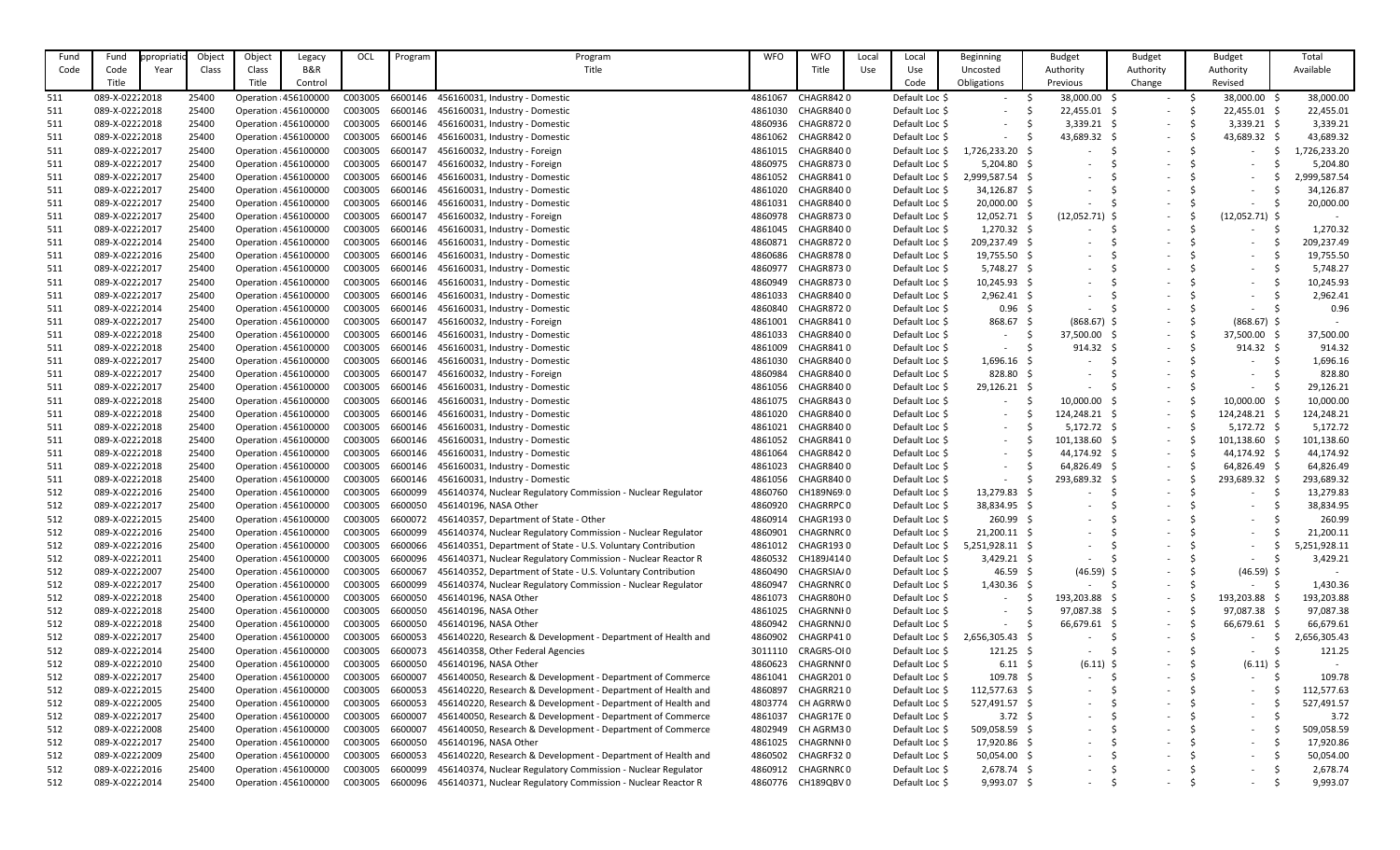| Fund | Fund           | propriatio | Object | Object | Legacy                | OCL     | Program | Program                                                      | <b>WFO</b> | <b>WFO</b>       | Local | Local          | Beginning       | <b>Budget</b>            | <b>Budget</b>            | <b>Budget</b>            | Total                  |
|------|----------------|------------|--------|--------|-----------------------|---------|---------|--------------------------------------------------------------|------------|------------------|-------|----------------|-----------------|--------------------------|--------------------------|--------------------------|------------------------|
| Code | Code           | Year       | Class  | Class  | B&R                   |         |         | Title                                                        |            | Title            | Use   | Use            | Uncosted        | Authority                | Authority                | Authority                | Available              |
|      | Title          |            |        | Title  | Control               |         |         |                                                              |            |                  |       | Code           | Obligations     | Previous                 | Change                   | Revised                  |                        |
| 511  | 089-X-02222018 |            | 25400  |        | Operation : 456100000 | C003005 | 6600146 | 456160031, Industry - Domestic                               | 4861067    | CHAGR8420        |       | Default Loc \$ | $\sim$          | 38,000.00                | $\sim$                   | 38,000.00 \$             | 38,000.00              |
| 511  | 089-X-02222018 |            | 25400  |        | Operation : 456100000 | C003005 | 6600146 | 456160031, Industry - Domestic                               | 4861030    | CHAGR8400        |       | Default Loc \$ |                 | 22,455.01                | $\overline{\phantom{a}}$ | 22,455.01                | 22,455.01              |
| 511  | 089-X-02222018 |            | 25400  |        | Operation : 456100000 | C003005 | 6600146 | 456160031, Industry - Domestic                               | 4860936    | CHAGR8720        |       | Default Loc \$ |                 | 3,339.21                 | $\overline{\phantom{a}}$ | $3,339.21$ \$            | 3,339.21               |
| 511  | 089-X-02222018 |            | 25400  |        | Operation : 456100000 | C003005 | 6600146 | 456160031, Industry - Domestic                               | 4861062    | CHAGR8420        |       | Default Loc \$ |                 | 43,689.32                | $\overline{\phantom{a}}$ | 43,689.32                | 43,689.32              |
| 511  | 089-X-02222017 |            | 25400  |        | Operation : 456100000 | C003005 | 6600147 | 456160032, Industry - Foreign                                | 4861015    | CHAGR8400        |       | Default Loc \$ | 1,726,233.20 \$ |                          | $\overline{\phantom{a}}$ | $\sim$                   | ,726,233.20            |
| 511  | 089-X-02222017 |            | 25400  |        | Operation : 456100000 | C003005 | 6600147 | 456160032, Industry - Foreign                                | 4860975    | <b>CHAGR8730</b> |       | Default Loc \$ | $5,204.80$ \$   |                          |                          |                          | 5,204.80               |
| 511  | 089-X-02222017 |            | 25400  |        | Operation : 456100000 | C003005 | 6600146 | 456160031, Industry - Domestic                               | 4861052    | CHAGR8410        |       | Default Loc \$ | 2,999,587.54 \$ |                          |                          |                          | 2,999,587.54           |
| 511  | 089-X-02222017 |            | 25400  |        | Operation : 456100000 | C003005 | 6600146 | 456160031, Industry - Domestic                               | 4861020    | CHAGR8400        |       | Default Loc \$ | 34,126.87 \$    |                          |                          |                          | 34,126.87              |
| 511  | 089-X-02222017 |            | 25400  |        | Operation : 456100000 | C003005 | 6600146 | 456160031, Industry - Domestic                               | 4861031    | CHAGR8400        |       | Default Loc \$ | $20,000.00$ \$  |                          |                          |                          | 20,000.00              |
| 511  | 089-X-02222017 |            | 25400  |        | Operation : 456100000 | C003005 | 6600147 | 456160032, Industry - Foreign                                | 4860978    | <b>CHAGR8730</b> |       | Default Loc \$ | $12,052.71$ \$  | $(12,052.71)$ \$         |                          | $(12,052.71)$ \$         |                        |
| 511  | 089-X-02222017 |            | 25400  |        | Operation : 456100000 | C003005 | 6600146 | 456160031, Industry - Domestic                               | 4861045    | CHAGR8400        |       | Default Loc \$ | $1,270.32$ \$   |                          | $\overline{\phantom{a}}$ |                          | 1,270.32               |
| 511  | 089-X-02222014 |            | 25400  |        | Operation : 456100000 | C003005 | 6600146 | 456160031, Industry - Domestic                               | 4860871    | CHAGR8720        |       | Default Loc \$ | 209,237.49 \$   |                          |                          |                          | 209,237.49             |
| 511  | 089-X-02222016 |            | 25400  |        | Operation : 456100000 | C003005 | 6600146 | 456160031, Industry - Domestic                               | 4860686    | <b>CHAGR8780</b> |       | Default Loc \$ | 19,755.50 \$    |                          |                          |                          | 19,755.50              |
| 511  | 089-X-02222017 |            | 25400  |        | Operation : 456100000 | C003005 | 6600146 | 456160031, Industry - Domestic                               | 4860977    | <b>CHAGR8730</b> |       | Default Loc \$ | $5,748.27$ \$   | $\overline{\phantom{a}}$ |                          |                          | 5,748.27               |
| 511  | 089-X-02222017 |            | 25400  |        | Operation : 456100000 | C003005 | 6600146 | 456160031, Industry - Domestic                               | 4860949    | CHAGR8730        |       | Default Loc \$ | $10,245.93$ \$  |                          |                          |                          | 10,245.93              |
| 511  | 089-X-02222017 |            | 25400  |        | Operation : 456100000 | C003005 | 6600146 | 456160031, Industry - Domestic                               | 4861033    | CHAGR8400        |       | Default Loc \$ | $2,962.41$ \$   |                          |                          |                          | 2,962.41               |
| 511  | 089-X-02222014 |            | 25400  |        | Operation : 456100000 | C003005 | 6600146 | 456160031, Industry - Domestic                               | 4860840    | <b>CHAGR8720</b> |       | Default Loc \$ | $0.96$ \$       |                          |                          |                          | 0.96                   |
| 511  | 089-X-02222017 |            | 25400  |        | Operation : 456100000 | C003005 | 6600147 | 456160032, Industry - Foreign                                | 4861001    | CHAGR8410        |       | Default Loc \$ | 868.67          | $(868.67)$ \$            | $\overline{\phantom{a}}$ | $(868.67)$ \$            |                        |
| 511  | 089-X-02222018 |            | 25400  |        | Operation : 456100000 | C003005 | 6600146 | 456160031, Industry - Domestic                               | 4861033    | CHAGR8400        |       | Default Loc \$ |                 | 37,500.00                | $\overline{\phantom{a}}$ | 37,500.00                | 37,500.00              |
| 511  | 089-X-02222018 |            | 25400  |        | Operation : 456100000 | C003005 | 6600146 | 456160031, Industry - Domestic                               | 4861009    | CHAGR8410        |       | Default Loc \$ |                 | 914.32                   | $\overline{\phantom{a}}$ | $914.32 \quad $$         | 914.32                 |
| 511  | 089-X-02222017 |            | 25400  |        | Operation : 456100000 | C003005 | 6600146 | 456160031, Industry - Domestic                               | 4861030    | CHAGR8400        |       | Default Loc \$ | $1,696.16$ \$   |                          |                          |                          | 1,696.16               |
| 511  | 089-X-02222017 |            | 25400  |        | Operation : 456100000 | C003005 | 6600147 | 456160032, Industry - Foreign                                | 4860984    | CHAGR8400        |       | Default Loc \$ | $828.80$ \$     |                          | $\overline{\phantom{a}}$ |                          | 828.80                 |
| 511  | 089-X-02222017 |            | 25400  |        | Operation : 456100000 | C003005 | 6600146 | 456160031, Industry - Domestic                               | 4861056    | CHAGR8400        |       | Default Loc \$ | 29,126.21 \$    |                          | $\overline{\phantom{a}}$ |                          | 29,126.21              |
| 511  | 089-X-02222018 |            | 25400  |        | Operation : 456100000 | C003005 | 6600146 | 456160031, Industry - Domestic                               | 4861075    | CHAGR8430        |       | Default Loc \$ | $\sim$          | 10,000.00                | $\overline{\phantom{a}}$ | 10,000.00                | 10,000.00              |
| 511  | 089-X-02222018 |            | 25400  |        | Operation : 456100000 | C003005 | 6600146 | 456160031, Industry - Domestic                               | 4861020    | CHAGR8400        |       | Default Loc \$ | $\sim$          | 124,248.21 \$            | $\overline{\phantom{a}}$ | 124,248.21 \$            | 124,248.21             |
| 511  | 089-X-02222018 |            | 25400  |        | Operation : 456100000 | C003005 | 6600146 | 456160031, Industry - Domestic                               | 4861021    | CHAGR8400        |       | Default Loc \$ |                 | $5,172.72$ \$            | $\overline{\phantom{a}}$ | $5,172.72$ \$            | 5,172.72               |
| 511  | 089-X-02222018 |            | 25400  |        | Operation : 456100000 | C003005 | 6600146 | 456160031, Industry - Domestic                               | 4861052    | CHAGR8410        |       | Default Loc \$ |                 | 101,138.60               | $\overline{\phantom{a}}$ | 101,138.60               | 101,138.60             |
| 511  | 089-X-02222018 |            | 25400  |        | Operation : 456100000 | C003005 | 6600146 | 456160031, Industry - Domestic                               | 4861064    | CHAGR8420        |       | Default Loc \$ |                 | 44,174.92                |                          | 44,174.92 \$             | 44,174.92              |
| 511  | 089-X-02222018 |            | 25400  |        | Operation : 456100000 | C003005 | 6600146 | 456160031, Industry - Domestic                               | 4861023    | CHAGR8400        |       | Default Loc \$ |                 | $64,826.49$ \$           |                          | 64,826.49                | 64,826.49              |
| 511  | 089-X-02222018 |            | 25400  |        | Operation : 456100000 | C003005 | 6600146 | 456160031, Industry - Domestic                               | 4861056    | CHAGR8400        |       | Default Loc \$ |                 | 293,689.32 \$            | $\overline{\phantom{a}}$ | 293,689.32               | 293,689.32             |
| 512  | 089-X-02222016 |            | 25400  |        | Operation : 456100000 | C003005 | 6600099 | 456140374, Nuclear Regulatory Commission - Nuclear Regulator | 4860760    | CH189N69 0       |       | Default Loc \$ | 13,279.83 \$    |                          | $\overline{\phantom{a}}$ |                          | 13,279.83              |
| 512  | 089-X-02222017 |            | 25400  |        | Operation : 456100000 | C003005 | 6600050 | 456140196, NASA Other                                        | 4860920    | CHAGRRPC0        |       | Default Loc \$ | 38,834.95 \$    | $\overline{\phantom{a}}$ | $\overline{\phantom{a}}$ | $\overline{\phantom{a}}$ | 38,834.95              |
| 512  | 089-X-02222015 |            | 25400  |        | Operation : 456100000 | C003005 | 6600072 | 456140357, Department of State - Other                       | 4860914    | CHAGR1930        |       | Default Loc \$ | 260.99          | $\overline{\phantom{a}}$ |                          | $\overline{\phantom{0}}$ | 260.99                 |
| 512  | 089-X-02222016 |            | 25400  |        | Operation : 456100000 | C003005 | 6600099 | 456140374, Nuclear Regulatory Commission - Nuclear Regulator | 4860901    | CHAGRNRC 0       |       | Default Loc \$ | $21,200.11$ \$  |                          |                          |                          | 21,200.11              |
| 512  | 089-X-02222016 |            | 25400  |        | Operation : 456100000 | C003005 | 6600066 | 456140351, Department of State - U.S. Voluntary Contribution | 4861012    | CHAGR1930        |       | Default Loc \$ | 5,251,928.11    |                          |                          |                          | 5,251,928.11           |
| 512  | 089-X-02222011 |            | 25400  |        | Operation : 456100000 | C003005 | 6600096 | 456140371, Nuclear Regulatory Commission - Nuclear Reactor R | 4860532    | CH189J4140       |       | Default Loc \$ | $3,429.21$ \$   |                          |                          |                          | 3,429.21               |
| 512  | 089-X-02222007 |            | 25400  |        | Operation : 456100000 | C003005 | 6600067 | 456140352, Department of State - U.S. Voluntary Contribution | 4860490    | CHAGRSIA/0       |       | Default Loc \$ | 46.59           | $(46.59)$ \$             | $\overline{\phantom{a}}$ | $(46.59)$ \$             |                        |
| 512  | 089-X-02222017 |            | 25400  |        | Operation : 456100000 | C003005 | 6600099 | 456140374, Nuclear Regulatory Commission - Nuclear Regulator | 4860947    | CHAGRNRC0        |       | Default Loc \$ | $1,430.36$ \$   |                          | $\overline{\phantom{a}}$ | $\sim$                   | 1,430.36               |
| 512  | 089-X-02222018 |            | 25400  |        | Operation : 456100000 | C003005 | 6600050 | 456140196, NASA Other                                        | 4861073    | CHAGR80H0        |       | Default Loc \$ | $\sim$          | 193,203.88               | $\overline{\phantom{a}}$ | 193,203.88               | 193,203.88             |
| 512  | 089-X-02222018 |            | 25400  |        | Operation : 456100000 | C003005 | 6600050 | 456140196, NASA Other                                        | 4861025    | CHAGRNNI 0       |       | Default Loc \$ |                 | 97,087.38 \$             | $\overline{\phantom{a}}$ | 97,087.38                | 97,087.38              |
| 512  | 089-X-02222018 |            | 25400  |        | Operation : 456100000 | C003005 | 6600050 | 456140196, NASA Other                                        | 4860942    | CHAGRNNJ0        |       | Default Loc \$ |                 | 66,679.61                | $\sim$                   | 66,679.61                | 66,679.61              |
|      | 089-X-02222017 |            | 25400  |        | Operation : 456100000 | C003005 | 6600053 | 456140220, Research & Development - Department of Health and | 4860902    | CHAGRP410        |       | Default Loc \$ | 2,656,305.43 \$ |                          |                          |                          |                        |
| 512  | 089-X-02222014 |            |        |        | Operation : 456100000 | C003005 | 6600073 | 456140358, Other Federal Agencies                            | 3011110    | CRAGRS-OI0       |       | Default Loc \$ |                 |                          | $\overline{\phantom{a}}$ | $\overline{\phantom{a}}$ | 2,656,305.43<br>121.25 |
| 512  |                |            | 25400  |        |                       |         |         |                                                              |            |                  |       |                | $121.25$ \$     |                          | $\overline{\phantom{a}}$ | $-$                      |                        |
| 512  | 089-X-02222010 |            | 25400  |        | Operation : 456100000 | C003005 | 6600050 | 456140196, NASA Other                                        | 4860623    | CHAGRNNI0        |       | Default Loc \$ | 6.11            | $(6.11)$ \$              | $\overline{\phantom{a}}$ | (6.11)                   |                        |
| 512  | 089-X-02222017 |            | 25400  |        | Operation : 456100000 | C003005 | 6600007 | 456140050, Research & Development - Department of Commerce   | 4861041    | CHAGR2010        |       | Default Loc \$ | $109.78$ \$     |                          | $\overline{\phantom{a}}$ | $\sim$                   | 109.78                 |
| 512  | 089-X-02222015 |            | 25400  |        | Operation : 456100000 | C003005 | 6600053 | 456140220, Research & Development - Department of Health and | 4860897    | CHAGRR210        |       | Default Loc \$ | 112,577.63 \$   | $\overline{\phantom{a}}$ |                          | $\sim$                   | 112,577.63             |
| 512  | 089-X-02222005 |            | 25400  |        | Operation : 456100000 | C003005 | 6600053 | 456140220, Research & Development - Department of Health and | 4803774    | CH AGRRW0        |       | Default Loc \$ | 527,491.57 \$   | $\overline{\phantom{a}}$ |                          | $-$                      | 527,491.57             |
| 512  | 089-X-02222017 |            | 25400  |        | Operation : 456100000 | C003005 | 6600007 | 456140050, Research & Development - Department of Commerce   | 4861037    | CHAGR17E0        |       | Default Loc \$ | 3.72 \$         |                          |                          | $-$                      | 3.72                   |
| 512  | 089-X-02222008 |            | 25400  |        | Operation : 456100000 | C003005 | 6600007 | 456140050, Research & Development - Department of Commerce   | 4802949    | CH AGRM30        |       | Default Loc \$ | 509,058.59 \$   | $\overline{\phantom{a}}$ |                          | $\overline{\phantom{0}}$ | 509,058.59             |
| 512  | 089-X-02222017 |            | 25400  |        | Operation : 456100000 | C003005 | 6600050 | 456140196, NASA Other                                        | 4861025    | CHAGRNNI 0       |       | Default Loc \$ | 17,920.86 \$    |                          |                          |                          | 17,920.86              |
| 512  | 089-X-02222009 |            | 25400  |        | Operation : 456100000 | C003005 | 6600053 | 456140220, Research & Development - Department of Health and | 4860502    | CHAGRF320        |       | Default Loc \$ | 50,054.00 \$    | $\overline{\phantom{a}}$ | $\overline{\phantom{a}}$ | $\overline{\phantom{0}}$ | 50,054.00              |
| 512  | 089-X-02222016 |            | 25400  |        | Operation : 456100000 | C003005 | 6600099 | 456140374, Nuclear Regulatory Commission - Nuclear Regulator | 4860912    | CHAGRNRC 0       |       | Default Loc \$ | $2,678.74$ \$   | $\overline{\phantom{a}}$ |                          | $\overline{\phantom{a}}$ | 2,678.74               |
| 512  | 089-X-02222014 |            | 25400  |        | Operation : 456100000 | C003005 | 6600096 | 456140371, Nuclear Regulatory Commission - Nuclear Reactor R | 4860776    | CH189QBV 0       |       | Default Loc \$ | $9,993.07$ \$   | $\overline{\phantom{a}}$ |                          | $\sim$                   | 9,993.07               |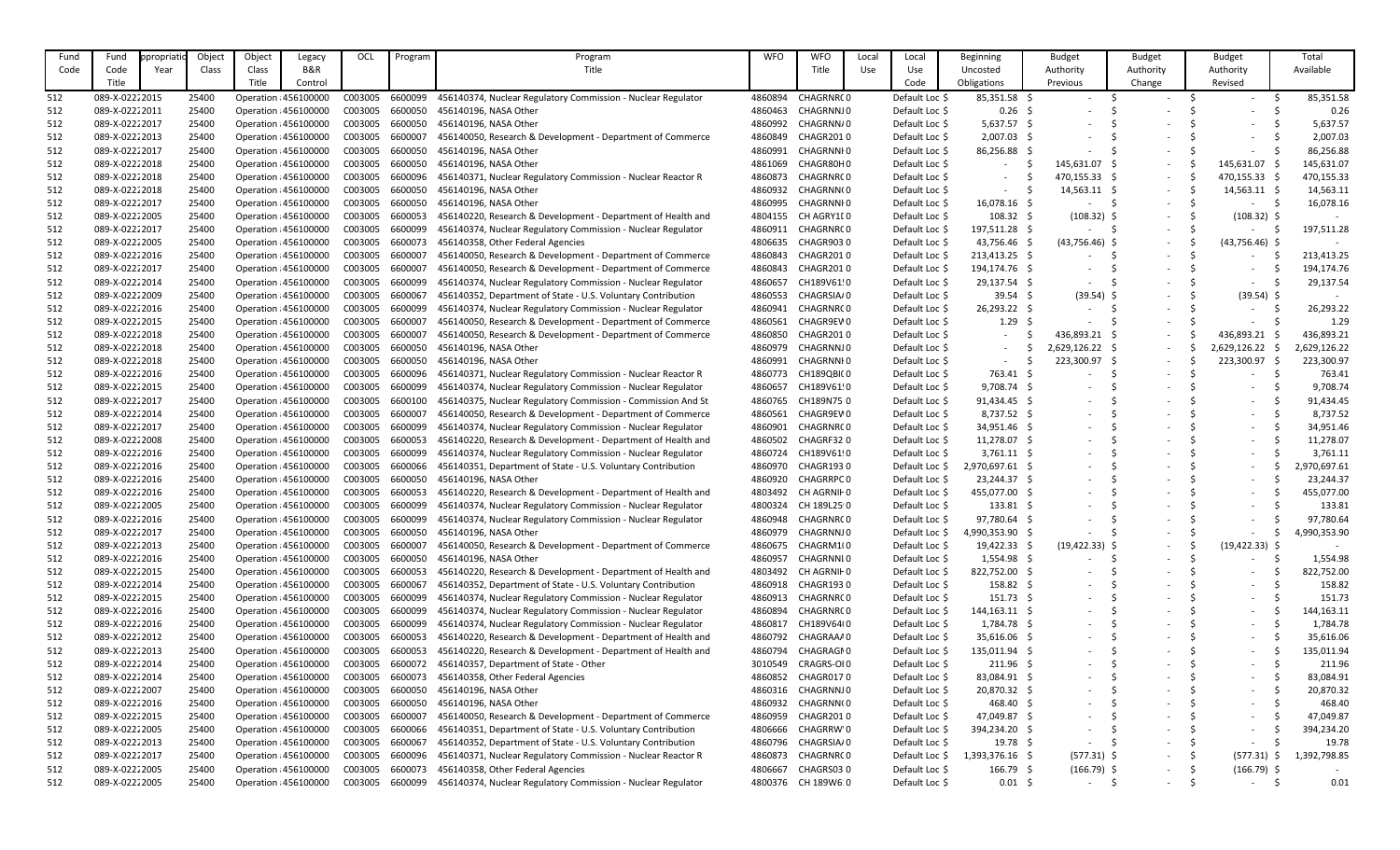| Fund | Fund                             | propriatio | Object | Object       | Legacy                | OCL     | Program | Program                                                      | <b>WFO</b> | <b>WFO</b>       | Local | Local               | Beginning         | <b>Budget</b>            | <b>Budget</b>            | <b>Budget</b>            | Total        |
|------|----------------------------------|------------|--------|--------------|-----------------------|---------|---------|--------------------------------------------------------------|------------|------------------|-------|---------------------|-------------------|--------------------------|--------------------------|--------------------------|--------------|
| Code | Code                             | Year       | Class  | <b>Class</b> | B&R                   |         |         | Title                                                        |            | Title            | Use   | Use                 | Uncosted          | Authority                | Authority                | Authority                | Available    |
|      | Title                            |            |        | Title        | Control               |         |         |                                                              |            |                  |       | Code                | Obligations       | Previous                 | Change                   | Revised                  |              |
| 512  | 089-X-02222015                   |            | 25400  |              | Operation : 456100000 | C003005 | 6600099 | 456140374, Nuclear Regulatory Commission - Nuclear Regulator | 4860894    | CHAGRNRC0        |       | Default Loc \$      | 85,351.58 \$      | $\overline{\phantom{a}}$ | $-$                      |                          | 85,351.58    |
| 512  | 089-X-02222011                   |            | 25400  |              | Operation : 456100000 | C003005 | 6600050 | 456140196, NASA Other                                        | 4860463    | CHAGRNNJ 0       |       | Default Loc \$      | $0.26$ \$         |                          |                          |                          | 0.26         |
| 512  | 089-X-02222017                   |            | 25400  |              | Operation : 456100000 | C003005 | 6600050 | 456140196, NASA Other                                        | 4860992    | CHAGRNN/0        |       | Default Loc \$      | $5,637.57$ \$     |                          |                          |                          | 5,637.57     |
| 512  | 089-X-02222013                   |            | 25400  |              | Operation : 456100000 | C003005 | 6600007 | 456140050, Research & Development - Department of Commerce   | 4860849    | CHAGR2010        |       | Default Loc \$      | 2,007.03 \$       |                          |                          |                          | 2,007.03     |
| 512  | 089-X-02222017                   |            | 25400  |              | Operation : 456100000 | C003005 | 6600050 | 456140196, NASA Other                                        | 4860991    | CHAGRNNI 0       |       | Default Loc \$      | 86,256.88 \$      |                          | $\overline{\phantom{a}}$ |                          | 86,256.88    |
| 512  | 089-X-02222018                   |            | 25400  |              | Operation : 456100000 | C003005 | 6600050 | 456140196, NASA Other                                        | 4861069    | CHAGR80H0        |       | Default Loc \$      |                   | 145,631.07 \$            | $\sim$                   | 145,631.07               | 145,631.07   |
| 512  | 089-X-02222018                   |            | 25400  |              | Operation : 456100000 | C003005 | 6600096 | 456140371, Nuclear Regulatory Commission - Nuclear Reactor R | 4860873    | CHAGRNRC0        |       | Default Loc \$      |                   | 470,155.33 \$            | $\sim$                   | 470,155.33 \$            | 470,155.33   |
| 512  | 089-X-02222018                   |            | 25400  |              | Operation : 456100000 | C003005 | 6600050 | 456140196, NASA Other                                        | 4860932    | CHAGRNN(0        |       | Default Loc \$      |                   | 14,563.11                | $\sim$                   | 14,563.11                | 14,563.11    |
| 512  | 089-X-02222017                   |            | 25400  |              | Operation : 456100000 | C003005 | 6600050 | 456140196, NASA Other                                        | 4860995    | CHAGRNNI 0       |       | Default Loc \$      | 16,078.16 \$      |                          | $\overline{\phantom{a}}$ |                          | 16,078.16    |
| 512  | 089-X-02222005                   |            | 25400  |              | Operation : 456100000 | C003005 | 6600053 | 456140220, Research & Development - Department of Health and | 4804155    | CH AGRY1[0       |       | Default Loc \$      | $108.32 \quad $$  | $(108.32)$ \$            |                          | $(108.32)$ \$            |              |
| 512  | 089-X-02222017                   |            | 25400  |              | Operation : 456100000 | C003005 | 6600099 | 456140374, Nuclear Regulatory Commission - Nuclear Regulator | 4860911    | CHAGRNRC 0       |       | Default Loc \$      | 197,511.28 \$     |                          | $\overline{\phantom{a}}$ |                          | 197,511.28   |
| 512  | 089-X-02222005                   |            | 25400  |              | Operation : 456100000 | C003005 | 6600073 | 456140358, Other Federal Agencies                            | 4806635    | CHAGR9030        |       | Default Loc \$      | 43,756.46 \$      | $(43,756.46)$ \$         | $\overline{\phantom{a}}$ | $(43,756.46)$ \$         |              |
|      | 089-X-02222016                   |            | 25400  |              | Operation : 456100000 | C003005 | 6600007 | 456140050, Research & Development - Department of Commerce   | 4860843    | <b>CHAGR2010</b> |       | Default Loc \$      | 213,413.25 \$     |                          | $\overline{\phantom{a}}$ |                          | 213,413.25   |
| 512  | 089-X-02222017                   |            | 25400  |              | Operation : 456100000 | C003005 | 6600007 | 456140050, Research & Development - Department of Commerce   | 4860843    | <b>CHAGR2010</b> |       | Default Loc \$      | 194,174.76 \$     |                          |                          |                          | 194,174.76   |
| 512  | 089-X-02222014                   |            | 25400  |              | Operation : 456100000 | C003005 | 6600099 | 456140374, Nuclear Regulatory Commission - Nuclear Regulator | 4860657    | CH189V61!0       |       | Default Loc \$      | 29,137.54 \$      |                          |                          |                          | 29,137.54    |
| 512  |                                  |            |        |              |                       | C003005 | 6600067 |                                                              |            |                  |       |                     | $39.54$ \$        |                          |                          |                          |              |
| 512  | 089-X-02222009<br>089-X-02222016 |            | 25400  |              | Operation : 456100000 |         | 6600099 | 456140352, Department of State - U.S. Voluntary Contribution | 4860553    | CHAGRSIA/0       |       | Default Loc \$      |                   | $(39.54)$ \$             |                          | $(39.54)$ \$             |              |
| 512  |                                  |            | 25400  |              | Operation : 456100000 | C003005 |         | 456140374, Nuclear Regulatory Commission - Nuclear Regulator | 4860941    | CHAGRNRC 0       |       | Default Loc \$      | 26,293.22 \$      |                          |                          |                          | 26,293.22    |
| 512  | 089-X-02222015                   |            | 25400  |              | Operation : 456100000 | C003005 | 6600007 | 456140050, Research & Development - Department of Commerce   | 4860561    | CHAGR9EV0        |       | Default Loc \$      | $1.29 \;$ \$      |                          |                          |                          | 1.29         |
| 512  | 089-X-02222018                   |            | 25400  |              | Operation : 456100000 | C003005 | 6600007 | 456140050, Research & Development - Department of Commerce   | 4860850    | <b>CHAGR2010</b> |       | Default Loc \$      |                   | 436,893.21 \$            | $\overline{\phantom{a}}$ | 436,893.21               | 436,893.21   |
| 512  | 089-X-02222018                   |            | 25400  |              | Operation : 456100000 | C003005 | 6600050 | 456140196, NASA Other                                        | 4860979    | CHAGRNNJ 0       |       | Default Loc \$      |                   | 2,629,126.22 \$          | $\overline{\phantom{a}}$ | 2,629,126.22             | 2,629,126.22 |
| 512  | 089-X-02222018                   |            | 25400  |              | Operation : 456100000 | C003005 | 6600050 | 456140196, NASA Other                                        | 4860991    | CHAGRNNI 0       |       | Default Loc \$      |                   | 223,300.97               | $\sim$                   | 223,300.97               | 223,300.97   |
| 512  | 089-X-02222016                   |            | 25400  |              | Operation : 456100000 | C003005 | 6600096 | 456140371, Nuclear Regulatory Commission - Nuclear Reactor R | 4860773    | CH189QBI(0       |       | Default Loc \$      | 763.41 \$         |                          | $\overline{\phantom{a}}$ |                          | 763.41       |
| 512  | 089-X-02222015                   |            | 25400  |              | Operation : 456100000 | C003005 | 6600099 | 456140374, Nuclear Regulatory Commission - Nuclear Regulator | 4860657    | CH189V61!0       |       | Default Loc \$      | $9,708.74$ \$     |                          |                          |                          | 9,708.74     |
| 512  | 089-X-02222017                   |            | 25400  |              | Operation : 456100000 | C003005 | 6600100 | 456140375, Nuclear Regulatory Commission - Commission And St | 4860765    | CH189N75.0       |       | Default Loc \$      | 91,434.45 \$      |                          |                          |                          | 91,434.45    |
| 512  | 089-X-02222014                   |            | 25400  |              | Operation : 456100000 | C003005 | 6600007 | 456140050, Research & Development - Department of Commerce   | 4860561    | CHAGR9EV0        |       | Default Loc \$      | $8,737.52$ \$     |                          |                          |                          | 8,737.52     |
| 512  | 089-X-02222017                   |            | 25400  |              | Operation : 456100000 | C003005 | 6600099 | 456140374, Nuclear Regulatory Commission - Nuclear Regulator | 4860901    | CHAGRNRC0        |       | Default Loc \$      | 34,951.46 \$      |                          |                          |                          | 34,951.46    |
| 512  | 089-X-02222008                   |            | 25400  |              | Operation : 456100000 | C003005 | 6600053 | 456140220, Research & Development - Department of Health and | 4860502    | CHAGRF320        |       | Default Loc \$      | 11,278.07 \$      |                          |                          |                          | 11,278.07    |
| 512  | 089-X-02222016                   |            | 25400  |              | Operation : 456100000 | C003005 | 6600099 | 456140374, Nuclear Regulatory Commission - Nuclear Regulator | 4860724    | CH189V61!0       |       | Default Loc \$      | $3,761.11$ \$     |                          |                          |                          | 3,761.11     |
| 512  | 089-X-02222016                   |            | 25400  |              | Operation : 456100000 | C003005 | 6600066 | 456140351, Department of State - U.S. Voluntary Contribution | 4860970    | CHAGR1930        |       | Default Loc \$      | 2,970,697.61 \$   |                          |                          |                          | 2,970,697.61 |
| 512  | 089-X-02222016                   |            | 25400  |              | Operation : 456100000 | C003005 | 6600050 | 456140196, NASA Other                                        | 4860920    | CHAGRRPC0        |       | Default Loc \$      | 23,244.37 \$      | $\overline{\phantom{a}}$ |                          |                          | 23,244.37    |
| 512  | 089-X-02222016                   |            | 25400  |              | Operation : 456100000 | C003005 | 6600053 | 456140220, Research & Development - Department of Health and | 4803492    | CH AGRNII 0      |       | Default Loc \$      | 455,077.00 \$     | $\overline{\phantom{a}}$ |                          |                          | 455,077.00   |
| 512  | 089-X-02222005                   |            | 25400  |              | Operation : 456100000 | C003005 | 6600099 | 456140374, Nuclear Regulatory Commission - Nuclear Regulator | 4800324    | CH 189L25:0      |       | Default Loc \$      | $133.81 \quad $$  | $\overline{\phantom{a}}$ |                          | $-$                      | 133.81       |
| 512  | 089-X-02222016                   |            | 25400  |              | Operation : 456100000 | C003005 | 6600099 | 456140374, Nuclear Regulatory Commission - Nuclear Regulator | 4860948    | CHAGRNRC 0       |       | Default Loc \$      | 97,780.64 \$      |                          | $\overline{\phantom{a}}$ | $-$                      | 97,780.64    |
| 512  | 089-X-02222017                   |            | 25400  |              | Operation : 456100000 | C003005 | 6600050 | 456140196, NASA Other                                        | 4860979    | CHAGRNNJ0        |       | Default Loc $\oint$ | 4,990,353.90 \$   |                          | $\overline{\phantom{a}}$ | $\sim$                   | 1,990,353.90 |
| 512  | 089-X-02222013                   |            | 25400  |              | Operation : 456100000 | C003005 | 6600007 | 456140050, Research & Development - Department of Commerce   | 4860675    | CHAGRM1(0        |       | Default Loc \$      | 19,422.33 \$      | $(19, 422.33)$ \$        | $\overline{\phantom{a}}$ | (19, 422.33)             |              |
| 512  | 089-X-02222016                   |            | 25400  |              | Operation : 456100000 | C003005 | 6600050 | 456140196, NASA Other                                        | 4860957    | CHAGRNNI 0       |       | Default Loc \$      | $1,554.98$ \$     |                          | $\overline{\phantom{a}}$ |                          | 1,554.98     |
| 512  | 089-X-02222015                   |            | 25400  |              | Operation : 456100000 | C003005 | 6600053 | 456140220, Research & Development - Department of Health and | 4803492    | CH AGRNII 0      |       | Default Loc \$      | 822,752.00 \$     | $\overline{\phantom{a}}$ | $\overline{\phantom{a}}$ | $\overline{\phantom{0}}$ | 822,752.00   |
| 512  | 089-X-02222014                   |            | 25400  |              | Operation : 456100000 | C003005 | 6600067 | 456140352, Department of State - U.S. Voluntary Contribution | 4860918    | CHAGR1930        |       | Default Loc \$      | $158.82 \quad$ \$ | $\overline{\phantom{a}}$ | $\overline{\phantom{a}}$ | $-$                      | 158.82       |
| 512  | 089-X-02222015                   |            | 25400  |              | Operation : 456100000 | C003005 | 6600099 | 456140374, Nuclear Regulatory Commission - Nuclear Regulator | 4860913    | CHAGRNRC 0       |       | Default Loc \$      | $151.73$ \$       | $\overline{\phantom{a}}$ |                          |                          | 151.73       |
| 512  | 089-X-02222016                   |            | 25400  |              | Operation : 456100000 | C003005 | 6600099 | 456140374, Nuclear Regulatory Commission - Nuclear Regulator | 4860894    | CHAGRNRC 0       |       | Default Loc \$      | 144,163.11 \$     |                          |                          |                          | 144,163.11   |
| 512  | 089-X-02222016                   |            | 25400  |              | Operation : 456100000 | C003005 | 6600099 | 456140374, Nuclear Regulatory Commission - Nuclear Regulator | 4860817    | CH189V64(0       |       | Default Loc \$      | 1,784.78 \$       | $\overline{\phantom{a}}$ |                          | $\overline{\phantom{0}}$ | 1,784.78     |
| 512  | 089-X-02222012                   |            | 25400  |              | Operation : 456100000 | C003005 | 6600053 | 456140220, Research & Development - Department of Health and | 4860792    | CHAGRAAA0        |       | Default Loc \$      | 35,616.06 \$      | $\overline{\phantom{a}}$ |                          | $\overline{\phantom{0}}$ | 35,616.06    |
| 512  | 089-X-02222013                   |            | 25400  |              | Operation : 456100000 | C003005 | 6600053 | 456140220, Research & Development - Department of Health and | 4860794    | CHAGRAGN0        |       | Default Loc \$      | 135,011.94 \$     |                          |                          | $-$                      | 135,011.94   |
| 512  | 089-X-02222014                   |            | 25400  |              | Operation : 456100000 | C003005 | 6600072 | 456140357, Department of State - Other                       | 3010549    | CRAGRS-OI0       |       | Default Loc \$      | $211.96$ \$       |                          |                          |                          | 211.96       |
| 512  | 089-X-02222014                   |            | 25400  |              | Operation : 456100000 | C003005 | 6600073 | 456140358, Other Federal Agencies                            | 4860852    | CHAGR0170        |       | Default Loc \$      | 83,084.91 \$      | $\overline{\phantom{a}}$ |                          |                          | 83,084.91    |
| 512  | 089-X-02222007                   |            | 25400  |              | Operation : 456100000 | C003005 | 6600050 | 456140196, NASA Other                                        | 4860316    | CHAGRNNJ 0       |       | Default Loc \$      | 20,870.32 \$      | $\overline{\phantom{a}}$ |                          | $\overline{\phantom{0}}$ | 20,870.32    |
| 512  | 089-X-02222016                   |            | 25400  |              | Operation : 456100000 | C003005 | 6600050 | 456140196, NASA Other                                        | 4860932    | CHAGRNN(0        |       | Default Loc \$      | 468.40            | $\overline{\phantom{a}}$ |                          | $-$                      | 468.40       |
| 512  | 089-X-02222015                   |            | 25400  |              | Operation : 456100000 | C003005 | 6600007 | 456140050, Research & Development - Department of Commerce   | 4860959    | CHAGR2010        |       | Default Loc \$      | 47,049.87 \$      |                          |                          |                          | 47,049.87    |
| 512  | 089-X-02222005                   |            | 25400  |              | Operation : 456100000 | C003005 | 6600066 | 456140351, Department of State - U.S. Voluntary Contribution | 4806666    | CHAGRRW'0        |       | Default Loc \$      | 394,234.20 \$     |                          |                          |                          | 394,234.20   |
| 512  | 089-X-02222013                   |            | 25400  |              | Operation : 456100000 | C003005 | 6600067 | 456140352, Department of State - U.S. Voluntary Contribution | 4860796    | CHAGRSIA/0       |       | Default Loc \$      | $19.78$ \$        |                          | $\overline{\phantom{a}}$ | $\overline{\phantom{0}}$ | 19.78        |
| 512  | 089-X-02222017                   |            | 25400  |              | Operation : 456100000 | C003005 | 6600096 | 456140371, Nuclear Regulatory Commission - Nuclear Reactor R | 4860873    | CHAGRNRC 0       |       | Default Loc \$      | 1,393,376.16 \$   | $(577.31)$ \$            | $\overline{\phantom{a}}$ | (577.31)<br>-S           | 1,392,798.85 |
| 512  | 089-X-02222005                   |            | 25400  |              | Operation : 456100000 | C003005 | 6600073 | 456140358, Other Federal Agencies                            | 4806667    | CHAGRS030        |       | Default Loc \$      | $166.79$ \$       | $(166.79)$ \$            | $\overline{\phantom{a}}$ | (166.79)<br>్న           |              |
| 512  | 089-X-02222005                   |            | 25400  |              | Operation : 456100000 | C003005 | 6600099 | 456140374, Nuclear Regulatory Commission - Nuclear Regulator | 4800376    | CH 189W6:0       |       | Default Loc \$      | $0.01 \; \; \$$   | $\mathcal{P}$<br>$\sim$  | $\overline{\phantom{a}}$ | $\overline{\phantom{0}}$ | 0.01         |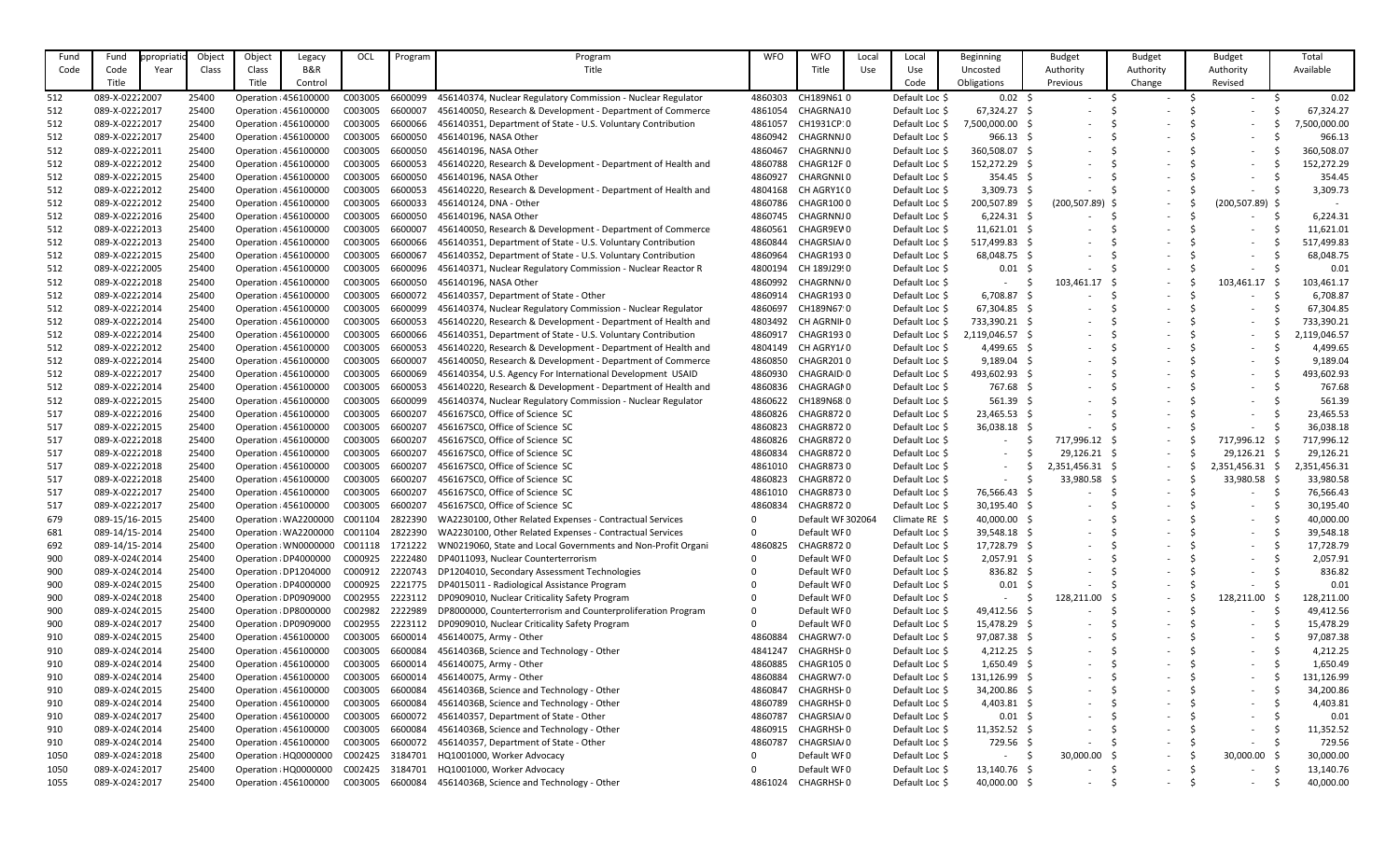| Fund | Fund            | opropriatio | Object | Object | Legacy                | OCL     | Program | Program                                                      | <b>WFO</b> | <b>WFO</b>             | Local | Local           | Beginning        | <b>Budget</b>            | <b>Budget</b>            | <b>Budget</b>                  | Total        |
|------|-----------------|-------------|--------|--------|-----------------------|---------|---------|--------------------------------------------------------------|------------|------------------------|-------|-----------------|------------------|--------------------------|--------------------------|--------------------------------|--------------|
| Code | Code            | Year        | Class  | Class  | B&R                   |         |         | Title                                                        |            | Title                  | Use   | Use             | Uncosted         | Authority                | Authority                | Authority                      | Available    |
|      | Title           |             |        | Title  | Control               |         |         |                                                              |            |                        |       | Code            | Obligations      | Previous                 | Change                   | Revised                        |              |
| 512  | 089-X-02222007  |             | 25400  |        | Operation : 456100000 | C003005 | 6600099 | 456140374, Nuclear Regulatory Commission - Nuclear Regulator | 4860303    | CH189N61 0             |       | Default Loc \$  | $0.02$ \$        |                          |                          |                                | 0.02         |
| 512  | 089-X-02222017  |             | 25400  |        | Operation : 456100000 | C003005 | 6600007 | 456140050, Research & Development - Department of Commerce   | 4861054    | CHAGRNA10              |       | Default Loc \$  | $67,324.27$ \$   |                          |                          |                                | 67,324.27    |
| 512  | 089-X-02222017  |             | 25400  |        | Operation : 456100000 | C003005 | 6600066 | 456140351, Department of State - U.S. Voluntary Contribution | 4861057    | CH1931CP:0             |       | Default Loc \$  | 7,500,000.00 \$  |                          |                          |                                | 7,500,000.00 |
| 512  | 089-X-02222017  |             | 25400  |        | Operation : 456100000 | C003005 | 6600050 | 456140196, NASA Other                                        | 4860942    | CHAGRNNJ0              |       | Default Loc \$  | 966.13           |                          |                          |                                | 966.13       |
| 512  | 089-X-02222011  |             | 25400  |        | Operation : 456100000 | C003005 | 6600050 | 456140196, NASA Other                                        | 4860467    | CHAGRNNJ0              |       | Default Loc \$  | 360,508.07 \$    |                          |                          |                                | 360,508.07   |
| 512  | 089-X-02222012  |             | 25400  |        | Operation : 456100000 | C003005 | 6600053 | 456140220, Research & Development - Department of Health and | 4860788    | CHAGR12F0              |       | Default Loc \$  | 152,272.29 \$    |                          |                          |                                | 152,272.29   |
| 512  | 089-X-02222015  |             | 25400  |        | Operation : 456100000 | C003005 | 6600050 | 456140196, NASA Other                                        | 4860927    | CHARGNNL0              |       | Default Loc \$  | $354.45$ \$      |                          |                          |                                | 354.45       |
| 512  | 089-X-02222012  |             | 25400  |        | Operation : 456100000 | C003005 | 6600053 | 456140220, Research & Development - Department of Health and | 4804168    | CH AGRY1(0             |       | Default Loc \$  | $3,309.73$ \$    |                          |                          |                                | 3,309.73     |
| 512  | 089-X-02222012  |             | 25400  |        | Operation : 456100000 | C003005 | 6600033 | 456140124, DNA - Other                                       | 4860786    | CHAGR1000              |       | Default Loc \$  | 200,507.89       | $(200, 507.89)$ \$       | $\overline{\phantom{0}}$ | $(200, 507.89)$ \$             |              |
| 512  | 089-X-02222016  |             | 25400  |        | Operation : 456100000 | C003005 | 6600050 | 456140196, NASA Other                                        | 4860745    | CHAGRNNJ0              |       | Default Loc \$  | $6,224.31$ \$    |                          | $\overline{\phantom{0}}$ |                                | 6,224.31     |
| 512  | 089-X-02222013  |             | 25400  |        | Operation : 456100000 | C003005 | 6600007 | 456140050, Research & Development - Department of Commerce   | 4860561    | CHAGR9EV0              |       | Default Loc \$  | $11,621.01$ \$   |                          |                          |                                | 11,621.01    |
| 512  | 089-X-02222013  |             | 25400  |        | Operation : 456100000 | C003005 | 6600066 | 456140351, Department of State - U.S. Voluntary Contribution | 4860844    | CHAGRSIA/0             |       | Default Loc \$  | 517,499.83 \$    |                          |                          |                                | 517,499.83   |
| 512  | 089-X-02222015  |             | 25400  |        | Operation : 456100000 | C003005 | 6600067 | 456140352, Department of State - U.S. Voluntary Contribution | 4860964    | CHAGR1930              |       | Default Loc \$  | 68,048.75 \$     |                          |                          |                                | 68,048.75    |
| 512  | 089-X-02222005  |             | 25400  |        | Operation : 456100000 | C003005 | 6600096 | 456140371, Nuclear Regulatory Commission - Nuclear Reactor R | 4800194    | CH 189J29!0            |       | Default Loc \$  | 0.01             |                          |                          |                                | 0.01         |
| 512  | 089-X-02222018  |             | 25400  |        | Operation : 456100000 | C003005 | 6600050 | 456140196, NASA Other                                        | 4860992    | CHAGRNN/0              |       | Default Loc \$  |                  | 103,461.17               | $\overline{\phantom{0}}$ | 103,461.17                     | 103,461.17   |
| 512  | 089-X-02222014  |             | 25400  |        | Operation : 456100000 | C003005 | 6600072 | 456140357, Department of State - Other                       | 4860914    | <b>CHAGR1930</b>       |       | Default Loc \$  | 6,708.87         |                          | $\overline{\phantom{a}}$ |                                | 6,708.87     |
| 512  | 089-X-02222014  |             | 25400  |        | Operation : 456100000 | C003005 | 6600099 | 456140374, Nuclear Regulatory Commission - Nuclear Regulator | 4860697    | CH189N67 0             |       | Default Loc \$  | 67,304.85 \$     |                          |                          |                                | 67,304.85    |
| 512  | 089-X-02222014  |             | 25400  |        | Operation : 456100000 | C003005 | 6600053 | 456140220, Research & Development - Department of Health and | 4803492    | CH AGRNIF 0            |       | Default Loc \$  | 733,390.21       |                          |                          |                                | 733,390.21   |
| 512  | 089-X-02222014  |             | 25400  |        | Operation : 456100000 | C003005 | 6600066 | 456140351, Department of State - U.S. Voluntary Contribution | 4860917    | CHAGR1930              |       | Default Loc \$  | 2,119,046.57 \$  |                          |                          |                                | 2,119,046.57 |
| 512  | 089-X-02222012  |             | 25400  |        | Operation : 456100000 | C003005 | 6600053 | 456140220, Research & Development - Department of Health and | 4804149    | CH AGRY1/0             |       | Default Loc \$  | $4,499.65$ \$    |                          |                          |                                | 4,499.65     |
| 512  | 089-X-02222014  |             | 25400  |        | Operation : 456100000 | C003005 | 6600007 | 456140050, Research & Development - Department of Commerce   | 4860850    | CHAGR2010              |       | Default Loc \$  | 9,189.04         |                          |                          |                                | 9,189.04     |
| 512  | 089-X-02222017  |             | 25400  |        | Operation : 456100000 | C003005 | 6600069 | 456140354, U.S. Agency For International Development USAID   | 4860930    | CHAGRAID <sub>10</sub> |       | Default Loc \$  | 493,602.93 \$    |                          |                          |                                | 493,602.93   |
| 512  | 089-X-02222014  |             | 25400  |        | Operation : 456100000 | C003005 | 6600053 | 456140220, Research & Development - Department of Health and | 4860836    | CHAGRAGN0              |       | Default Loc \$  | 767.68 \$        |                          |                          |                                | 767.68       |
| 512  | 089-X-02222015  |             | 25400  |        | Operation : 456100000 | C003005 | 6600099 | 456140374, Nuclear Regulatory Commission - Nuclear Regulator | 4860622    | CH189N68 0             |       | Default Loc \$  | $561.39$ \$      |                          |                          |                                | 561.39       |
| 517  | 089-X-02222016  |             | 25400  |        | Operation : 456100000 | C003005 | 6600207 | 456167SC0, Office of Science SC                              | 4860826    | <b>CHAGR8720</b>       |       | Default Loc \$  | 23,465.53 \$     |                          |                          | $\sim$                         | 23,465.53    |
| 517  | 089-X-02222015  |             | 25400  |        | Operation : 456100000 | C003005 | 6600207 | 456167SC0, Office of Science SC                              | 4860823    | <b>CHAGR8720</b>       |       | Default Loc \$  | $36,038.18$ \$   |                          |                          |                                | 36,038.18    |
| 517  | 089-X-02222018  |             | 25400  |        | Operation : 456100000 | C003005 | 6600207 | 456167SC0, Office of Science SC                              | 4860826    | <b>CHAGR8720</b>       |       | Default Loc \$  |                  | 717,996.12 \$            | $\overline{\phantom{0}}$ | 717,996.12 \$                  | 717,996.12   |
| 517  | 089-X-02222018  |             | 25400  |        | Operation : 456100000 | C003005 | 6600207 | 456167SCO, Office of Science SC                              | 4860834    | <b>CHAGR8720</b>       |       | Default Loc \$  |                  | 29,126.21                | $\sim$                   | 29,126.21                      | 29,126.21    |
| 517  | 089-X-02222018  |             | 25400  |        | Operation : 456100000 | C003005 | 6600207 | 456167SC0, Office of Science SC                              | 4861010    | <b>CHAGR8730</b>       |       | Default Loc \$  |                  | 2,351,456.31 \$          | $\overline{\phantom{a}}$ | 2,351,456.31<br>- S            | 2,351,456.31 |
| 517  | 089-X-02222018  |             | 25400  |        | Operation : 456100000 | C003005 | 6600207 | 456167SC0, Office of Science SC                              | 4860823    | CHAGR8720              |       | Default Loc \$  |                  | 33,980.58 \$             | $\overline{\phantom{0}}$ | 33,980.58                      | 33,980.58    |
| 517  | 089-X-02222017  |             | 25400  |        | Operation : 456100000 | C003005 | 6600207 | 456167SC0, Office of Science SC                              | 4861010    | <b>CHAGR8730</b>       |       | Default Loc \$  | 76,566.43 \$     |                          | $\overline{\phantom{a}}$ | $\overline{\phantom{a}}$       | 76,566.43    |
| 517  | 089-X-02222017  |             | 25400  |        | Operation : 456100000 | C003005 | 6600207 | 456167SC0, Office of Science SC                              | 4860834    | <b>CHAGR8720</b>       |       | Default Loc \$  | 30,195.40 \$     | $\overline{\phantom{a}}$ | $\overline{\phantom{a}}$ |                                | 30,195.40    |
| 679  | 089-15/16-2015  |             | 25400  |        | Operation : WA2200000 | C001104 | 2822390 | WA2230100, Other Related Expenses - Contractual Services     |            | Default WF 302064      |       | Climate $RE$ \$ | $40,000.00$ \$   |                          |                          |                                | 40,000.00    |
| 681  | 089-14/15-2014  |             | 25400  |        | Operation : WA2200000 | C001104 | 2822390 | WA2230100, Other Related Expenses - Contractual Services     |            | Default WF0            |       | Default Loc \$  | 39,548.18 \$     | $\overline{\phantom{a}}$ | $\overline{\phantom{a}}$ | $\sim$                         | 39,548.18    |
| 692  | 089-14/15-2014  |             | 25400  |        | Operation : WN0000000 | C001118 | 1721222 | WN0219060, State and Local Governments and Non-Profit Organi | 4860825    | CHAGR8720              |       | Default Loc \$  | 17,728.79 \$     |                          | $\overline{\phantom{a}}$ | $\sim$                         | 17,728.79    |
| 900  | 089-X-024(2014  |             | 25400  |        | Operation : DP4000000 | C000925 | 2222480 | DP4011093, Nuclear Counterterrorism                          |            | Default WF0            |       | Default Loc \$  | $2,057.91$ \$    |                          |                          | $\sim$                         | 2,057.91     |
| 900  | 089-X-024(2014  |             | 25400  |        | Operation : DP1204000 | C000912 | 2220743 | DP1204010, Secondary Assessment Technologies                 |            | Default WF0            |       | Default Loc \$  | $836.82 \quad $$ |                          |                          |                                | 836.82       |
| 900  | 089-X-024(2015  |             | 25400  |        | Operation : DP4000000 | C000925 | 2221775 | DP4015011 - Radiological Assistance Program                  |            | Default WF0            |       | Default Loc \$  | $0.01$ \$        |                          | $\overline{\phantom{a}}$ | $\overline{\phantom{a}}$       | 0.01         |
| 900  | 089-X-024(2018  |             | 25400  |        | Operation : DP0909000 | C002955 | 2223112 | DP0909010, Nuclear Criticality Safety Program                |            | Default WF0            |       | Default Loc \$  |                  | 128,211.00               | $\sim$                   | 128,211.00                     | 128,211.00   |
| 900  | 089-X-024(2015  |             | 25400  |        | Operation : DP8000000 | C002982 | 2222989 | DP8000000, Counterterrorism and Counterproliferation Program |            | Default WF0            |       | Default Loc \$  | 49,412.56 \$     |                          | $\overline{\phantom{a}}$ | $\sim$                         | 49,412.56    |
| 900  | 089-X-024(2017  |             | 25400  |        | Operation : DP0909000 | C002955 | 2223112 | DP0909010, Nuclear Criticality Safety Program                |            | Default WF0            |       | Default Loc \$  | 15,478.29 \$     |                          |                          |                                | 15,478.29    |
| 910  | 089-X-024(2015  |             | 25400  |        | Operation : 456100000 | C003005 | 6600014 | 456140075, Army - Other                                      | 4860884    | CHAGRW7 <sub>0</sub>   |       | Default Loc \$  | 97,087.38 \$     |                          |                          |                                | 97,087.38    |
| 910  | 089-X-024(2014  |             | 25400  |        | Operation : 456100000 | C003005 | 6600084 | 45614036B, Science and Technology - Other                    | 4841247    | CHAGRHSH0              |       | Default Loc \$  | $4,212.25$ \$    |                          |                          |                                | 4,212.25     |
| 910  | 089-X-024(2014  |             | 25400  |        | Operation : 456100000 | C003005 | 6600014 | 456140075, Army - Other                                      | 4860885    | <b>CHAGR1050</b>       |       | Default Loc \$  | $1,650.49$ \$    |                          |                          | $\sim$                         | 1,650.49     |
| 910  | 089-X-024(2014  |             | 25400  |        | Operation : 456100000 | C003005 | 6600014 | 456140075, Army - Other                                      | 4860884    | CHAGRW7 <sub>0</sub>   |       | Default Loc \$  | 131,126.99 \$    |                          |                          | $\sim$                         | 131,126.99   |
| 910  | 089-X-024(2015  |             | 25400  |        | Operation : 456100000 | C003005 | 6600084 | 45614036B, Science and Technology - Other                    | 4860847    | CHAGRHSH0              |       | Default Loc \$  | 34,200.86 \$     |                          |                          | $\sim$                         | 34,200.86    |
| 910  | 089-X-024(2014  |             | 25400  |        | Operation : 456100000 | C003005 | 6600084 | 45614036B, Science and Technology - Other                    | 4860789    | CHAGRHSH0              |       | Default Loc \$  | $4,403.81$ \$    |                          | $\overline{\phantom{a}}$ |                                | 4,403.81     |
| 910  | 089-X-024(2017  |             | 25400  |        | Operation : 456100000 | C003005 | 6600072 | 456140357, Department of State - Other                       | 4860787    | CHAGRSIA/0             |       | Default Loc \$  | $0.01$ \$        | $\overline{\phantom{a}}$ | $\overline{\phantom{a}}$ | $\sim$                         | 0.01         |
| 910  | 089-X-024(2014  |             | 25400  |        | Operation : 456100000 | C003005 | 6600084 | 45614036B, Science and Technology - Other                    | 4860915    | CHAGRHSH0              |       | Default Loc \$  | $11,352.52$ \$   |                          | $\overline{\phantom{a}}$ | $\sim$                         | 11,352.52    |
| 910  | 089-X-024(2014  |             | 25400  |        | Operation : 456100000 | C003005 | 6600072 | 456140357, Department of State - Other                       | 4860787    | CHAGRSIA/0             |       | Default Loc \$  | 729.56 \$        |                          | $\overline{\phantom{0}}$ | $ \,$                          | 729.56       |
| 1050 | 089-X-024:2018  |             | 25400  |        | Operation : HQ0000000 | C002425 | 3184701 | HQ1001000, Worker Advocacy                                   |            | Default WF0            |       | Default Loc \$  |                  | 30,000.00                | $\overline{\phantom{0}}$ | 30,000.00                      | 30,000.00    |
| 1050 | 089-X-024: 2017 |             | 25400  |        | Operation : HQ0000000 | C002425 | 3184701 | HQ1001000, Worker Advocacy                                   |            | Default WF0            |       | Default Loc \$  | $13,140.76$ \$   |                          | $\overline{\phantom{0}}$ | -S                             | 13,140.76    |
| 1055 | 089-X-02432017  |             | 25400  |        | Operation : 456100000 | C003005 | 6600084 | 45614036B, Science and Technology - Other                    | 4861024    | CHAGRHSH0              |       | Default Loc \$  | 40,000.00 \$     | -S<br>$\sim$             | $\overline{\phantom{a}}$ | -S<br>$\overline{\phantom{a}}$ | 40,000.00    |
|      |                 |             |        |        |                       |         |         |                                                              |            |                        |       |                 |                  |                          |                          |                                |              |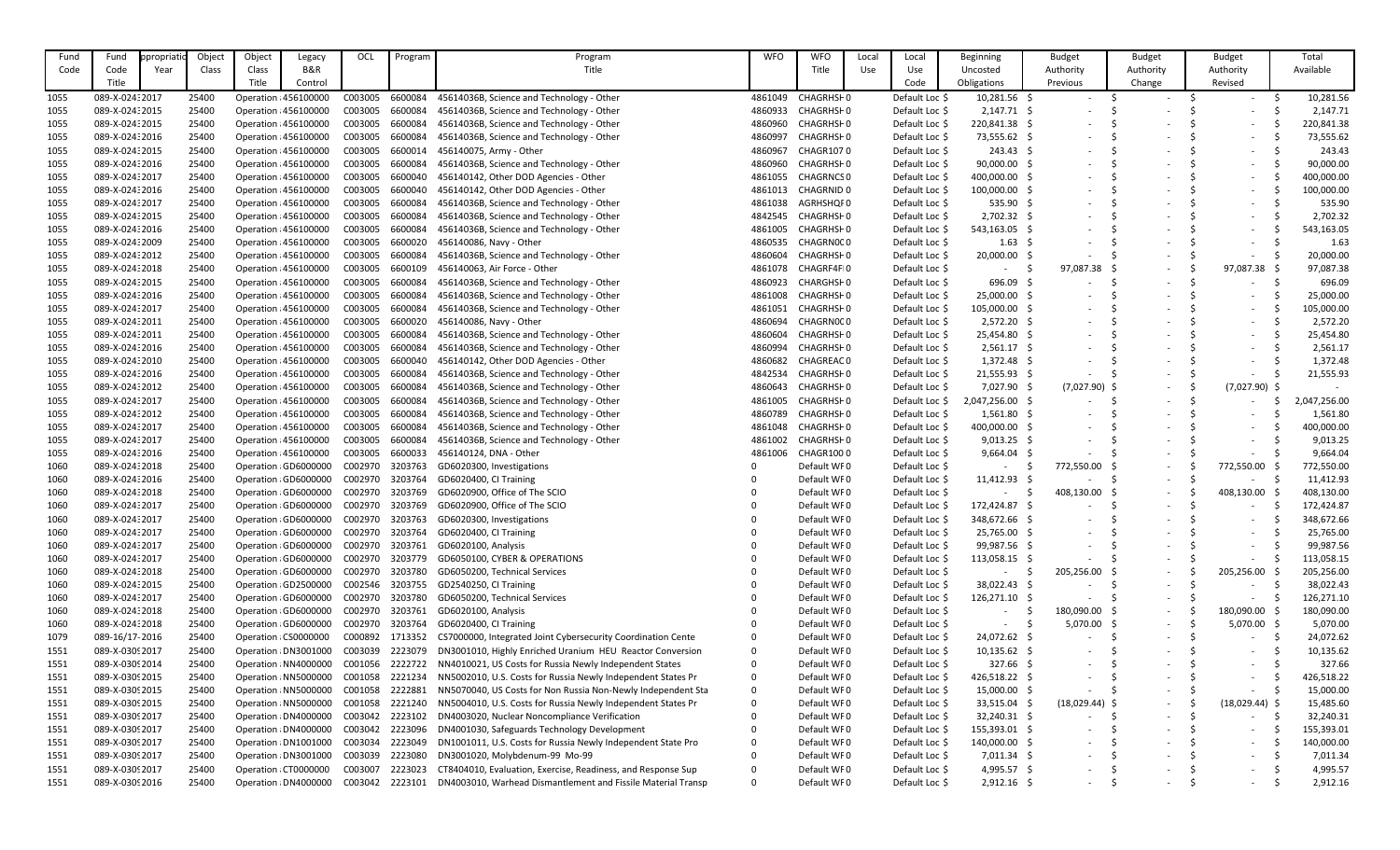| Fund         | Fund            | propriatio | Object | Object | Legacy                | OCL     | Program | Program                                                      | <b>WFO</b> | <b>WFO</b>       | Local | Local          | <b>Beginning</b>  | <b>Budget</b>            | <b>Budget</b>            | <b>Budget</b>                  | Total        |
|--------------|-----------------|------------|--------|--------|-----------------------|---------|---------|--------------------------------------------------------------|------------|------------------|-------|----------------|-------------------|--------------------------|--------------------------|--------------------------------|--------------|
| Code         | Code            | Year       | Class  | Class  | B&R                   |         |         | Title                                                        |            | Title            | Use   | Use            | Uncosted          | Authority                | Authority                | Authority                      | Available    |
|              | Title           |            |        | Title  | Control               |         |         |                                                              |            |                  |       | Code           | Obligations       | Previous                 | Change                   | Revised                        |              |
| 1055         | 089-X-02432017  |            | 25400  |        | Operation : 456100000 | C003005 | 6600084 | 45614036B, Science and Technology - Other                    | 4861049    | CHAGRHSH0        |       | Default Loc \$ | 10,281.56 \$      | $\overline{\phantom{a}}$ | $\overline{a}$           |                                | 10,281.56    |
| 1055         | 089-X-02432015  |            | 25400  |        | Operation : 456100000 | C003005 | 6600084 | 45614036B, Science and Technology - Other                    | 4860933    | CHAGRHSH0        |       | Default Loc \$ | $2,147.71$ \$     |                          |                          |                                | 2,147.71     |
| 1055         | 089-X-02432015  |            | 25400  |        | Operation : 456100000 | C003005 | 6600084 | 45614036B, Science and Technology - Other                    | 4860960    | CHAGRHSH0        |       | Default Loc \$ | 220,841.38 \$     |                          |                          |                                | 220,841.38   |
| 1055         | 089-X-024: 2016 |            | 25400  |        | Operation : 456100000 | C003005 | 6600084 | 45614036B, Science and Technology - Other                    | 4860997    | CHAGRHSH0        |       | Default Loc \$ | 73,555.62 \$      |                          |                          |                                | 73,555.62    |
| 1055         | 089-X-02432015  |            | 25400  |        | Operation : 456100000 | C003005 | 6600014 | 456140075, Army - Other                                      | 4860967    | <b>CHAGR1070</b> |       | Default Loc \$ | $243.43 \quad$ \$ |                          |                          |                                | 243.43       |
| 1055         | 089-X-02432016  |            | 25400  |        | Operation : 456100000 | C003005 | 6600084 | 45614036B, Science and Technology - Other                    | 4860960    | CHAGRHSH0        |       | Default Loc \$ | 90,000.00 \$      |                          |                          |                                | 90,000.00    |
|              | 089-X-024: 2017 |            | 25400  |        | Operation : 456100000 | C003005 | 6600040 | 456140142, Other DOD Agencies - Other                        | 4861055    | <b>CHAGRNCSO</b> |       | Default Loc \$ | 400,000.00 \$     |                          |                          |                                | 400,000.00   |
| 1055<br>1055 | 089-X-024: 2016 |            | 25400  |        | Operation : 456100000 | C003005 | 6600040 | 456140142, Other DOD Agencies - Other                        | 4861013    | CHAGRNID 0       |       | Default Loc \$ | 100,000.00 \$     |                          |                          |                                | 100,000.00   |
| 1055         | 089-X-024: 2017 |            | 25400  |        | Operation : 456100000 | C003005 | 6600084 | 45614036B, Science and Technology - Other                    | 4861038    | AGRHSHQF0        |       | Default Loc \$ | 535.90 \$         |                          |                          |                                | 535.90       |
| 1055         | 089-X-02432015  |            | 25400  |        | Operation : 456100000 | C003005 | 6600084 | 45614036B, Science and Technology - Other                    | 4842545    | CHAGRHSH0        |       | Default Loc \$ | $2,702.32$ \$     |                          |                          |                                | 2,702.32     |
| 1055         | 089-X-024: 2016 |            | 25400  |        | Operation : 456100000 | C003005 | 6600084 | 45614036B, Science and Technology - Other                    | 4861005    | CHAGRHSH0        |       | Default Loc \$ | 543,163.05 \$     |                          |                          |                                | 543,163.05   |
| 1055         | 089-X-02432009  |            | 25400  |        | Operation : 456100000 | C003005 | 6600020 | 456140086, Navy - Other                                      | 4860535    | CHAGRN000        |       | Default Loc \$ | $1.63 \quad $$    |                          |                          |                                | 1.63         |
| 1055         | 089-X-02432012  |            | 25400  |        | Operation : 456100000 | C003005 | 6600084 | 45614036B, Science and Technology - Other                    | 4860604    | CHAGRHSH0        |       | Default Loc \$ | $20,000.00$ \$    |                          |                          |                                | 20,000.00    |
| 1055         | 089-X-02432018  |            | 25400  |        | Operation : 456100000 | C003005 | 6600109 | 456140063, Air Force - Other                                 | 4861078    | CHAGRF4FI0       |       | Default Loc \$ |                   | 97,087.38                | $\overline{\phantom{a}}$ | 97,087.38                      | 97,087.38    |
| 1055         | 089-X-024: 2015 |            | 25400  |        | Operation : 456100000 | C003005 | 6600084 | 45614036B, Science and Technology - Other                    | 4860923    | CHARGHSH0        |       | Default Loc \$ | $696.09$ \$       |                          | $\overline{\phantom{0}}$ |                                | 696.09       |
|              | 089-X-02432016  |            | 25400  |        | Operation : 456100000 | C003005 | 6600084 | 45614036B, Science and Technology - Other                    | 4861008    | CHAGRHSH0        |       | Default Loc \$ | 25,000.00 \$      |                          |                          |                                | 25,000.00    |
| 1055         | 089-X-024: 2017 |            | 25400  |        | Operation : 456100000 | C003005 | 6600084 | 45614036B, Science and Technology - Other                    | 4861051    | CHAGRHSH0        |       | Default Loc \$ | 105,000.00 \$     |                          |                          |                                | 105,000.00   |
| 1055<br>1055 | 089-X-02432011  |            | 25400  |        | Operation : 456100000 | C003005 | 6600020 | 456140086, Navy - Other                                      | 4860694    | CHAGRN000        |       | Default Loc \$ | $2,572.20$ \$     |                          |                          |                                | 2,572.20     |
| 1055         | 089-X-024:2011  |            | 25400  |        | Operation : 456100000 | C003005 | 6600084 | 45614036B, Science and Technology - Other                    | 4860604    | CHAGRHSH0        |       | Default Loc \$ | 25,454.80 \$      |                          |                          |                                | 25,454.80    |
| 1055         | 089-X-024: 2016 |            | 25400  |        | Operation : 456100000 | C003005 | 6600084 | 45614036B, Science and Technology - Other                    | 4860994    | CHAGRHSH0        |       | Default Loc \$ | $2,561.17$ \$     |                          |                          |                                | 2,561.17     |
| 1055         | 089-X-02432010  |            | 25400  |        | Operation : 456100000 | C003005 | 6600040 | 456140142, Other DOD Agencies - Other                        | 4860682    | CHAGREAC0        |       | Default Loc \$ | $1,372.48$ \$     |                          |                          |                                | 1,372.48     |
| 1055         | 089-X-024: 2016 |            | 25400  |        | Operation : 456100000 | C003005 | 6600084 | 45614036B, Science and Technology - Other                    | 4842534    | CHAGRHSH0        |       | Default Loc \$ | $21,555.93$ \$    |                          |                          |                                | 21,555.93    |
| 1055         | 089-X-024:2012  |            | 25400  |        | Operation : 456100000 | C003005 | 6600084 | 45614036B, Science and Technology - Other                    | 4860643    | CHAGRHSH0        |       | Default Loc \$ | 7,027.90 \$       | $(7,027.90)$ \$          | $\overline{\phantom{0}}$ | $(7,027.90)$ \$                |              |
| 1055         | 089-X-024: 2017 |            | 25400  |        | Operation : 456100000 | C003005 | 6600084 | 45614036B, Science and Technology - Other                    | 4861005    | CHAGRHSH0        |       | Default Loc \$ | 2,047,256.00 \$   |                          | $\overline{\phantom{a}}$ |                                | 2,047,256.00 |
| 1055         | 089-X-02432012  |            | 25400  |        | Operation : 456100000 | C003005 | 6600084 | 45614036B, Science and Technology - Other                    | 4860789    | CHAGRHSH0        |       | Default Loc \$ | $1,561.80$ \$     |                          |                          |                                | 1,561.80     |
| 1055         | 089-X-024: 2017 |            | 25400  |        | Operation : 456100000 | C003005 | 6600084 | 45614036B, Science and Technology - Other                    | 4861048    | CHAGRHSH0        |       | Default Loc \$ | 400,000.00        |                          |                          |                                | 400,000.00   |
| 1055         | 089-X-024: 2017 |            | 25400  |        | Operation : 456100000 | C003005 | 6600084 | 45614036B, Science and Technology - Other                    | 4861002    | CHAGRHSH0        |       | Default Loc \$ | 9,013.25          |                          |                          |                                | 9,013.25     |
| 1055         | 089-X-024: 2016 |            | 25400  |        | Operation : 456100000 | C003005 | 6600033 | 456140124, DNA - Other                                       | 4861006    | CHAGR1000        |       | Default Loc \$ | $9,664.04$ \$     |                          |                          |                                | 9,664.04     |
| 1060         | 089-X-02432018  |            | 25400  |        | Operation : GD6000000 | C002970 | 3203763 | GD6020300, Investigations                                    |            | Default WF0      |       | Default Loc \$ |                   | 772,550.00 \$            | $\overline{\phantom{0}}$ | 772,550.00                     | 772,550.00   |
| 1060         | 089-X-024: 2016 |            | 25400  |        | Operation : GD6000000 | C002970 | 3203764 | GD6020400, CI Training                                       |            | Default WF0      |       | Default Loc \$ | 11,412.93         |                          | $\overline{\phantom{0}}$ | $\sim$                         | 11,412.93    |
| 1060         | 089-X-024:2018  |            | 25400  |        | Operation : GD6000000 | C002970 | 3203769 | GD6020900, Office of The SCIO                                |            | Default WF0      |       | Default Loc \$ |                   | 408,130.00 \$            | $\overline{\phantom{0}}$ | 408,130.00                     | 408,130.00   |
| 1060         | 089-X-024: 2017 |            | 25400  |        | Operation : GD6000000 | C002970 | 3203769 | GD6020900, Office of The SCIO                                |            | Default WF0      |       | Default Loc \$ | 172,424.87 \$     |                          | $\overline{\phantom{0}}$ | -S<br>$\overline{\phantom{a}}$ | 172,424.87   |
| 1060         | 089-X-024:2017  |            | 25400  |        | Operation : GD6000000 | C002970 | 3203763 | GD6020300, Investigations                                    |            | Default WF0      |       | Default Loc \$ | 348,672.66 \$     | $\overline{\phantom{a}}$ | $\overline{\phantom{a}}$ | $\overline{\phantom{a}}$       | 348,672.66   |
| 1060         | 089-X-024: 2017 |            | 25400  |        | Operation (GD6000000  | C002970 | 3203764 | GD6020400, CI Training                                       |            | Default WF0      |       | Default Loc \$ | 25,765.00 \$      |                          |                          | $\overline{\phantom{a}}$       | 25,765.00    |
| 1060         | 089-X-024: 2017 |            | 25400  |        | Operation : GD6000000 | C002970 | 3203761 | GD6020100, Analysis                                          |            | Default WF0      |       | Default Loc \$ | 99,987.56 \$      |                          | $\overline{\phantom{a}}$ |                                | 99,987.56    |
| 1060         | 089-X-024: 2017 |            | 25400  |        | Operation : GD6000000 | C002970 | 3203779 | GD6050100, CYBER & OPERATIONS                                |            | Default WF0      |       | Default Loc \$ | $113,058.15$ \$   |                          | $\overline{\phantom{a}}$ | $\sim$                         | 113,058.15   |
| 1060         | 089-X-024: 2018 |            | 25400  |        | Operation : GD6000000 | C002970 | 3203780 | GD6050200, Technical Services                                |            | Default WF0      |       | Default Loc \$ |                   | 205,256.00               | $\sim$                   | 205,256.00                     | 205,256.00   |
| 1060         | 089-X-024: 2015 |            | 25400  |        | Operation (GD2500000  | C002546 | 3203755 | GD2540250, CI Training                                       |            | Default WF0      |       | Default Loc \$ | 38,022.43 \$      |                          | $\overline{\phantom{0}}$ | $\sim$                         | 38,022.43    |
| 1060         | 089-X-02432017  |            | 25400  |        | Operation (GD6000000  | C002970 | 3203780 | GD6050200, Technical Services                                |            | Default WF0      |       | Default Loc \$ | $126,271.10$ \$   |                          | $\overline{\phantom{0}}$ | $\overline{\phantom{a}}$       | 126,271.10   |
| 1060         | 089-X-024:2018  |            | 25400  |        | Operation : GD6000000 | C002970 | 3203761 | GD6020100, Analysis                                          |            | Default WF0      |       | Default Loc \$ |                   | 180,090.00 \$            | $\overline{\phantom{a}}$ | 180,090.00                     | 180,090.00   |
| 1060         | 089-X-024: 2018 |            | 25400  |        | Operation : GD6000000 | C002970 | 3203764 | GD6020400, CI Training                                       |            | Default WF0      |       | Default Loc \$ | $\sim$ $-$        | 5,070.00                 | $\overline{\phantom{a}}$ | 5,070.00                       | 5,070.00     |
| 1079         | 089-16/17-2016  |            | 25400  |        | Operation ¿CS0000000  | C000892 | 1713352 | CS7000000, Integrated Joint Cybersecurity Coordination Cente |            | Default WF0      |       | Default Loc \$ | 24,072.62 \$      |                          | $\overline{\phantom{0}}$ | $\overline{\phantom{a}}$       | 24,072.62    |
| 1551         | 089-X-0309 2017 |            | 25400  |        | Operation : DN3001000 | C003039 | 2223079 | DN3001010, Highly Enriched Uranium HEU Reactor Conversion    |            | Default WF0      |       | Default Loc \$ | $10,135.62$ \$    |                          |                          | $\overline{\phantom{a}}$       | 10,135.62    |
| 1551         | 089-X-03092014  |            | 25400  |        | Operation : NN4000000 | C001056 | 2222722 | NN4010021, US Costs for Russia Newly Independent States      |            | Default WF0      |       | Default Loc \$ | 327.66 \$         |                          |                          |                                | 327.66       |
| 1551         | 089-X-0309 2015 |            | 25400  |        | Operation : NN5000000 | C001058 | 2221234 | NN5002010, U.S. Costs for Russia Newly Independent States Pr |            | Default WF0      |       | Default Loc \$ | 426,518.22 \$     |                          | $\overline{\phantom{a}}$ |                                | 426,518.22   |
| 1551         | 089-X-0309 2015 |            | 25400  |        | Operation : NN5000000 | C001058 | 2222881 | NN5070040, US Costs for Non Russia Non-Newly Independent Sta |            | Default WF0      |       | Default Loc \$ | 15,000.00 \$      |                          | $\overline{\phantom{a}}$ | $\overline{\phantom{a}}$       | 15,000.00    |
| 1551         | 089-X-0309 2015 |            | 25400  |        | Operation : NN5000000 | C001058 | 2221240 | NN5004010, U.S. Costs for Russia Newly Independent States Pr |            | Default WF0      |       | Default Loc \$ | 33,515.04 \$      | $(18,029.44)$ \$         | $\overline{\phantom{a}}$ | $(18,029.44)$ \$               | 15,485.60    |
| 1551         | 089-X-0309 2017 |            | 25400  |        | Operation : DN4000000 | C003042 | 2223102 | DN4003020, Nuclear Noncompliance Verification                |            | Default WF0      |       | Default Loc \$ | $32,240.31$ \$    |                          | $\overline{\phantom{0}}$ | $\overline{\phantom{a}}$       | 32,240.31    |
| 1551         | 089-X-0309 2017 |            | 25400  |        | Operation : DN4000000 | C003042 | 2223096 | DN4001030, Safeguards Technology Development                 |            | Default WF0      |       | Default Loc \$ | 155,393.01 \$     |                          | $\overline{\phantom{a}}$ | $\overline{\phantom{a}}$       | 155,393.01   |
| 1551         | 089-X-0309 2017 |            | 25400  |        | Operation : DN1001000 | C003034 | 2223049 | DN1001011, U.S. Costs for Russia Newly Independent State Pro |            | Default WF0      |       | Default Loc \$ | 140,000.00 \$     |                          | $\overline{\phantom{a}}$ | $\overline{\phantom{a}}$       | 140,000.00   |
| 1551         | 089-X-0309 2017 |            | 25400  |        | Operation : DN3001000 | C003039 | 2223080 | DN3001020, Molybdenum-99 Mo-99                               |            | Default WF0      |       | Default Loc \$ | 7,011.34 \$       | $\overline{\phantom{a}}$ | $\overline{\phantom{a}}$ | $\sim$                         | 7,011.34     |
| 1551         | 089-X-0309 2017 |            | 25400  |        | Operation ¿CT0000000  | C003007 | 2223023 | CT8404010, Evaluation, Exercise, Readiness, and Response Sup |            | Default WF0      |       | Default Loc \$ | $4,995.57$ \$     |                          |                          | $\sim$                         | 4,995.57     |
| 1551         | 089-X-0309 2016 |            | 25400  |        | Operation : DN4000000 | C003042 | 2223101 | DN4003010, Warhead Dismantlement and Fissile Material Transp |            | Default WF0      |       | Default Loc \$ | $2,912.16$ \$     | $\overline{\phantom{a}}$ |                          | $\sim$                         | 2,912.16     |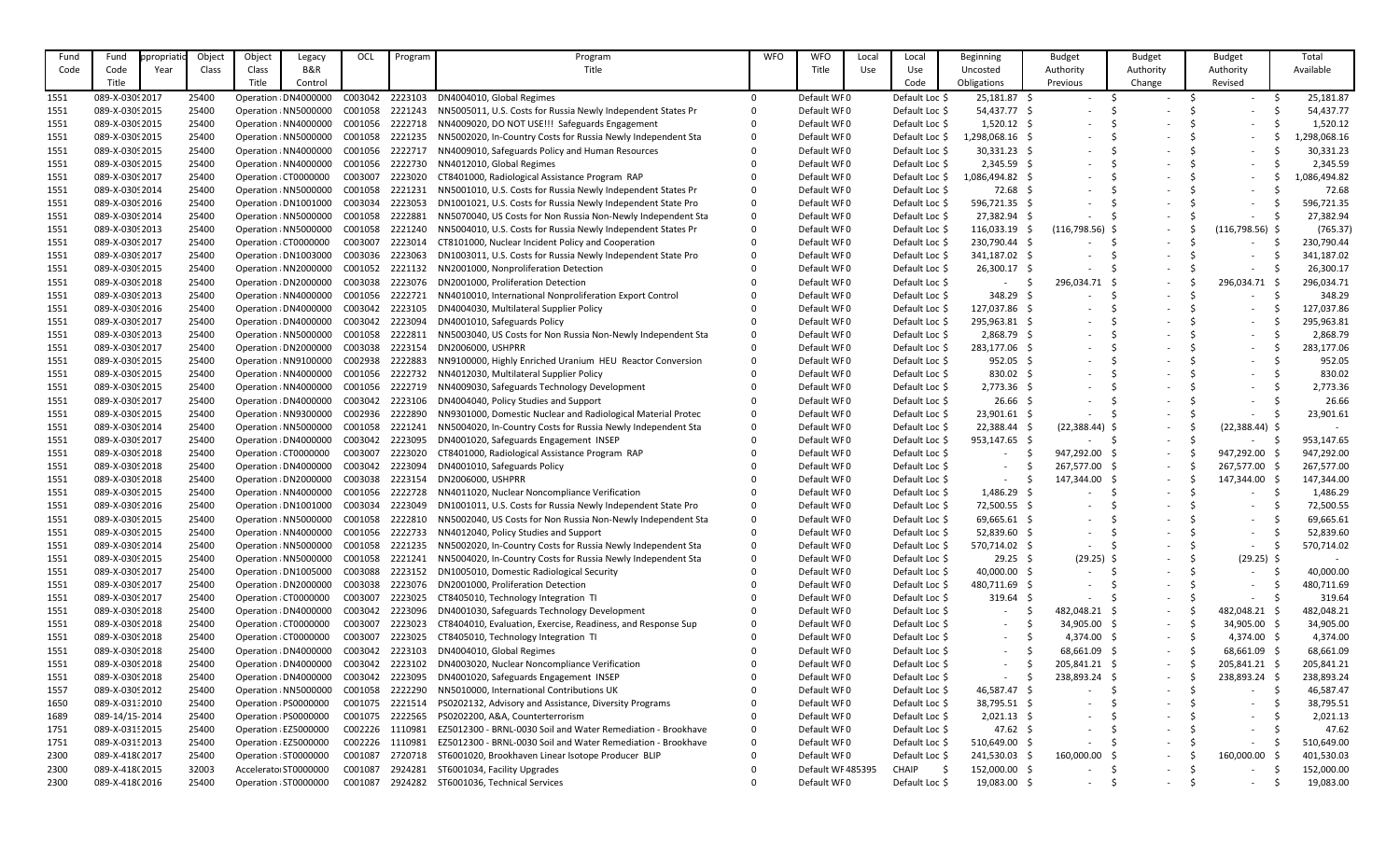| Fund | Fund            | opropriatic | Object | Object | Legacy                | OCL     | Program | Program                                                      | <b>WFO</b> | <b>WFO</b>        | Local | Local          | Beginning       | <b>Budget</b>            | <b>Budget</b>            | <b>Budget</b>            | Total       |
|------|-----------------|-------------|--------|--------|-----------------------|---------|---------|--------------------------------------------------------------|------------|-------------------|-------|----------------|-----------------|--------------------------|--------------------------|--------------------------|-------------|
| Code | Code            | Year        | Class  | Class  | B&R                   |         |         | Title                                                        |            | Title             | Use   | Use            | Uncosted        | Authority                | Authority                | Authority                | Available   |
|      | Title           |             |        | Title  | Control               |         |         |                                                              |            |                   |       | Code           | Obligations     | Previous                 | Change                   | Revised                  |             |
| 1551 | 089-X-0309 2017 |             | 25400  |        | Operation : DN4000000 | C003042 | 2223103 | DN4004010, Global Regimes                                    |            | Default WF0       |       | Default Loc \$ | 25,181.87 \$    |                          | $\overline{\phantom{a}}$ |                          | 25,181.87   |
| 1551 | 089-X-0309 2015 |             | 25400  |        | Operation : NN5000000 | C001058 | 2221243 | NN5005011, U.S. Costs for Russia Newly Independent States Pr |            | Default WF0       |       | Default Loc \$ | 54,437.77 \$    |                          |                          |                          | 54,437.77   |
| 1551 | 089-X-0309 2015 |             | 25400  |        | Operation : NN4000000 | C001056 | 2222718 | NN4009020, DO NOT USE!!! Safeguards Engagement               |            | Default WF0       |       | Default Loc \$ | $1,520.12$ \$   |                          |                          |                          | 1,520.12    |
| 1551 | 089-X-0309 2015 |             | 25400  |        | Operation : NN5000000 | C001058 | 2221235 | NN5002020, In-Country Costs for Russia Newly Independent Sta |            | Default WF0       |       | Default Loc \$ | ,298,068.16 \$  |                          |                          |                          | ,298,068.16 |
| 1551 | 089-X-0309 2015 |             | 25400  |        | Operation : NN4000000 | C001056 | 2222717 | NN4009010, Safeguards Policy and Human Resources             |            | Default WF0       |       | Default Loc \$ | $30,331.23$ \$  |                          |                          |                          | 30,331.23   |
| 1551 | 089-X-0309 2015 |             | 25400  |        | Operation : NN4000000 | C001056 | 2222730 | NN4012010, Global Regimes                                    |            | Default WF0       |       | Default Loc \$ | $2,345.59$ \$   |                          |                          |                          | 2,345.59    |
| 1551 | 089-X-0309 2017 |             | 25400  |        | Operation (CT0000000  | C003007 | 2223020 | CT8401000, Radiological Assistance Program RAP               |            | Default WF0       |       | Default Loc \$ | 1,086,494.82 \$ |                          |                          |                          | ,086,494.82 |
| 1551 | 089-X-0309 2014 |             | 25400  |        | Operation : NN5000000 | C001058 | 2221231 | NN5001010, U.S. Costs for Russia Newly Independent States Pr |            | Default WF0       |       | Default Loc \$ | $72.68$ \$      |                          |                          |                          | 72.68       |
| 1551 | 089-X-0309 2016 |             | 25400  |        | Operation : DN1001000 | C003034 | 2223053 | DN1001021, U.S. Costs for Russia Newly Independent State Pro |            | Default WF0       |       | Default Loc \$ | 596,721.35 \$   |                          |                          |                          | 596,721.35  |
| 1551 | 089-X-0309 2014 |             | 25400  |        | Operation : NN5000000 | C001058 | 2222881 | NN5070040, US Costs for Non Russia Non-Newly Independent Sta | 0          | Default WF0       |       | Default Loc \$ | 27,382.94 \$    |                          |                          |                          | 27,382.94   |
| 1551 | 089-X-0309 2013 |             | 25400  |        | Operation : NN5000000 | C001058 | 2221240 | NN5004010, U.S. Costs for Russia Newly Independent States Pr |            | Default WF0       |       | Default Loc \$ | 116,033.19 \$   | $(116,798.56)$ \$        | $\overline{\phantom{a}}$ | (116, 798.56)            | (765.37)    |
| 1551 | 089-X-0309 2017 |             | 25400  |        | Operation (CT0000000  | C003007 | 2223014 | CT8101000, Nuclear Incident Policy and Cooperation           |            | Default WF0       |       | Default Loc \$ | 230,790.44 \$   |                          |                          |                          | 230,790.44  |
| 1551 | 089-X-0309 2017 |             | 25400  |        | Operation : DN1003000 | C003036 | 2223063 | DN1003011, U.S. Costs for Russia Newly Independent State Pro |            | Default WF0       |       | Default Loc \$ | 341,187.02 \$   |                          |                          |                          | 341,187.02  |
| 1551 | 089-X-0309 2015 |             | 25400  |        | Operation : NN2000000 | C001052 | 2221132 | NN2001000, Nonproliferation Detection                        |            | Default WF0       |       | Default Loc \$ | 26,300.17 \$    |                          |                          |                          | 26,300.17   |
| 1551 | 089-X-0309 2018 |             | 25400  |        | Operation : DN2000000 | C003038 | 2223076 | DN2001000, Proliferation Detection                           |            | Default WF0       |       | Default Loc \$ | $\sim$          | 296,034.71               |                          | 296,034.71               | 296,034.71  |
| 1551 | 089-X-0309 2013 |             | 25400  |        | Operation : NN4000000 | C001056 | 2222721 | NN4010010, International Nonproliferation Export Control     |            | Default WF0       |       | Default Loc \$ | 348.29 \$       |                          |                          |                          | 348.29      |
| 1551 | 089-X-0309 2016 |             | 25400  |        | Operation : DN4000000 | C003042 | 2223105 | DN4004030, Multilateral Supplier Policy                      |            | Default WF0       |       | Default Loc \$ | 127,037.86 \$   |                          |                          |                          | 127,037.86  |
| 1551 | 089-X-0309 2017 |             | 25400  |        | Operation : DN4000000 | C003042 | 2223094 | DN4001010, Safeguards Policy                                 |            | Default WF0       |       | Default Loc \$ | 295,963.81 \$   |                          |                          |                          | 295,963.81  |
| 1551 | 089-X-0309 2013 |             | 25400  |        | Operation : NN5000000 | C001058 | 2222811 | NN5003040, US Costs for Non Russia Non-Newly Independent Sta |            | Default WF0       |       | Default Loc \$ | 2,868.79 \$     |                          |                          |                          | 2,868.79    |
| 1551 | 089-X-0309 2017 |             | 25400  |        | Operation : DN2000000 | C003038 | 2223154 | DN2006000, USHPRR                                            |            | Default WF0       |       | Default Loc \$ | 283,177.06 \$   |                          |                          |                          | 283,177.06  |
| 1551 | 089-X-03092015  |             | 25400  |        | Operation : NN9100000 | C002938 | 2222883 | NN9100000, Highly Enriched Uranium HEU Reactor Conversion    |            | Default WF0       |       | Default Loc \$ | $952.05$ \$     |                          |                          |                          | 952.05      |
| 1551 | 089-X-0309 2015 |             | 25400  |        | Operation : NN4000000 | C001056 | 2222732 | NN4012030, Multilateral Supplier Policy                      |            | Default WF0       |       | Default Loc \$ | 830.02 \$       |                          |                          |                          | 830.02      |
| 1551 | 089-X-03092015  |             | 25400  |        | Operation : NN4000000 | C001056 | 2222719 | NN4009030, Safeguards Technology Development                 |            | Default WF0       |       | Default Loc \$ | $2,773.36$ \$   |                          |                          |                          | 2,773.36    |
| 1551 | 089-X-0309 2017 |             | 25400  |        | Operation : DN4000000 | C003042 | 2223106 | DN4004040, Policy Studies and Support                        |            | Default WF0       |       | Default Loc \$ | $26.66$ \$      |                          |                          |                          | 26.66       |
| 1551 | 089-X-0309 2015 |             | 25400  |        | Operation : NN9300000 | C002936 | 2222890 | NN9301000, Domestic Nuclear and Radiological Material Protec |            | Default WF0       |       | Default Loc \$ | $23,901.61$ \$  |                          |                          |                          | 23,901.61   |
| 1551 | 089-X-0309 2014 |             | 25400  |        | Operation : NN5000000 | C001058 | 2221241 | NN5004020, In-Country Costs for Russia Newly Independent Sta |            | Default WF0       |       | Default Loc \$ | 22,388.44 \$    | $(22,388.44)$ \$         | $\overline{\phantom{a}}$ | $(22,388.44)$ \$         |             |
| 1551 | 089-X-0309 2017 |             | 25400  |        | Operation : DN4000000 | C003042 | 2223095 | DN4001020, Safeguards Engagement INSEP                       |            | Default WF0       |       | Default Loc \$ | 953,147.65 \$   |                          |                          |                          | 953,147.65  |
| 1551 | 089-X-0309 2018 |             | 25400  |        | Operation : CT0000000 | C003007 | 2223020 | CT8401000, Radiological Assistance Program RAP               |            | Default WF0       |       | Default Loc \$ |                 | 947,292.00               |                          | 947,292.00               | 947,292.00  |
| 1551 | 089-X-0309 2018 |             | 25400  |        | Operation : DN4000000 | C003042 | 2223094 | DN4001010, Safeguards Policy                                 |            | Default WF0       |       | Default Loc \$ |                 | 267,577.00 \$            | $\overline{\phantom{a}}$ | 267,577.00               | 267,577.00  |
| 1551 | 089-X-0309 2018 |             | 25400  |        | Operation : DN2000000 | C003038 | 2223154 | DN2006000, USHPRR                                            |            | Default WF0       |       | Default Loc \$ |                 | 147,344.00               | $\overline{\phantom{a}}$ | 147,344.00               | 147,344.00  |
| 1551 | 089-X-0309 2015 |             | 25400  |        | Operation : NN4000000 | C001056 | 2222728 | NN4011020, Nuclear Noncompliance Verification                |            | Default WF0       |       | Default Loc \$ | 1,486.29 \$     |                          | $\overline{\phantom{a}}$ |                          | 1,486.29    |
| 1551 | 089-X-0309 2016 |             | 25400  |        | Operation : DN1001000 | C003034 | 2223049 | DN1001011, U.S. Costs for Russia Newly Independent State Pro |            | Default WF0       |       | Default Loc \$ | 72,500.55 \$    | 5                        | $\overline{\phantom{a}}$ |                          | 72,500.55   |
| 1551 | 089-X-0309 2015 |             | 25400  |        | Operation : NN5000000 | C001058 | 2222810 | NN5002040, US Costs for Non Russia Non-Newly Independent Sta |            | Default WF0       |       | Default Loc \$ | 69,665.61 \$    | $\overline{\phantom{a}}$ |                          | $\overline{\phantom{0}}$ | 69,665.61   |
| 1551 | 089-X-0309 2015 |             | 25400  |        | Operation : NN4000000 | C001056 | 2222733 | NN4012040, Policy Studies and Support                        |            | Default WF0       |       | Default Loc \$ | 52,839.60 \$    | $\overline{\phantom{a}}$ |                          |                          | 52,839.60   |
| 1551 | 089-X-0309 2014 |             | 25400  |        | Operation : NN5000000 | C001058 | 2221235 | NN5002020, In-Country Costs for Russia Newly Independent Sta |            | Default WF0       |       | Default Loc \$ | 570,714.02 \$   |                          | $\overline{\phantom{a}}$ | $-$                      | 570,714.02  |
| 1551 | 089-X-03092015  |             | 25400  |        | Operation : NN5000000 | C001058 | 2221241 | NN5004020, In-Country Costs for Russia Newly Independent Sta |            | Default WF0       |       | Default Loc \$ | $29.25$ \$      | $(29.25)$ \$             | $\overline{\phantom{a}}$ | $(29.25)$ \$             |             |
| 1551 | 089-X-0309 2017 |             | 25400  |        | Operation : DN1005000 | C003088 | 2223152 | DN1005010, Domestic Radiological Security                    |            | Default WF0       |       | Default Loc \$ | 40,000.00 \$    |                          | $\overline{\phantom{a}}$ |                          | 40,000.00   |
| 1551 | 089-X-03092017  |             | 25400  |        | Operation : DN2000000 | C003038 | 2223076 | DN2001000, Proliferation Detection                           |            | Default WF0       |       | Default Loc \$ | 480,711.69 \$   | $\overline{\phantom{a}}$ | $\overline{\phantom{a}}$ | $\overline{\phantom{0}}$ | 480,711.69  |
| 1551 | 089-X-03092017  |             | 25400  |        | Operation : CT0000000 | C003007 | 2223025 | CT8405010, Technology Integration TI                         |            | Default WF0       |       | Default Loc \$ | 319.64 \$       |                          | $\overline{\phantom{a}}$ | $\sim$                   | 319.64      |
| 1551 | 089-X-0309 2018 |             | 25400  |        | Operation : DN4000000 | C003042 | 2223096 | DN4001030, Safeguards Technology Development                 |            | Default WF0       |       | Default Loc \$ | $\sim$          | 482,048.21               | $\overline{\phantom{a}}$ | 482,048.21               | 482,048.21  |
| 1551 | 089-X-0309 2018 |             | 25400  |        | Operation : CT0000000 | C003007 | 2223023 | CT8404010, Evaluation, Exercise, Readiness, and Response Sup |            | Default WF0       |       | Default Loc \$ |                 | 34,905.00                | $\overline{\phantom{a}}$ | 34,905.00                | 34,905.00   |
| 1551 | 089-X-0309 2018 |             | 25400  |        | Operation : CT0000000 | C003007 | 2223025 | CT8405010, Technology Integration TI                         |            | Default WF0       |       | Default Loc \$ |                 | 4,374.00 \$              | $\sim$                   | $4,374.00$ \$            | 4,374.00    |
| 1551 | 089-X-0309 2018 |             | 25400  |        | Operation : DN4000000 | C003042 | 2223103 | DN4004010, Global Regimes                                    |            | Default WF0       |       | Default Loc \$ | $-$             | 68,661.09                | $\sim$                   | 68,661.09 \$             | 68,661.09   |
| 1551 | 089-X-0309 2018 |             | 25400  |        | Operation : DN4000000 | C003042 | 2223102 | DN4003020, Nuclear Noncompliance Verification                |            | Default WF0       |       | Default Loc \$ | $\sim$ $-$      | 205,841.21 \$            | $ \,$                    | 205,841.21               | 205,841.21  |
| 1551 | 089-X-0309 2018 |             | 25400  |        | Operation : DN4000000 | C003042 | 2223095 | DN4001020, Safeguards Engagement INSEP                       |            | Default WF0       |       | Default Loc \$ |                 | 238,893.24               | $\overline{\phantom{a}}$ | 238,893.24               | 238,893.24  |
| 1557 | 089-X-03092012  |             | 25400  |        | Operation : NN5000000 | C001058 | 2222290 | NN5010000, International Contributions UK                    |            | Default WF0       |       | Default Loc \$ | 46,587.47 \$    |                          |                          |                          | 46,587.47   |
| 1650 | 089-X-031:2010  |             | 25400  |        | Operation : PS0000000 | C001075 | 2221514 | PS0202132, Advisory and Assistance, Diversity Programs       |            | Default WF0       |       | Default Loc \$ | 38,795.51 \$    | $\overline{\phantom{a}}$ | $\overline{\phantom{a}}$ |                          | 38,795.51   |
| 1689 | 089-14/15-2014  |             | 25400  |        | Operation : PS0000000 | C001075 | 2222565 | PS0202200, A&A, Counterterrorism                             |            | Default WF0       |       | Default Loc \$ | $2,021.13$ \$   | $\overline{\phantom{a}}$ |                          |                          | 2,021.13    |
| 1751 | 089-X-0315 2015 |             | 25400  |        | Operation : EZ5000000 | C002226 | 1110981 | EZ5012300 - BRNL-0030 Soil and Water Remediation - Brookhave | 0          | Default WF0       |       | Default Loc \$ | $47.62 \div$    |                          | $\overline{\phantom{a}}$ | $-$                      | 47.62       |
| 1751 | 089-X-03152013  |             | 25400  |        | Operation : EZ5000000 | C002226 | 1110981 | EZ5012300 - BRNL-0030 Soil and Water Remediation - Brookhave |            | Default WF0       |       | Default Loc \$ | 510,649.00 \$   |                          | $\overline{\phantom{a}}$ |                          | 510,649.00  |
| 2300 | 089-X-418(2017  |             | 25400  |        | Operation : ST0000000 | C001087 | 2720718 | ST6001020, Brookhaven Linear Isotope Producer BLIP           |            | Default WF0       |       | Default Loc \$ | 241,530.03 \$   | 160,000.00               | $\overline{\phantom{a}}$ | 160,000.00               | 401,530.03  |
| 2300 | 089-X-418(2015  |             | 32003  |        | Accelerator ST0000000 | C001087 | 2924281 | ST6001034, Facility Upgrades                                 |            | Default WF 485395 |       | CHAIP          | 152,000.00 \$   |                          | $\overline{\phantom{a}}$ | $-$                      | 152,000.00  |
| 2300 | 089-X-418(2016  |             | 25400  |        | Operation : ST0000000 | C001087 | 2924282 | ST6001036, Technical Services                                |            | Default WF0       |       | Default Loc \$ | 19,083.00 \$    | $\sim$                   | $\overline{\phantom{a}}$ | $\sim$                   | 19,083.00   |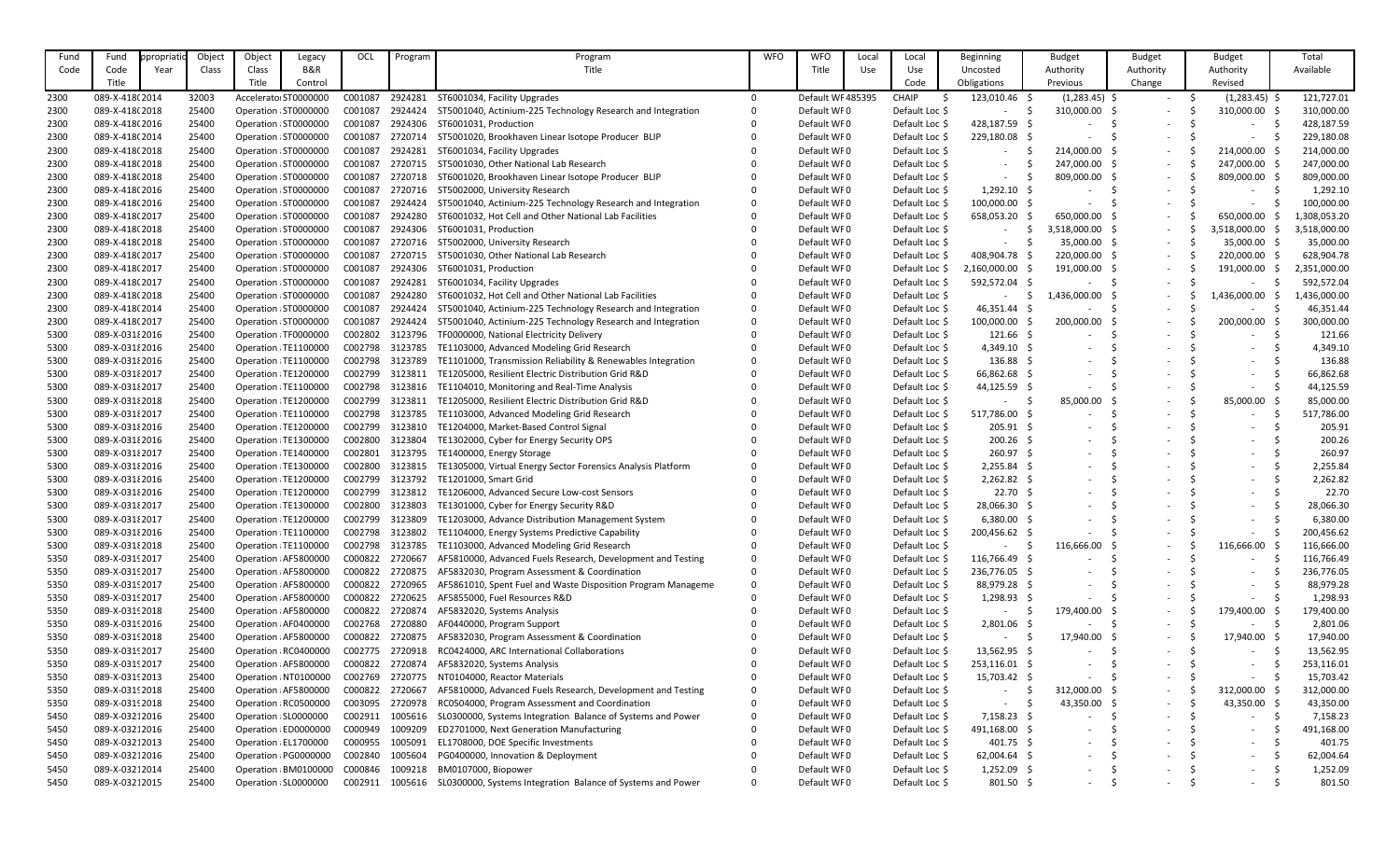| Fund | Fund            | propriatio | Object | Object | Legacy                | OCL     | Program | Program                                                      | <b>WFO</b> | <b>WFO</b>       | Local | Local          | Beginning           | <b>Budget</b>            | <b>Budget</b>            | <b>Budget</b>            | Total        |
|------|-----------------|------------|--------|--------|-----------------------|---------|---------|--------------------------------------------------------------|------------|------------------|-------|----------------|---------------------|--------------------------|--------------------------|--------------------------|--------------|
| Code | Code            | Year       | Class  | Class  | B&R                   |         |         | Title                                                        |            | <b>Title</b>     | Use   | Use            | Uncosted            | Authority                | Authority                | Authority                | Available    |
|      | Title           |            |        | Title  | Control               |         |         |                                                              |            |                  |       | Code           | Obligations         | Previous                 | Change                   | Revised                  |              |
| 2300 | 089-X-418(2014  |            | 32003  |        | Accelerator ST000000C | C001087 | 2924281 | ST6001034, Facility Upgrades                                 | $\Omega$   | Default WF485395 |       | <b>CHAIP</b>   | 123,010.46 \$       | $(1,283.45)$ \$          | $\sim$                   | $(1,283.45)$ \$          | 121,727.01   |
| 2300 | 089-X-418(2018  |            | 25400  |        | Operation : ST0000000 | C001087 | 2924424 | ST5001040, Actinium-225 Technology Research and Integration  |            | Default WF0      |       | Default Loc \$ |                     | 310,000.00               |                          | 310,000.00               | 310,000.00   |
| 2300 | 089-X-418(2016  |            | 25400  |        | Operation : ST0000000 | C001087 | 2924306 | ST6001031, Production                                        |            | Default WF0      |       | Default Loc \$ | 428,187.59 \$       |                          |                          |                          | 428,187.59   |
| 2300 | 089-X-418(2014  |            | 25400  |        | Operation : ST0000000 | C001087 | 2720714 | ST5001020, Brookhaven Linear Isotope Producer BLIP           |            | Default WF0      |       | Default Loc \$ | 229,180.08 \$       |                          | $\overline{\phantom{a}}$ |                          | 229,180.08   |
| 2300 | 089-X-418(2018  |            | 25400  |        | Operation : ST0000000 | C001087 | 2924281 | ST6001034, Facility Upgrades                                 |            | Default WF0      |       | Default Loc \$ |                     | 214,000.00               | $\overline{\phantom{a}}$ | 214,000.00               | 214,000.00   |
| 2300 | 089-X-418(2018  |            | 25400  |        | Operation : ST0000000 | C001087 | 2720715 | ST5001030, Other National Lab Research                       |            | Default WF0      |       | Default Loc \$ |                     | 247,000.00               | $\sim$                   | 247,000.00               | 247,000.00   |
| 2300 | 089-X-418(2018  |            | 25400  |        | Operation : ST0000000 | C001087 | 2720718 | ST6001020, Brookhaven Linear Isotope Producer BLIP           |            | Default WF0      |       | Default Loc \$ |                     | 809,000.00               | $\overline{\phantom{a}}$ | 809,000.00               | 809,000.00   |
| 2300 | 089-X-418(2016  |            | 25400  |        | Operation : ST0000000 | C001087 | 2720716 | ST5002000, University Research                               |            | Default WF0      |       | Default Loc \$ | $1,292.10$ \$       |                          | $\overline{\phantom{a}}$ |                          | 1,292.10     |
| 2300 | 089-X-418(2016  |            | 25400  |        | Operation : ST0000000 | C001087 | 2924424 | ST5001040, Actinium-225 Technology Research and Integration  |            | Default WF0      |       | Default Loc \$ | 100,000.00 \$       |                          | $\overline{\phantom{a}}$ |                          | 100,000.00   |
| 2300 | 089-X-418(2017  |            | 25400  |        | Operation : ST0000000 | C001087 | 2924280 | ST6001032, Hot Cell and Other National Lab Facilities        |            | Default WF0      |       | Default Loc \$ | 658,053.20          | 650,000.00               | $\overline{\phantom{a}}$ | 650,000.00               | ,308,053.20  |
| 2300 | 089-X-418(2018  |            | 25400  |        | Operation : ST0000000 | C001087 | 2924306 | ST6001031, Production                                        |            | Default WF0      |       | Default Loc \$ |                     | 3,518,000.00             | $\overline{\phantom{a}}$ | 3,518,000.00             | ,518,000.00  |
| 2300 | 089-X-418(2018  |            | 25400  |        | Operation : ST0000000 | C001087 | 2720716 | ST5002000, University Research                               |            | Default WF0      |       | Default Loc \$ |                     | 35,000.00                | $\overline{\phantom{a}}$ | 35,000.00 \$             | 35,000.00    |
| 2300 | 089-X-418(2017  |            | 25400  |        | Operation : ST0000000 | C001087 | 2720715 | ST5001030, Other National Lab Research                       |            | Default WF0      |       | Default Loc \$ | 408,904.78 \$       | 220,000.00               | $\overline{\phantom{a}}$ | 220,000.00               | 628,904.78   |
| 2300 | 089-X-418(2017  |            | 25400  |        | Operation : ST0000000 | C001087 | 2924306 | ST6001031, Production                                        |            | Default WF0      |       | Default Loc \$ | 2,160,000.00        | 191,000.00               | $\sim$                   | 191,000.00               | 2,351,000.00 |
| 2300 | 089-X-418(2017  |            | 25400  |        | Operation : ST0000000 | C001087 | 2924281 | ST6001034, Facility Upgrades                                 |            | Default WF0      |       | Default Loc \$ | 592,572.04 \$       |                          |                          |                          | 592,572.04   |
|      | 089-X-418(2018  |            | 25400  |        | Operation : ST0000000 | C001087 | 2924280 | ST6001032, Hot Cell and Other National Lab Facilities        |            | Default WF0      |       | Default Loc \$ |                     | 1,436,000.00             | $\overline{\phantom{a}}$ | $\sim$<br>1,436,000.00   |              |
| 2300 |                 |            |        |        |                       |         |         |                                                              |            |                  |       |                |                     |                          | $\overline{\phantom{a}}$ |                          | ,436,000.00  |
| 2300 | 089-X-418(2014  |            | 25400  |        | Operation : ST0000000 | C001087 | 2924424 | ST5001040, Actinium-225 Technology Research and Integration  |            | Default WF0      |       | Default Loc \$ | 46,351.44 \$        |                          |                          |                          | 46,351.44    |
| 2300 | 089-X-418(2017  |            | 25400  |        | Operation : ST0000000 | C001087 | 2924424 | ST5001040, Actinium-225 Technology Research and Integration  |            | Default WF0      |       | Default Loc \$ | 100,000.00          | 200,000.00               |                          | 200,000.00               | 300,000.00   |
| 5300 | 089-X-031 2016  |            | 25400  |        | Operation : TF0000000 | C002802 | 3123796 | TF0000000, National Electricity Delivery                     |            | Default WF0      |       | Default Loc \$ | $121.66$ \$         |                          | $\overline{\phantom{a}}$ |                          | 121.66       |
| 5300 | 089-X-03182016  |            | 25400  |        | Operation : TE1100000 | C002798 | 3123785 | TE1103000, Advanced Modeling Grid Research                   |            | Default WF0      |       | Default Loc \$ | $4,349.10$ \$       |                          |                          |                          | 4,349.10     |
| 5300 | 089-X-031 2016  |            | 25400  |        | Operation : TE1100000 | C002798 | 3123789 | TE1101000, Transmission Reliability & Renewables Integration |            | Default WF0      |       | Default Loc \$ | $136.88\frac{1}{2}$ |                          |                          |                          | 136.88       |
| 5300 | 089-X-031 2017  |            | 25400  |        | Operation : TE1200000 | C002799 | 3123811 | TE1205000, Resilient Electric Distribution Grid R&D          |            | Default WF0      |       | Default Loc \$ | 66,862.68 \$        |                          |                          |                          | 66,862.68    |
| 5300 | 089-X-031 2017  |            | 25400  |        | Operation : TE1100000 | C002798 | 3123816 | TE1104010, Monitoring and Real-Time Analysis                 |            | Default WF0      |       | Default Loc \$ | 44,125.59 \$        |                          |                          |                          | 44,125.59    |
| 5300 | 089-X-031 2018  |            | 25400  |        | Operation : TE1200000 | C002799 | 3123811 | TE1205000, Resilient Electric Distribution Grid R&D          |            | Default WF0      |       | Default Loc \$ |                     | 85,000.00                |                          | 85,000.00                | 85,000.00    |
| 5300 | 089-X-031 {2017 |            | 25400  |        | Operation : TE1100000 | C002798 | 3123785 | TE1103000, Advanced Modeling Grid Research                   |            | Default WF0      |       | Default Loc \$ | 517,786.00          |                          |                          |                          | 517,786.00   |
| 5300 | 089-X-031 2016  |            | 25400  |        | Operation : TE1200000 | C002799 | 3123810 | TE1204000, Market-Based Control Signal                       |            | Default WF0      |       | Default Loc \$ | $205.91$ \$         |                          |                          |                          | 205.91       |
| 5300 | 089-X-03182016  |            | 25400  |        | Operation : TE1300000 | C002800 | 3123804 | TE1302000, Cyber for Energy Security OPS                     |            | Default WF0      |       | Default Loc \$ | $200.26$ \$         |                          |                          |                          | 200.26       |
| 5300 | 089-X-03182017  |            | 25400  |        | Operation : TE1400000 | C002801 | 3123795 | TE1400000, Energy Storage                                    |            | Default WF0      |       | Default Loc \$ | $260.97$ \$         |                          |                          |                          | 260.97       |
| 5300 | 089-X-031 {2016 |            | 25400  |        | Operation : TE1300000 | C002800 | 3123815 | TE1305000, Virtual Energy Sector Forensics Analysis Platform |            | Default WF0      |       | Default Loc \$ | 2,255.84 \$         |                          |                          |                          | 2,255.84     |
| 5300 | 089-X-031 2016  |            | 25400  |        | Operation : TE1200000 | C002799 | 3123792 | TE1201000, Smart Grid                                        |            | Default WF0      |       | Default Loc \$ | $2,262.82$ \$       |                          |                          |                          | 2,262.82     |
| 5300 | 089-X-03182016  |            | 25400  |        | Operation : TE1200000 | C002799 | 3123812 | TE1206000, Advanced Secure Low-cost Sensors                  |            | Default WF0      |       | Default Loc \$ | 22.70%              |                          |                          |                          | 22.70        |
| 5300 | 089-X-031 2017  |            | 25400  |        | Operation : TE1300000 | C002800 | 3123803 | TE1301000, Cyber for Energy Security R&D                     |            | Default WF0      |       | Default Loc \$ | 28,066.30           | $\overline{\phantom{a}}$ |                          |                          | 28,066.30    |
| 5300 | 089-X-03182017  |            | 25400  |        | Operation : TE1200000 | C002799 | 3123809 | TE1203000, Advance Distribution Management System            |            | Default WF0      |       | Default Loc \$ | $6,380.00$ \$       | $\overline{\phantom{a}}$ | $\overline{\phantom{a}}$ | $\overline{\phantom{0}}$ | 6,380.00     |
| 5300 | 089-X-031 2016  |            | 25400  |        | Operation : TE1100000 | C002798 | 3123802 | TE1104000, Energy Systems Predictive Capability              |            | Default WF0      |       | Default Loc \$ | 200,456.62 \$       |                          | $\overline{\phantom{a}}$ | $\sim$                   | 200,456.62   |
| 5300 | 089-X-031 {2018 |            | 25400  |        | Operation : TE1100000 | C002798 | 3123785 | TE1103000, Advanced Modeling Grid Research                   |            | Default WF0      |       | Default Loc \$ | $\sim$              | 116,666.00               | $\overline{\phantom{a}}$ | 116,666.00               | 116,666.00   |
| 5350 | 089-X-03192017  |            | 25400  |        | Operation : AF5800000 | C000822 | 2720667 | AF5810000, Advanced Fuels Research, Development and Testing  |            | Default WF0      |       | Default Loc \$ | 116,766.49 \$       |                          |                          |                          | 116,766.49   |
| 5350 | 089-X-03192017  |            | 25400  |        | Operation : AF5800000 | C000822 | 2720875 | AF5832030, Program Assessment & Coordination                 |            | Default WF0      |       | Default Loc \$ | 236,776.05 \$       | $\overline{\phantom{a}}$ | $\overline{\phantom{a}}$ |                          | 236,776.05   |
| 5350 | 089-X-03192017  |            | 25400  |        | Operation : AF5800000 | C000822 | 2720965 | AF5861010, Spent Fuel and Waste Disposition Program Manageme |            | Default WF0      |       | Default Loc \$ | 88,979.28 \$        | $\overline{\phantom{a}}$ | $\overline{\phantom{a}}$ | $-$                      | 88,979.28    |
| 5350 | 089-X-03192017  |            | 25400  |        | Operation : AF5800000 | C000822 | 2720625 | AF5855000, Fuel Resources R&D                                |            | Default WF0      |       | Default Loc \$ | $1,298.93$ \$       |                          | $\overline{\phantom{a}}$ | $\sim$                   | 1,298.93     |
| 5350 | 089-X-03192018  |            | 25400  |        | Operation : AF5800000 | C000822 | 2720874 | AF5832020, Systems Analysis                                  |            | Default WF0      |       | Default Loc \$ | $\sim$              | 179,400.00               | $\overline{\phantom{a}}$ | 179,400.00               | 179,400.00   |
| 5350 | 089-X-03192016  |            | 25400  |        | Operation : AF0400000 | C002768 | 2720880 | AF0440000, Program Support                                   |            | Default WF0      |       | Default Loc \$ | 2,801.06 \$         |                          | $\overline{\phantom{a}}$ |                          | 2,801.06     |
| 5350 | 089-X-03192018  |            | 25400  |        | Operation : AF5800000 | C000822 | 2720875 | AF5832030, Program Assessment & Coordination                 |            | Default WF0      |       | Default Loc \$ |                     | 17,940.00                | $\overline{\phantom{a}}$ | 17,940.00                | 17,940.00    |
| 5350 | 089-X-03192017  |            | 25400  |        | Operation : RC0400000 | C002775 | 2720918 | RC0424000, ARC International Collaborations                  |            | Default WF0      |       | Default Loc \$ | 13,562.95 \$        |                          | $\overline{\phantom{a}}$ |                          | 13,562.95    |
| 5350 | 089-X-03192017  |            | 25400  |        | Operation : AF5800000 | C000822 | 2720874 | AF5832020, Systems Analysis                                  |            | Default WF0      |       | Default Loc \$ | 253,116.01 \$       |                          | $\overline{\phantom{a}}$ | $-$                      | 253,116.01   |
| 5350 | 089-X-03192013  |            | 25400  |        | Operation : NT0100000 | C002769 | 2720775 | NT0104000, Reactor Materials                                 |            | Default WF0      |       | Default Loc \$ | 15,703.42 \$        |                          | $\overline{\phantom{a}}$ |                          | 15,703.42    |
| 5350 | 089-X-03192018  |            | 25400  |        | Operation : AF5800000 | C000822 | 2720667 | AF5810000, Advanced Fuels Research, Development and Testing  |            | Default WF0      |       | Default Loc \$ |                     | 312,000.00               | $\overline{\phantom{a}}$ | 312,000.00               | 312,000.00   |
| 5350 | 089-X-03192018  |            | 25400  |        | Operation : RC0500000 | C003095 | 2720978 | RC0504000, Program Assessment and Coordination               |            | Default WF0      |       | Default Loc \$ | $\sim$              | 43,350.00                | $\overline{\phantom{a}}$ | 43,350.00                | 43,350.00    |
| 5450 | 089-X-03212016  |            | 25400  |        | Operation : SL0000000 | C002911 | 1005616 | SL0300000, Systems Integration Balance of Systems and Power  |            | Default WF0      |       | Default Loc \$ | 7,158.23 \$         |                          | $\overline{\phantom{a}}$ | $-$                      | 7,158.23     |
| 5450 | 089-X-03212016  |            | 25400  |        | Operation : ED0000000 | C000949 | 1009209 | ED2701000, Next Generation Manufacturing                     |            | Default WF0      |       | Default Loc \$ | 491,168.00          |                          |                          |                          | 491,168.00   |
| 5450 | 089-X-03212013  |            | 25400  |        | Operation : EL1700000 | C000955 | 1005091 | EL1708000, DOE Specific Investments                          |            | Default WF0      |       | Default Loc \$ | $401.75$ \$         |                          |                          |                          | 401.75       |
| 5450 | 089-X-03212016  |            | 25400  |        | Operation : PG0000000 | C002840 | 1005604 | PG0400000, Innovation & Deployment                           |            | Default WF0      |       | Default Loc \$ | 62,004.64 \$        | $\overline{\phantom{a}}$ |                          | $\overline{\phantom{0}}$ | 62,004.64    |
| 5450 | 089-X-03212014  |            | 25400  |        | Operation : BM0100000 | C000846 | 1009218 | BM0107000, Biopower                                          |            | Default WF0      |       | Default Loc \$ | $1,252.09$ \$       | $\overline{\phantom{a}}$ |                          | $\overline{\phantom{0}}$ | 1,252.09     |
| 5450 | 089-X-03212015  |            | 25400  |        | Operation ¿SL0000000  | C002911 | 1005616 | SL0300000, Systems Integration Balance of Systems and Power  |            | Default WF0      |       | Default Loc \$ | $801.50$ \$         | $\overline{\phantom{a}}$ |                          | $\sim$                   | 801.50       |
|      |                 |            |        |        |                       |         |         |                                                              |            |                  |       |                |                     |                          |                          |                          |              |